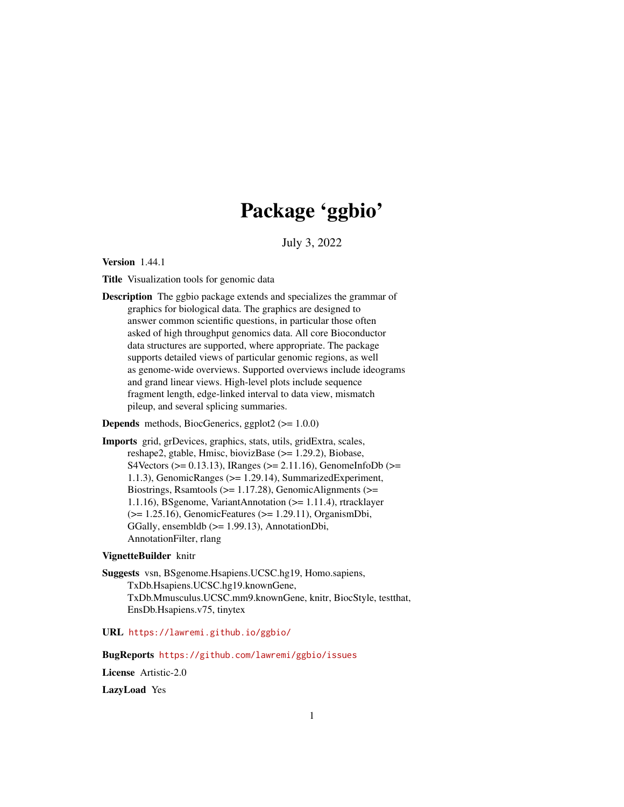# Package 'ggbio'

July 3, 2022

<span id="page-0-0"></span>Version 1.44.1

Title Visualization tools for genomic data

Description The ggbio package extends and specializes the grammar of graphics for biological data. The graphics are designed to answer common scientific questions, in particular those often asked of high throughput genomics data. All core Bioconductor data structures are supported, where appropriate. The package supports detailed views of particular genomic regions, as well as genome-wide overviews. Supported overviews include ideograms and grand linear views. High-level plots include sequence fragment length, edge-linked interval to data view, mismatch pileup, and several splicing summaries.

**Depends** methods, BiocGenerics, ggplot $2$  ( $> = 1.0.0$ )

Imports grid, grDevices, graphics, stats, utils, gridExtra, scales, reshape2, gtable, Hmisc, biovizBase (>= 1.29.2), Biobase, S4Vectors ( $>= 0.13.13$ ), IRanges ( $>= 2.11.16$ ), GenomeInfoDb ( $>=$ 1.1.3), GenomicRanges (>= 1.29.14), SummarizedExperiment, Biostrings, Rsamtools ( $>= 1.17.28$ ), GenomicAlignments ( $>=$ 1.1.16), BSgenome, VariantAnnotation (>= 1.11.4), rtracklayer (>= 1.25.16), GenomicFeatures (>= 1.29.11), OrganismDbi, GGally, ensembldb (>= 1.99.13), AnnotationDbi, AnnotationFilter, rlang

#### VignetteBuilder knitr

Suggests vsn, BSgenome.Hsapiens.UCSC.hg19, Homo.sapiens, TxDb.Hsapiens.UCSC.hg19.knownGene, TxDb.Mmusculus.UCSC.mm9.knownGene, knitr, BiocStyle, testthat, EnsDb.Hsapiens.v75, tinytex

## URL <https://lawremi.github.io/ggbio/>

BugReports <https://github.com/lawremi/ggbio/issues>

License Artistic-2.0

LazyLoad Yes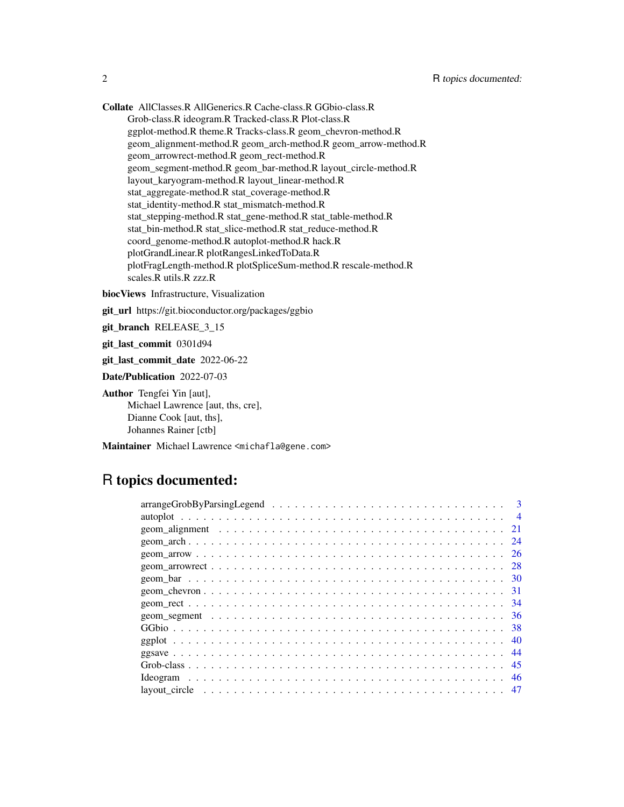Collate AllClasses.R AllGenerics.R Cache-class.R GGbio-class.R Grob-class.R ideogram.R Tracked-class.R Plot-class.R ggplot-method.R theme.R Tracks-class.R geom\_chevron-method.R geom\_alignment-method.R geom\_arch-method.R geom\_arrow-method.R geom\_arrowrect-method.R geom\_rect-method.R geom\_segment-method.R geom\_bar-method.R layout\_circle-method.R layout\_karyogram-method.R layout\_linear-method.R stat\_aggregate-method.R stat\_coverage-method.R stat\_identity-method.R stat\_mismatch-method.R stat\_stepping-method.R stat\_gene-method.R stat\_table-method.R stat\_bin-method.R stat\_slice-method.R stat\_reduce-method.R coord\_genome-method.R autoplot-method.R hack.R plotGrandLinear.R plotRangesLinkedToData.R plotFragLength-method.R plotSpliceSum-method.R rescale-method.R scales.R utils.R zzz.R

biocViews Infrastructure, Visualization

git\_url https://git.bioconductor.org/packages/ggbio

git\_branch RELEASE\_3\_15

git\_last\_commit 0301d94

git\_last\_commit\_date 2022-06-22

Date/Publication 2022-07-03

Author Tengfei Yin [aut], Michael Lawrence [aut, ths, cre], Dianne Cook [aut, ths], Johannes Rainer [ctb]

Maintainer Michael Lawrence <michafla@gene.com>

## R topics documented:

| 21  |
|-----|
| 24  |
| -26 |
| 28  |
|     |
|     |
|     |
|     |
|     |
|     |
|     |
|     |
| -46 |
|     |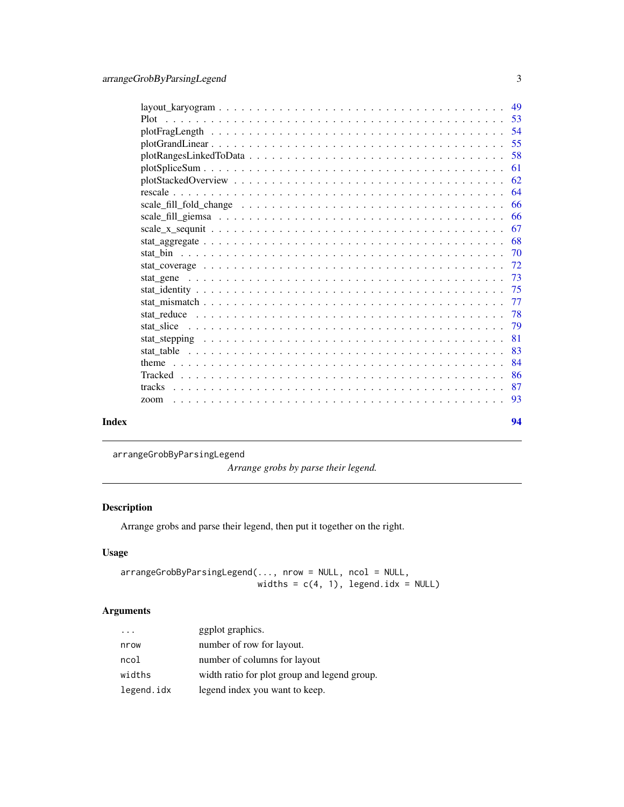<span id="page-2-0"></span>

|       | Plot   |     |
|-------|--------|-----|
|       |        |     |
|       |        |     |
|       |        | 58  |
|       |        | 61  |
|       |        | 62  |
|       |        |     |
|       |        | -66 |
|       |        | -66 |
|       |        | 67  |
|       |        |     |
|       |        | -70 |
|       |        |     |
|       |        |     |
|       |        |     |
|       |        | -77 |
|       |        | -78 |
|       |        | 79  |
|       |        | -81 |
|       |        | 83  |
|       |        | -84 |
|       |        | -86 |
|       | tracks | 87  |
|       | zoom   | -93 |
| Index |        | 94  |

arrangeGrobByParsingLegend

*Arrange grobs by parse their legend.*

## Description

Arrange grobs and parse their legend, then put it together on the right.

## Usage

arrangeGrobByParsingLegend(..., nrow = NULL, ncol = NULL, widths =  $c(4, 1)$ , legend.idx = NULL)

## Arguments

| $\cdots$   | ggplot graphics.                             |
|------------|----------------------------------------------|
| nrow       | number of row for layout.                    |
| ncol       | number of columns for layout                 |
| widths     | width ratio for plot group and legend group. |
| legend.idx | legend index you want to keep.               |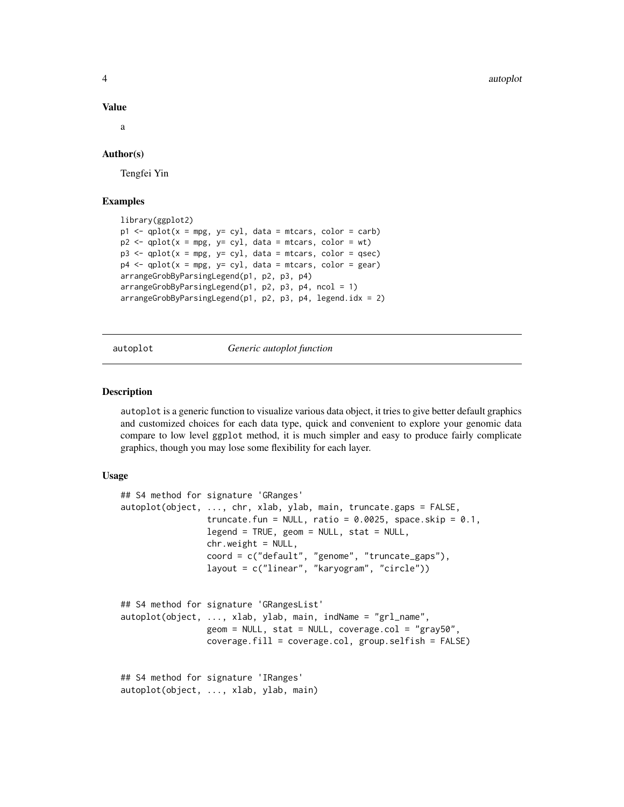4 autoplot and the contract of the contract of the contract of the contract of the contract of the contract of the contract of the contract of the contract of the contract of the contract of the contract of the contract of

#### Value

a

## Author(s)

Tengfei Yin

## Examples

```
library(ggplot2)
p1 \leq -qplot(x = mpg, y = cyl, data = mtcars, color = carb)p2 \leq - qplot(x = mpg, y= cyl, data = mtcars, color = wt)
p3 \leq - qplot(x = mpg, y= cyl, data = mtcars, color = qsec)
p4 \leq qplot(x = mpg, y= cyl, data = mtcars, color = gear)
arrangeGrobByParsingLegend(p1, p2, p3, p4)
arrangeGrobByParsingLegend(p1, p2, p3, p4, ncol = 1)arrangeGrobByParsingLegend(p1, p2, p3, p4, legend.idx = 2)
```
autoplot *Generic autoplot function*

#### Description

autoplot is a generic function to visualize various data object, it tries to give better default graphics and customized choices for each data type, quick and convenient to explore your genomic data compare to low level ggplot method, it is much simpler and easy to produce fairly complicate graphics, though you may lose some flexibility for each layer.

#### Usage

```
## S4 method for signature 'GRanges'
autoplot(object, ..., chr, xlab, ylab, main, truncate.gaps = FALSE,
                 truncate.fun = NULL, ratio = 0.0025, space.skip = 0.1,
                 legend = TRUE, geom = NULL, stat = NULL,
                 chr.weight = NULL,
                 coord = c("default", "genome", "truncate_gaps"),
                 layout = c("linear", "karyogram", "circle"))
## S4 method for signature 'GRangesList'
autoplot(object, ..., xlab, ylab, main, indName = "grl_name",
                 geom = NULL, stat = NULL, coverage.col = "gray50",
                 coverage.fill = coverage.col, group.selfish = FALSE)
## S4 method for signature 'IRanges'
autoplot(object, ..., xlab, ylab, main)
```
<span id="page-3-0"></span>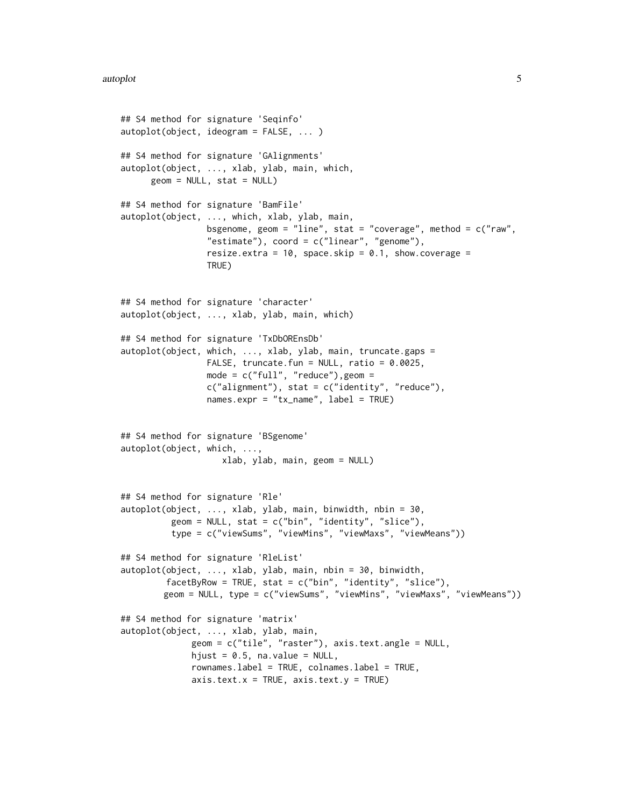```
## S4 method for signature 'Seqinfo'
autoplot(object, ideogram = FALSE, ... )
## S4 method for signature 'GAlignments'
autoplot(object, ..., xlab, ylab, main, which,
     geom = NULL, stat = NULL)## S4 method for signature 'BamFile'
autoplot(object, ..., which, xlab, ylab, main,
                 bsgenome, geom = "line", stat = "coverage", method = c("raw","estimate"), coord = c("linear", "genome"),resize.extra = 10, space.skip = 0.1, show.coverage =
                 TRUE)
## S4 method for signature 'character'
autoplot(object, ..., xlab, ylab, main, which)
## S4 method for signature 'TxDbOREnsDb'
autoplot(object, which, ..., xlab, ylab, main, truncate.gaps =
                 FALSE, truncate.fun = NULL, ratio = 0.0025,
                 mode = c("full", "reduce"), geom =c("alignment"), stat = c("identity", "reduce"),names.expr = "tx_name", label = TRUE)
## S4 method for signature 'BSgenome'
autoplot(object, which, ...,
                    xlab, ylab, main, geom = NULL)
## S4 method for signature 'Rle'
autoplot(object, ..., xlab, ylab, main, binwidth, nbin = 30,
          geom = NULL, stat = c("bin", "identity", "slice"),type = c("viewSums", "viewMins", "viewMaxs", "viewMeans"))
## S4 method for signature 'RleList'
autoplot(object, ..., xlab, ylab, main, nbin = 30, binwidth,
         facetByRow = TRUE, stat = c("bin", "identity", "slice"),
        geom = NULL, type = c("viewSums", "viewMins", "viewMaxs", "viewMeans"))
## S4 method for signature 'matrix'
autoplot(object, ..., xlab, ylab, main,
              geom = c("tile", "raster"), axis.text.angle = NULL,
              hjust = 0.5, na.value = NULL,
              rownames.label = TRUE, colnames.label = TRUE,
              axis.text.x = TRUE, axis.text.y = TRUE)
```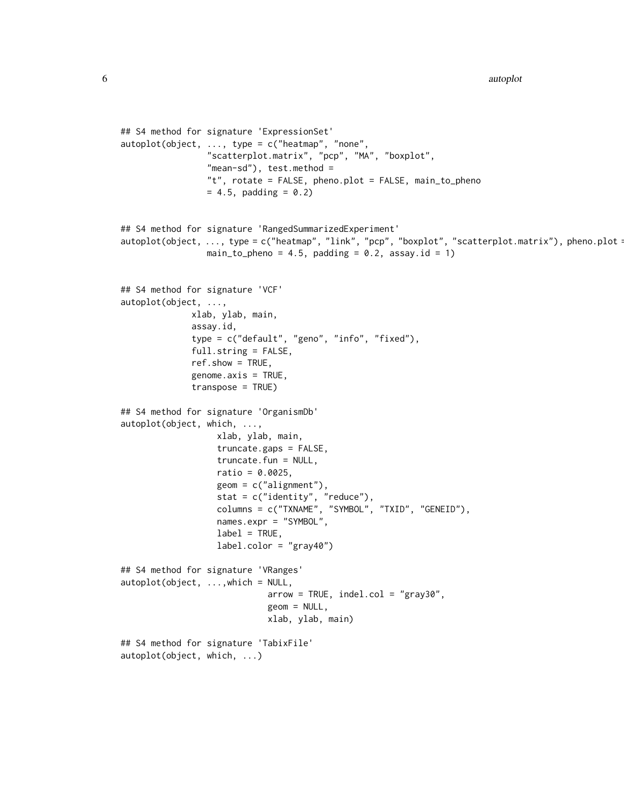```
## S4 method for signature 'ExpressionSet'
autoplot(object, ..., type = c("heatmap", "none",
                 "scatterplot.matrix", "pcp", "MA", "boxplot",
                 "mean-sd"), test.method =
                 "t", rotate = FALSE, pheno.plot = FALSE, main_to_pheno
                 = 4.5, padding = 0.2)
## S4 method for signature 'RangedSummarizedExperiment'
autoplot(object, ..., type = c("heatmap", "link", "pcp", "boxplot", "scatterplot.matrix"), pheno.plot =
                 main_to_pheno = 4.5, padding = 0.2, assay.id = 1)
## S4 method for signature 'VCF'
autoplot(object, ...,
              xlab, ylab, main,
              assay.id,
              type = c("default", "geno", "info", "fixed"),
              full.string = FALSE,
              ref.show = TRUE,
              genome.axis = TRUE,
              transpose = TRUE)
## S4 method for signature 'OrganismDb'
autoplot(object, which, ...,
                   xlab, ylab, main,
                   truncate.gaps = FALSE,
                   truncate.fun = NULL,
                   ratio = 0.0025,
                   geom = c("alignment"),
                   stat = c("identity", "reduce"),
                   columns = c("TXNAME", "SYMBOL", "TXID", "GENEID"),
                   names.expr = "SYMBOL",
                   label = TRUE,label.color = "grav40")## S4 method for signature 'VRanges'
autoplot(object, ..., which = NULL,arrow = TRUE, inde1.col = "gray30",geom = NULL,
                             xlab, ylab, main)
## S4 method for signature 'TabixFile'
autoplot(object, which, ...)
```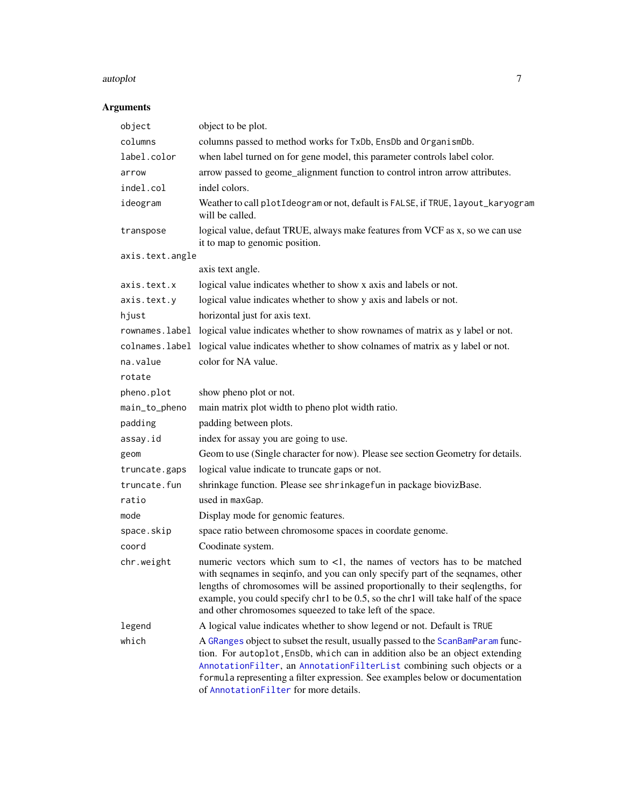#### autoplot 7 autorisation of the contract of the contract of the contract of the contract of the contract of the contract of the contract of the contract of the contract of the contract of the contract of the contract of the

## Arguments

| object          | object to be plot.                                                                                                                                                                                                                                                                                                                                                                                   |
|-----------------|------------------------------------------------------------------------------------------------------------------------------------------------------------------------------------------------------------------------------------------------------------------------------------------------------------------------------------------------------------------------------------------------------|
| columns         | columns passed to method works for TxDb, EnsDb and OrganismDb.                                                                                                                                                                                                                                                                                                                                       |
| label.color     | when label turned on for gene model, this parameter controls label color.                                                                                                                                                                                                                                                                                                                            |
| arrow           | arrow passed to geome_alignment function to control intron arrow attributes.                                                                                                                                                                                                                                                                                                                         |
| indel.col       | indel colors.                                                                                                                                                                                                                                                                                                                                                                                        |
| ideogram        | Weather to call plotIdeogram or not, default is FALSE, if TRUE, layout_karyogram<br>will be called.                                                                                                                                                                                                                                                                                                  |
| transpose       | logical value, defaut TRUE, always make features from VCF as x, so we can use<br>it to map to genomic position.                                                                                                                                                                                                                                                                                      |
| axis.text.angle |                                                                                                                                                                                                                                                                                                                                                                                                      |
|                 | axis text angle.                                                                                                                                                                                                                                                                                                                                                                                     |
| axis.text.x     | logical value indicates whether to show x axis and labels or not.                                                                                                                                                                                                                                                                                                                                    |
| axis.text.y     | logical value indicates whether to show y axis and labels or not.                                                                                                                                                                                                                                                                                                                                    |
| hjust           | horizontal just for axis text.                                                                                                                                                                                                                                                                                                                                                                       |
|                 | rownames. label logical value indicates whether to show rownames of matrix as y label or not.                                                                                                                                                                                                                                                                                                        |
| colnames.label  | logical value indicates whether to show colnames of matrix as y label or not.                                                                                                                                                                                                                                                                                                                        |
| na.value        | color for NA value.                                                                                                                                                                                                                                                                                                                                                                                  |
| rotate          |                                                                                                                                                                                                                                                                                                                                                                                                      |
| pheno.plot      | show pheno plot or not.                                                                                                                                                                                                                                                                                                                                                                              |
| main_to_pheno   | main matrix plot width to pheno plot width ratio.                                                                                                                                                                                                                                                                                                                                                    |
| padding         | padding between plots.                                                                                                                                                                                                                                                                                                                                                                               |
| assay.id        | index for assay you are going to use.                                                                                                                                                                                                                                                                                                                                                                |
| geom            | Geom to use (Single character for now). Please see section Geometry for details.                                                                                                                                                                                                                                                                                                                     |
| truncate.gaps   | logical value indicate to truncate gaps or not.                                                                                                                                                                                                                                                                                                                                                      |
| truncate.fun    | shrinkage function. Please see shrinkagefun in package biovizBase.                                                                                                                                                                                                                                                                                                                                   |
| ratio           | used in maxGap.                                                                                                                                                                                                                                                                                                                                                                                      |
| mode            | Display mode for genomic features.                                                                                                                                                                                                                                                                                                                                                                   |
| space.skip      | space ratio between chromosome spaces in coordate genome.                                                                                                                                                                                                                                                                                                                                            |
| coord           | Coodinate system.                                                                                                                                                                                                                                                                                                                                                                                    |
| chr.weight      | numeric vectors which sum to $\lt 1$ , the names of vectors has to be matched<br>with seqnames in seqinfo, and you can only specify part of the seqnames, other<br>lengths of chromosomes will be assined proportionally to their seqlengths, for<br>example, you could specify chr1 to be 0.5, so the chr1 will take half of the space<br>and other chromosomes squeezed to take left of the space. |
| legend          | A logical value indicates whether to show legend or not. Default is TRUE                                                                                                                                                                                                                                                                                                                             |
| which           | A GRanges object to subset the result, usually passed to the ScanBamParam func-<br>tion. For autoplot, EnsDb, which can in addition also be an object extending<br>AnnotationFilter, an AnnotationFilterList combining such objects or a<br>formula representing a filter expression. See examples below or documentation<br>of AnnotationFilter for more details.                                   |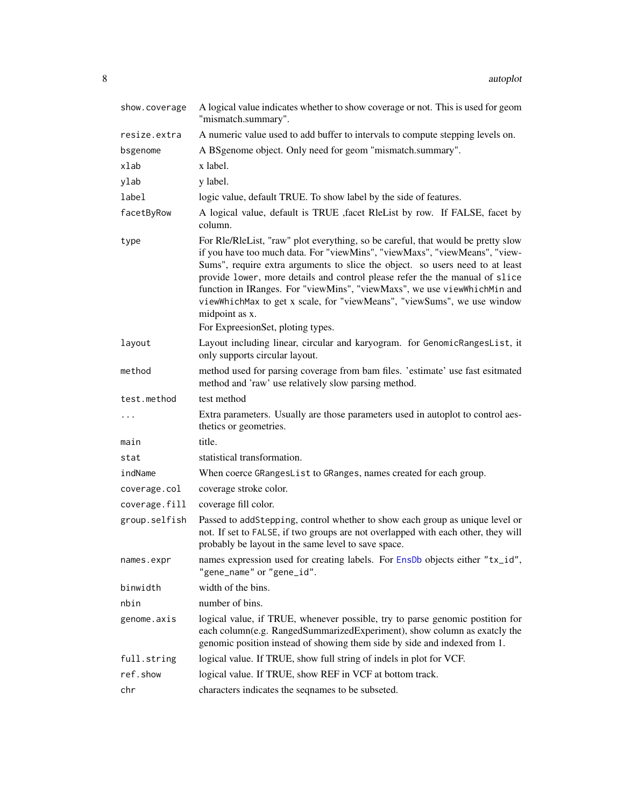| show.coverage | A logical value indicates whether to show coverage or not. This is used for geom<br>"mismatch.summary".                                                                                                                                                                                                                                                                                                                                                                                                                                       |
|---------------|-----------------------------------------------------------------------------------------------------------------------------------------------------------------------------------------------------------------------------------------------------------------------------------------------------------------------------------------------------------------------------------------------------------------------------------------------------------------------------------------------------------------------------------------------|
| resize.extra  | A numeric value used to add buffer to intervals to compute stepping levels on.                                                                                                                                                                                                                                                                                                                                                                                                                                                                |
| bsgenome      | A BSgenome object. Only need for geom "mismatch.summary".                                                                                                                                                                                                                                                                                                                                                                                                                                                                                     |
| xlab          | x label.                                                                                                                                                                                                                                                                                                                                                                                                                                                                                                                                      |
| ylab          | y label.                                                                                                                                                                                                                                                                                                                                                                                                                                                                                                                                      |
| label         | logic value, default TRUE. To show label by the side of features.                                                                                                                                                                                                                                                                                                                                                                                                                                                                             |
| facetByRow    | A logical value, default is TRUE , facet RleList by row. If FALSE, facet by<br>column.                                                                                                                                                                                                                                                                                                                                                                                                                                                        |
| type          | For Rle/RleList, "raw" plot everything, so be careful, that would be pretty slow<br>if you have too much data. For "viewMins", "viewMaxs", "viewMeans", "view-<br>Sums", require extra arguments to slice the object. so users need to at least<br>provide lower, more details and control please refer the the manual of slice<br>function in IRanges. For "viewMins", "viewMaxs", we use viewWhichMin and<br>viewWhichMax to get x scale, for "viewMeans", "viewSums", we use window<br>midpoint as x.<br>For ExpreesionSet, ploting types. |
| layout        | Layout including linear, circular and karyogram. for GenomicRangesList, it                                                                                                                                                                                                                                                                                                                                                                                                                                                                    |
|               | only supports circular layout.                                                                                                                                                                                                                                                                                                                                                                                                                                                                                                                |
| method        | method used for parsing coverage from bam files. 'estimate' use fast esitmated<br>method and 'raw' use relatively slow parsing method.                                                                                                                                                                                                                                                                                                                                                                                                        |
| test.method   | test method                                                                                                                                                                                                                                                                                                                                                                                                                                                                                                                                   |
| $\cdots$      | Extra parameters. Usually are those parameters used in autoplot to control aes-<br>thetics or geometries.                                                                                                                                                                                                                                                                                                                                                                                                                                     |
| main          | title.                                                                                                                                                                                                                                                                                                                                                                                                                                                                                                                                        |
| stat          | statistical transformation.                                                                                                                                                                                                                                                                                                                                                                                                                                                                                                                   |
| indName       | When coerce GRangesList to GRanges, names created for each group.                                                                                                                                                                                                                                                                                                                                                                                                                                                                             |
| coverage.col  | coverage stroke color.                                                                                                                                                                                                                                                                                                                                                                                                                                                                                                                        |
| coverage.fill | coverage fill color.                                                                                                                                                                                                                                                                                                                                                                                                                                                                                                                          |
| group.selfish | Passed to addStepping, control whether to show each group as unique level or<br>not. If set to FALSE, if two groups are not overlapped with each other, they will<br>probably be layout in the same level to save space.                                                                                                                                                                                                                                                                                                                      |
| names.expr    | names expression used for creating labels. For EnsDb objects either "tx_id",<br>"gene_name" or "gene_id".                                                                                                                                                                                                                                                                                                                                                                                                                                     |
| binwidth      | width of the bins.                                                                                                                                                                                                                                                                                                                                                                                                                                                                                                                            |
| nbin          | number of bins.                                                                                                                                                                                                                                                                                                                                                                                                                                                                                                                               |
| genome.axis   | logical value, if TRUE, whenever possible, try to parse genomic postition for<br>each column(e.g. RangedSummarizedExperiment), show column as exatcly the<br>genomic position instead of showing them side by side and indexed from 1.                                                                                                                                                                                                                                                                                                        |
| full.string   | logical value. If TRUE, show full string of indels in plot for VCF.                                                                                                                                                                                                                                                                                                                                                                                                                                                                           |
| ref.show      | logical value. If TRUE, show REF in VCF at bottom track.                                                                                                                                                                                                                                                                                                                                                                                                                                                                                      |
| chr           | characters indicates the seqnames to be subseted.                                                                                                                                                                                                                                                                                                                                                                                                                                                                                             |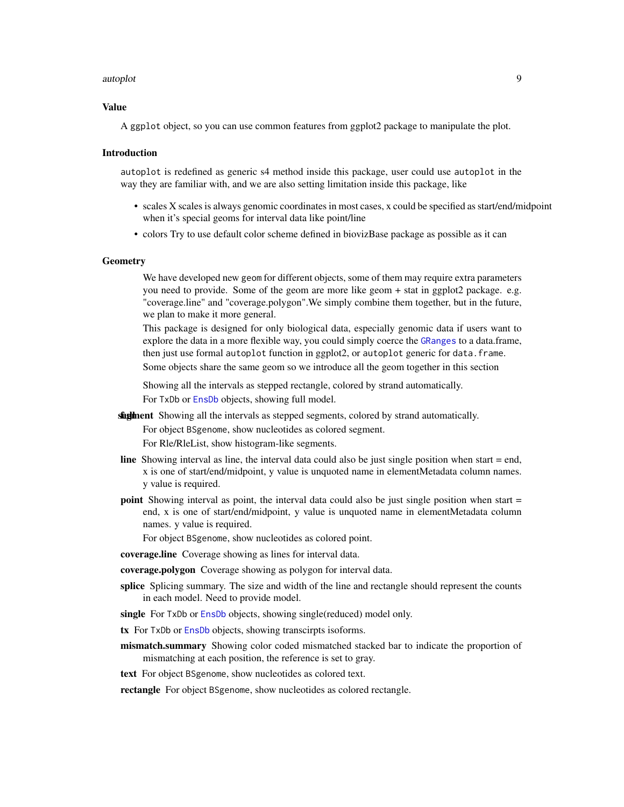#### autoplot the contract of the contract of the contract of the contract of the contract of the contract of the contract of the contract of the contract of the contract of the contract of the contract of the contract of the c

#### Value

A ggplot object, so you can use common features from ggplot2 package to manipulate the plot.

#### Introduction

autoplot is redefined as generic s4 method inside this package, user could use autoplot in the way they are familiar with, and we are also setting limitation inside this package, like

- scales X scales is always genomic coordinates in most cases, x could be specified as start/end/midpoint when it's special geoms for interval data like point/line
- colors Try to use default color scheme defined in biovizBase package as possible as it can

#### **Geometry**

We have developed new geom for different objects, some of them may require extra parameters you need to provide. Some of the geom are more like geom + stat in ggplot2 package. e.g. "coverage.line" and "coverage.polygon".We simply combine them together, but in the future, we plan to make it more general.

This package is designed for only biological data, especially genomic data if users want to explore the data in a more flexible way, you could simply coerce the [GRanges](#page-0-0) to a data.frame, then just use formal autoplot function in ggplot2, or autoplot generic for data.frame.

Some objects share the same geom so we introduce all the geom together in this section

Showing all the intervals as stepped rectangle, colored by strand automatically.

For TxDb or [EnsDb](#page-0-0) objects, showing full model.

**skglinent** Showing all the intervals as stepped segments, colored by strand automatically.

For object BSgenome, show nucleotides as colored segment.

For Rle/RleList, show histogram-like segments.

- line Showing interval as line, the interval data could also be just single position when start = end, x is one of start/end/midpoint, y value is unquoted name in elementMetadata column names. y value is required.
- point Showing interval as point, the interval data could also be just single position when start = end, x is one of start/end/midpoint, y value is unquoted name in elementMetadata column names. y value is required.

For object BSgenome, show nucleotides as colored point.

coverage.line Coverage showing as lines for interval data.

coverage.polygon Coverage showing as polygon for interval data.

- splice Splicing summary. The size and width of the line and rectangle should represent the counts in each model. Need to provide model.
- single For TxDb or [EnsDb](#page-0-0) objects, showing single(reduced) model only.
- tx For TxDb or [EnsDb](#page-0-0) objects, showing transcirpts isoforms.
- mismatch.summary Showing color coded mismatched stacked bar to indicate the proportion of mismatching at each position, the reference is set to gray.

text For object BSgenome, show nucleotides as colored text.

rectangle For object BSgenome, show nucleotides as colored rectangle.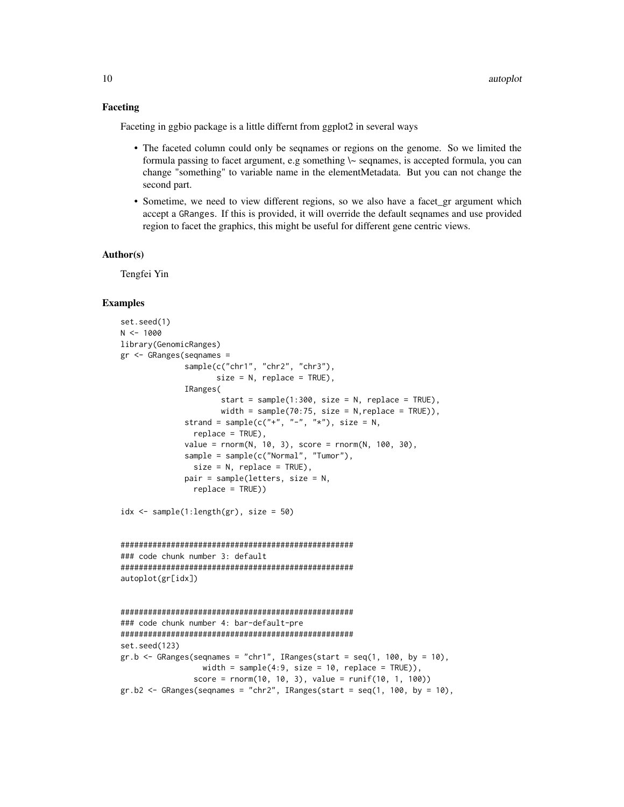#### Faceting

Faceting in ggbio package is a little differnt from ggplot2 in several ways

- The faceted column could only be seqnames or regions on the genome. So we limited the formula passing to facet argument, e.g something  $\sim$  seqnames, is accepted formula, you can change "something" to variable name in the elementMetadata. But you can not change the second part.
- Sometime, we need to view different regions, so we also have a facet\_gr argument which accept a GRanges. If this is provided, it will override the default seqnames and use provided region to facet the graphics, this might be useful for different gene centric views.

#### Author(s)

Tengfei Yin

#### Examples

```
set.seed(1)
N < - 1000library(GenomicRanges)
gr <- GRanges(seqnames =
              sample(c("chr1", "chr2", "chr3"),
                     size = N, replace = TRUE),
              IRanges(
                      start = sample(1:300, size = N, replace = TRUE),width = sample(70:75, size = N, replace = TRUE)),
              strand = sample(c("+", "-", "*"), size = N,
                replace = TRUE),
              value = rnorm(N, 10, 3), score = rnorm(N, 100, 30),
              sample = sample(c("Normal", "Tumor"),
                size = N, replace = TRUE),
              pair = sample(letters, size = N,
                replace = TRUE))
idx \leq sample(1:length(gr), size = 50)
###################################################
### code chunk number 3: default
###################################################
autoplot(gr[idx])
###################################################
### code chunk number 4: bar-default-pre
###################################################
set.seed(123)
gr.b \leq GRanges (seqnames = "chr1", IRanges(start = seq(1, 100, by = 10),
                  width = sample(4:9, size = 10, replace = TRUE)),
                score = rnorm(10, 10, 3), value = runif(10, 1, 100)gr.b2 \leq - GRanges(seqnames = "chr2", IRanges(start = seq(1, 100, by = 10),
```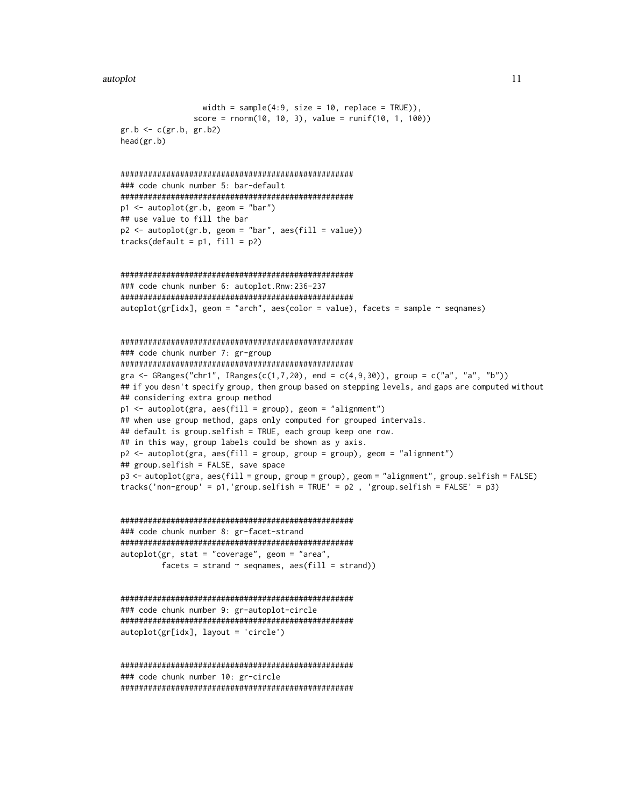```
width = sample(4:9, size = 10, replace = TRUE)),
            score = rnorm(10, 10, 3), value = runif(10, 1, 100)gr.b \leftarrow c(gr.b, gr.b2)head(gr.b)### code chunk number 5: bar-default
p1 \leftarrow \text{autoplot}(gr.b, geom = "bar")## use value to fill the bar
p2 \le autoplot(gr.b, geom = "bar", aes(fill = value))
tracks(default = p1, fill = p2)### code chunk number 6: autoplot.Rnw:236-237
{\sf autoplot}({\sf gr}[idx], {\sf geom} = "arch", {\sf aes}({color = value}), {\sf facets = sample ~ segnames})### code chunk number 7: gr-group
gra <- GRanges("chr1", IRanges(c(1,7,20), end = c(4,9,30)), group = c("a", "a", "b"))
## if you desn't specify group, then group based on stepping levels, and gaps are computed without
## considering extra group method
p1 \leq -autoff(gra, aes(fill = group), geom = "alignment")## when use group method, gaps only computed for grouped intervals.
## default is group.selfish = TRUE, each group keep one row.
## in this way, group labels could be shown as y axis.
p2 <- autoplot(gra, aes(fill = group, group = group), geom = "alignment")
## group.selfish = FALSE, save space
p3 <- autoplot(gra, aes(fill = group, group = group), geom = "alignment", group.selfish = FALSE)
tracks('non-group' = p1,'group.selfish = TRUE' = p2, 'group.selfish = FALSE' = p3)
### code chunk number 8: gr-facet-strand
autoplot(gr, stat = "coverage", geom = "area",
       factors = strand \sim seqnames, \; aes(fill = strand)
```

```
### code chunk number 9: gr-autoplot-circle
autoplot(gr[idx], layout = 'circle')
```

```
### code chunk number 10: gr-circle
```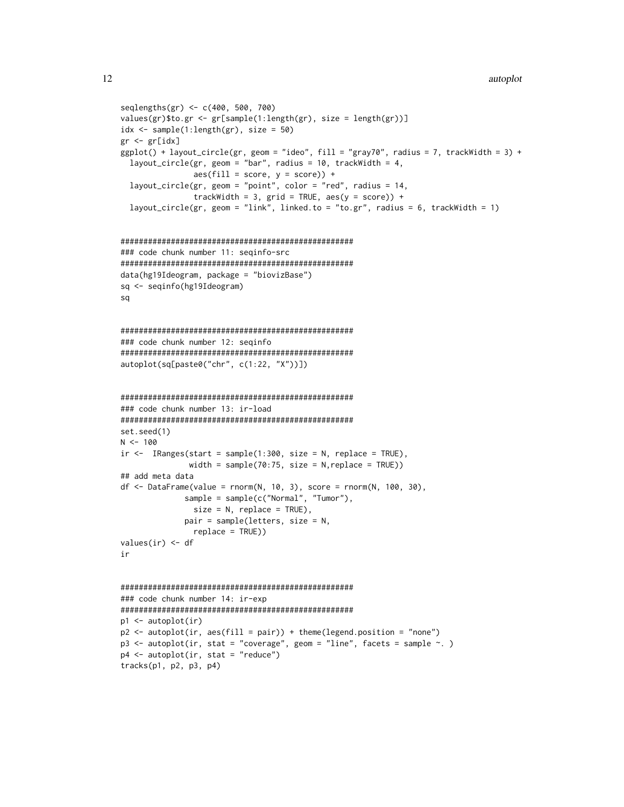```
seqlengths(gr) <- c(400, 500, 700)
values(gr)$to.gr <- gr[sample(1:length(gr), size = length(gr))]
idx \leftarrow sample(1:length(gr), size = 50)gr < - gr[idx]ggplot() + layout_circle(gr, geom = "ideo", fill = "gray70", radius = 7, trackWidth = 3) +
 layout_circle(gr, geom = "bar", radius = 10, trackWidth = 4,
            \text{aes}(\text{fill} = \text{score}, y = \text{score}) +
 layout_circle(gr, geom = "point", color = "red", radius = 14,
            trackWidth = 3, grid = TRUE, aes(y = score)) +
 layout_circle(gr, geom = "link", linked.to = "to.gr", radius = 6, trackWidth = 1)
### code chunk number 11: seginfo-src
data(hg19Ideogram, package = "biovizBase")
sq <- seqinfo(hg19Ideogram)
sq
### code chunk number 12: seginfo
autoplot(sq[paste0("chr", c(1:22, "X"))])
### code chunk number 13: ir-load
set.seed(1)
N < -100ir \leq IRanges(start = sample(1:300, size = N, replace = TRUE),
            width = sample(70:75, size = N, replace = TRUE))
## add meta data
df <- DataFrame(value = rnorm(N, 10, 3), score = rnorm(N, 100, 30),
           sample = sample(c("Normal", "Turnor"),size = N, replace = TRUE),
           pair = sample(leters, size = N,replace = TRUE))
values(ir) < - dfir
### code chunk number 14: ir-exp
p1 \leftarrow \text{autoplot}(ir)p2 \le autoplot(ir, aes(fill = pair)) + theme(legend.position = "none")
p3 \le autoplot(ir, stat = "coverage", geom = "line", facets = sample \sim.)
p4 \leq - autoplot(ir, stat = "reduce")
tracks(p1, p2, p3, p4)
```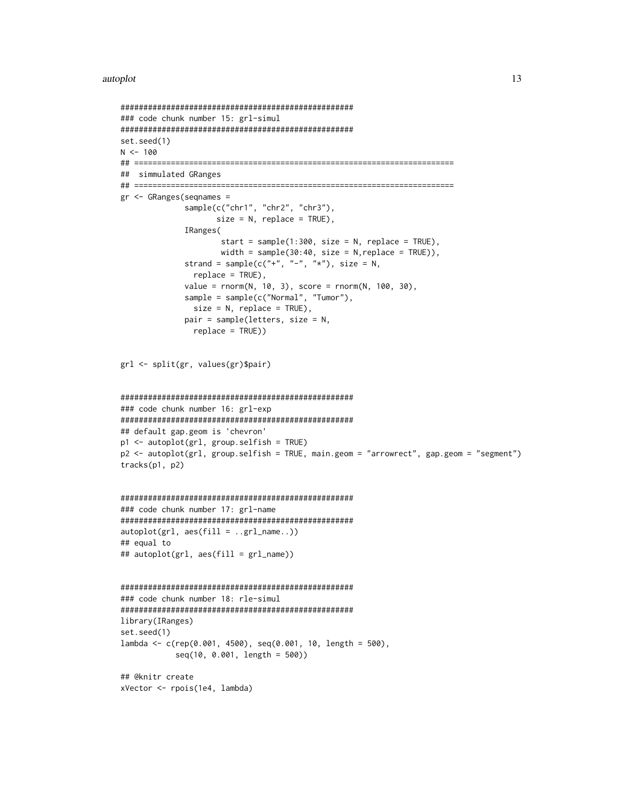```
### code chunk number 15: grl-simul
set.seed(1)
N < -100## simmulated GRanges
gr <- GRanges (segnames =
         sample(c("chr1", "chr2", "chr3"),
             size = N, replace = TRUE),
         IRanges(
              start = sample(1:300, size = N, replace = TRUE),width = sample(30:40, size = N, replace = TRUE)),
         strand = sample(c("+", "-", "*"), size = N,
          replace = TRUE),
         value = rnorm(N, 10, 3), score = rnorm(N, 100, 30),
         sample = sample(c("Normal", "Turnor"),size = N, replace = TRUE),
         pair = sample(leters, size = N,replace = TRUE))
grl <- split(gr, values(gr)$pair)
### code chunk number 16: grl-exp
## default gap.geom is 'chevron'
p1 <- autoplot(grl, group.selfish = TRUE)
p2 <- autoplot(grl, group.selfish = TRUE, main.geom = "arrowrect", gap.geom = "segment")
tracks(p1, p2)### code chunk number 17: grl-name
autoplot(grl, aes(fill = . .grl_name. .))## equal to
## autoplot(grl, aes(fill = grl_name))
### code chunk number 18: rle-simul
library(IRanges)
set.seed(1)
lambda <- c(rep(0.001, 4500), seq(0.001, 10, length = 500),seq(10, 0.001, length = 500))## @knitr create
xVector <- rpois(1e4, lambda)
```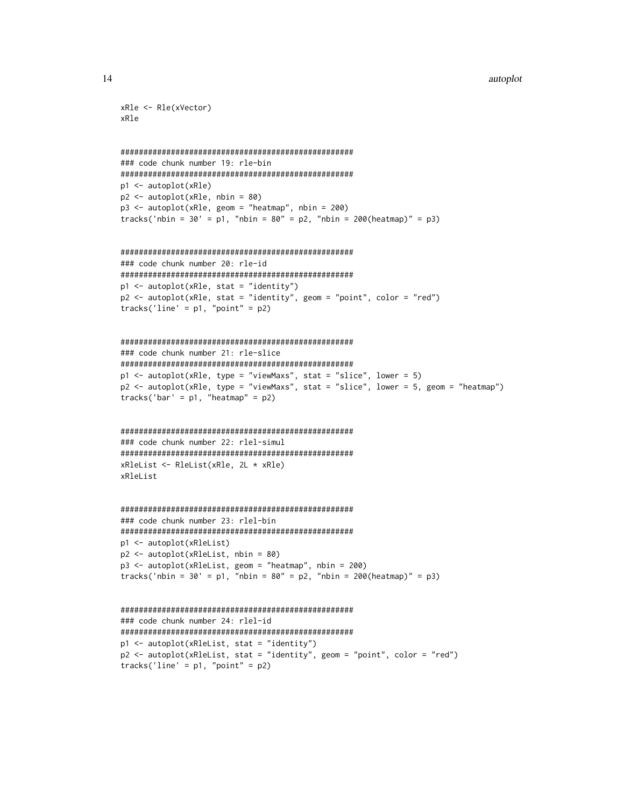```
xR1e \leftarrow R1e(xVector)xRle
```

```
### code chunk number 19: rle-bin
p1 \leftarrow \text{autoplot}(\text{xRle})p2 \le autoplot(xRle, nbin = 80)
p3 \le autoplot(xRle, geom = "heatmap", nbin = 200)
tracks('nbin = 30' = p1, "nbin = 80'' = p2, "nbin = 200(heatmap)'' = p3)
```

```
### code chunk number 20: rle-id
p1 <- autoplot(xRle, stat = "identity")
p2 \le autoplot(xRle, stat = "identity", geom = "point", color = "red")
tracks('line' = p1, "point" = p2)
```

```
### code chunk number 21: rle-slice
p1 \leq -autoff(xRle, type = "viewMaxs", stat = "slice", lower = 5)p2 <- autoplot(xRle, type = "viewMaxs", stat = "slice", lower = 5, geom = "heatmap")
tracks('bar' = p1, "heatmap" = p2)
```

```
### code chunk number 22: rlel-simul
xRleList \leftarrow RleList(xRle, 2L * xRle)xRleList
```

```
### code chunk number 23: rlel-bin
p1 <- autoplot(xRleList)
p2 \le autoplot(xRleList, nbin = 80)
p3 <- autoplot(xRleList, geom = "heatmap", nbin = 200)
tracks('nbin = 30' = p1, "nbin = 80'' = p2, "nbin = 200(heatmap)'' = p3)
```

```
### code chunk number 24: rlel-id
p1 <- autoplot(xRleList, stat = "identity")
p2 <- autoplot(xRleList, stat = "identity", geom = "point", color = "red")
tracks('line' = p1, "point" = p2)
```
14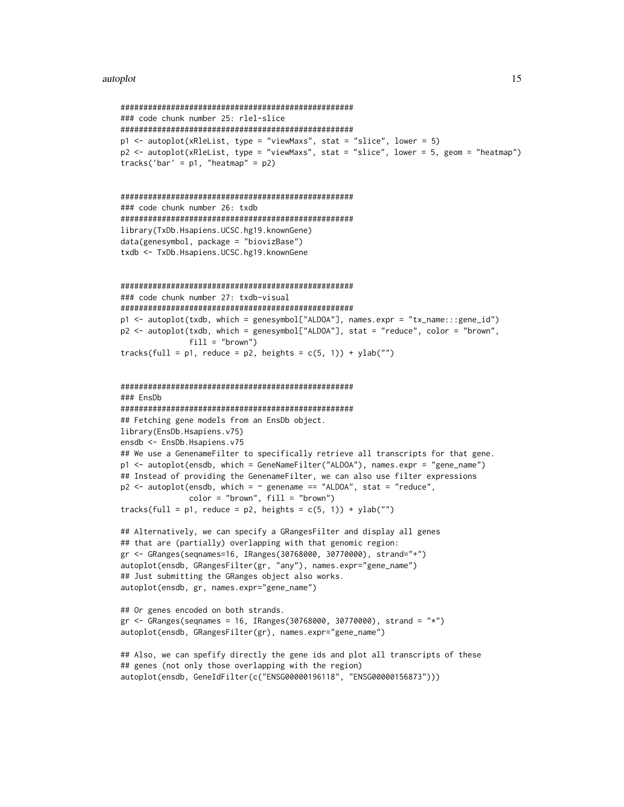```
### code chunk number 25: rlel-slice
p1 \le autoplot(xRleList, type = "viewMaxs", stat = "slice", lower = 5)
p2 <- autoplot(xRleList, type = "viewMaxs", stat = "slice", lower = 5, geom = "heatmap")
tracks('bar' = p1, "heatmap" = p2)
### code chunk number 26: txdb
library(TxDb.Hsapiens.UCSC.hg19.knownGene)
data(genesymbol, package = "biovizBase")
txdb <- TxDb.Hsapiens.UCSC.hg19.knownGene
### code chunk number 27: txdb-visual
p1 <- autoplot(txdb, which = genesymbol["ALDOA"], names.expr = "tx_name:::gene_id")
p2 <- autoplot(txdb, which = genesymbol["ALDOA"], stat = "reduce", color = "brown",
            fill = "brown")tracks(full = p1, reduce = p2, heights = c(5, 1)) + ylab("")
### FnsDh
## Fetching gene models from an EnsDb object.
library(EnsDb.Hsapiens.v75)
ensdb <- EnsDb.Hsapiens.v75
## We use a GenenameFilter to specifically retrieve all transcripts for that gene.
p1 <- autoplot(ensdb, which = GeneNameFilter("ALDOA"), names.expr = "gene_name")
## Instead of providing the GenenameFilter, we can also use filter expressions
p2 \leq -autoff autoplot(ensdb, which = \sim genename == "ALDOA", stat = "reduce",
            color = "brown", fill = "brown")tracks(full = p1, reduce = p2, heights = c(5, 1)) + ylab("")
## Alternatively, we can specify a GRangesFilter and display all genes
## that are (partially) overlapping with that genomic region:
gr <- GRanges(seqnames=16, IRanges(30768000, 30770000), strand="+")
autoplot(ensdb, GRangesFilter(gr, "any"), names.expr="gene_name")
## Just submitting the GRanges object also works.
autoplot(ensdb, gr, names.expr="gene_name")
## Or genes encoded on both strands.
gr <- GRanges(seqnames = 16, IRanges(30768000, 30770000), strand = "*")
autoplot(ensdb, GRangesFilter(gr), names.expr="gene_name")
## Also, we can spefify directly the gene ids and plot all transcripts of these
## genes (not only those overlapping with the region)
autoplot(ensdb, GeneIdFilter(c("ENSG00000196118", "ENSG00000156873")))
```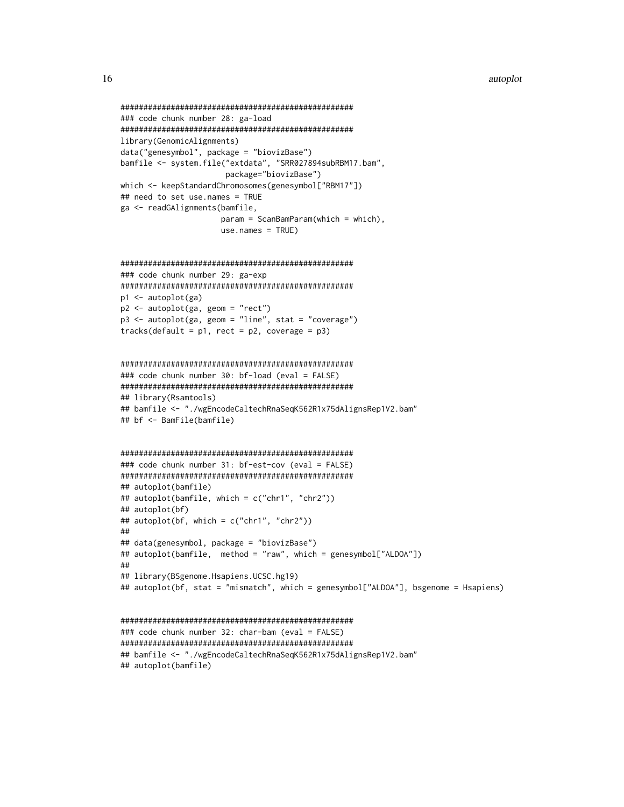```
### code chunk number 28: ga-load
library(GenomicAlignments)
data("genesymbol", package = "biovizBase")
bamfile <- system.file("extdata", "SRR027894subRBM17.bam",
               package="biovizBase")
which <- keepStandardChromosomes(genesymbol["RBM17"])
## need to set use.names = TRUE
ga <- readGAlignments(bamfile,
              param = ScanBamParam(which = which),use.name = TRUE)### code chunk number 29: ga-exp
p1 \leftarrow \text{autoplot(ga)}p2 \le autoplot(ga, geom = "rect")
p3 \le autoplot(ga, geom = "line", stat = "coverage")
tracks(default = p1, rect = p2, coverage = p3)
### code chunk number 30: bf-load (eval = FALSE)
```

```
## library(Rsamtools)
## bamfile <- "./wgEncodeCaltechRnaSeqK562R1x75dAlignsRep1V2.bam"
## bf <- BamFile(bamfile)
```

```
### code chunk number 31: bf-est-cov (eval = FALSE)
## autoplot(bamfile)
## autoplot(bamfile, which = c("chr1", "chr2"))
## autoplot(bf)
## autoplot(bf, which = c("chr1", "chr2"))
##
## data(genesymbol, package = "biovizBase")
## autoplot(bamfile, method = "raw", which = genesymbol["ALDOA"])
\# \### library(BSgenome.Hsapiens.UCSC.hg19)
## autoplot(bf, stat = "mismatch", which = genesymbol["ALDOA"], bsgenome = Hsapiens)
```

```
### code chunk number 32: char-bam (eval = FALSE)
## bamfile <- "./wgEncodeCaltechRnaSeqK562R1x75dAlignsRep1V2.bam"
## autoplot(bamfile)
```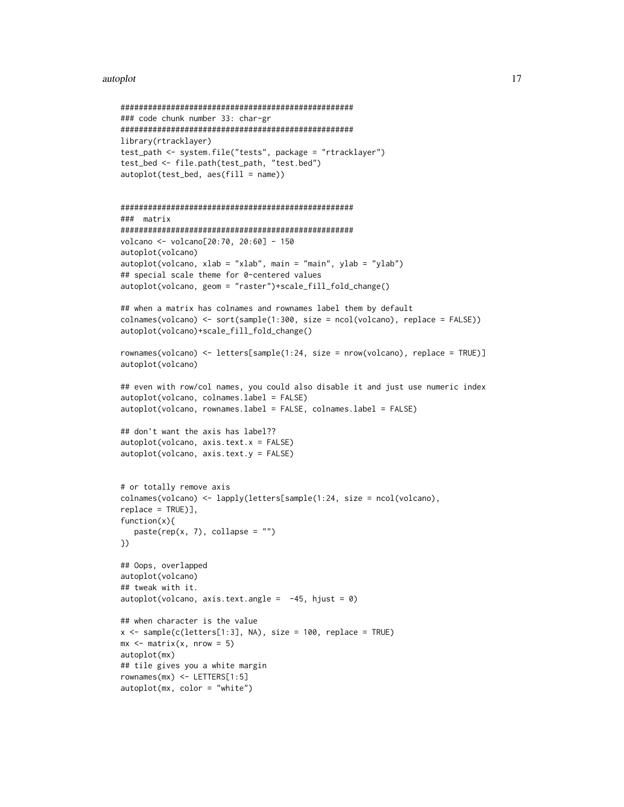#### autoplot the contract of the contract of the contract of the contract of the contract of the contract of the contract of the contract of the contract of the contract of the contract of the contract of the contract of the c

```
###################################################
### code chunk number 33: char-gr
###################################################
library(rtracklayer)
test_path <- system.file("tests", package = "rtracklayer")
test_bed <- file.path(test_path, "test.bed")
autoplot(test_bed, aes(fill = name))
###################################################
### matrix
###################################################
volcano <- volcano[20:70, 20:60] - 150
autoplot(volcano)
autoplot(volcano, xlab = "xlab", main = "main", ylab = "ylab")## special scale theme for 0-centered values
autoplot(volcano, geom = "raster")+scale_fill_fold_change()
## when a matrix has colnames and rownames label them by default
colnames(volcano) <- sort(sample(1:300, size = ncol(volcano), replace = FALSE))
autoplot(volcano)+scale_fill_fold_change()
rownames(volcano) <- letters[sample(1:24, size = nrow(volcano), replace = TRUE)]
autoplot(volcano)
## even with row/col names, you could also disable it and just use numeric index
autoplot(volcano, colnames.label = FALSE)
autoplot(volcano, rownames.label = FALSE, colnames.label = FALSE)
## don't want the axis has label??
autoplot(volcano, axis.text.x = FALSE)
autoplot(volcano, axis.text.y = FALSE)
# or totally remove axis
colnames(volcano) <- lapply(letters[sample(1:24, size = ncol(volcano),
replace = TRUE)],
function(x){
   paste(rep(x, 7), collapse = "")})
## Oops, overlapped
autoplot(volcano)
## tweak with it.
autoplot(volcano, axis.text.angle = -45, hjust = 0)## when character is the value
x \leq - sample(c(letters[1:3], NA), size = 100, replace = TRUE)
mx \leq -\text{matrix}(x, nrow = 5)autoplot(mx)
## tile gives you a white margin
rownames(mx) <- LETTERS[1:5]
autoplot(mx, color = "white")
```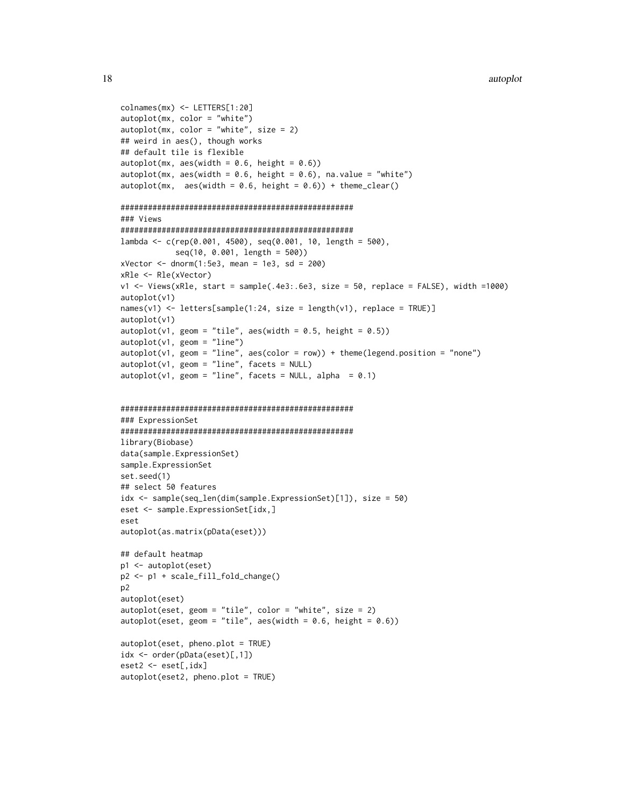```
colnames(mx) <- LETTERS[1:20]
autoplot(mx, color = "white")
autoplot(mx, color = "white", size = 2)
## weird in aes(), though works
## default tile is flexible
autoplot(mx, \text{aes}(\text{width} = 0.6, \text{ height} = 0.6))autoplot(mx, aes(width = 0.6, height = 0.6), na.value = "white")autoplot(mx, aes(width = 0.6, height = 0.6)) + theme_clear()###################################################
### Views
###################################################
lambda <- c(rep(0.001, 4500), seq(0.001, 10, length = 500),
            seq(10, 0.001, length = 500))
xVector < -</math>dnorm(1:5e3, mean = 1e3, sd = 200)xRle <- Rle(xVector)
v1 \le Views(xRle, start = sample(.4e3:.6e3, size = 50, replace = FALSE), width =1000)
autoplot(v1)
names(v1) <- letters[sample(1:24, size = length(v1), replace = TRUE)]
autoplot(v1)
autoplot(v1, geom = "tile", aes(width = 0.5, height = 0.5))autoplot(v1, geom = "line")
autoplot(v1, geom = "line", asc(color = row)) + theme(legend. position = "none")autoplot(v1, geom = "line", facets = NULL)
autoplot(v1, geom = "line", facets = NULL, alpha = 0.1)###################################################
### ExpressionSet
###################################################
library(Biobase)
data(sample.ExpressionSet)
sample.ExpressionSet
set.seed(1)
## select 50 features
idx <- sample(seq_len(dim(sample.ExpressionSet)[1]), size = 50)
eset <- sample.ExpressionSet[idx,]
eset
autoplot(as.matrix(pData(eset)))
## default heatmap
p1 <- autoplot(eset)
p2 <- p1 + scale_fill_fold_change()
p2
autoplot(eset)
autoplot(eset, geom = "tile", color = "white", size = 2)
autoplot(eset, geom = "tile", aes(width = 0.6, height = 0.6))
autoplot(eset, pheno.plot = TRUE)
idx <- order(pData(eset)[,1])
```
eset2 <- eset[,idx] autoplot(eset2, pheno.plot = TRUE)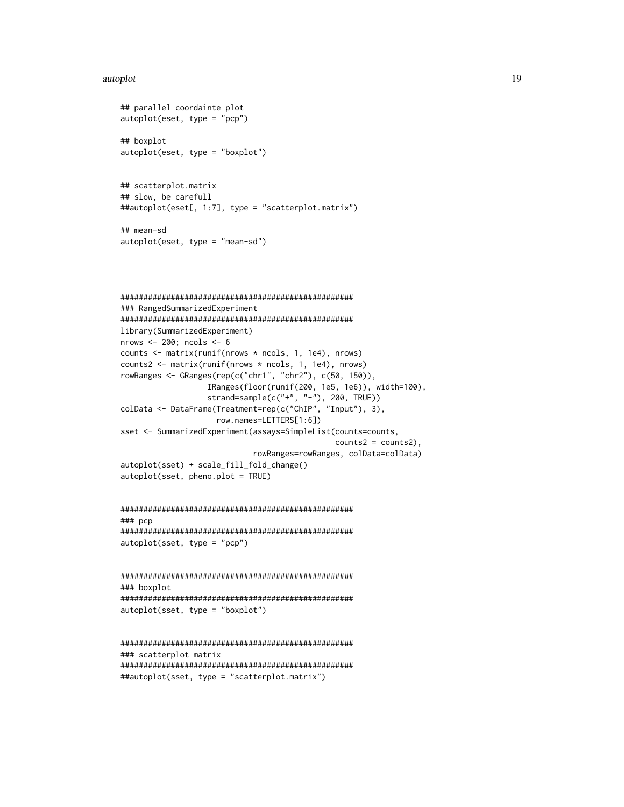```
## parallel coordainte plot
autoplot(eset, type = "pcp")
## boxplot
autoplot(eset, type = "boxplot")
## scatterplot.matrix
## slow, be carefull
##autoplot(eset[, 1:7], type = "scatterplot.matrix")
## mean-sd
autoplot(eset, type = "mean-sd")
### RangedSummarizedExperiment
library(SummarizedExperiment)
nrows <-200; ncols <-6counts <- matrix(runif(nrows * ncols, 1, 1e4), nrows)
counts2 <- matrix(runif(nrows * ncols, 1, 1e4), nrows)
rowRanges <- GRanges(rep(c("chr1", "chr2"), c(50, 150)),
              IRanges(floor(runif(200, 1e5, 1e6)), width=100),
              strand=sample(c("+", "-"), 200, TRUE))
colData <- DataFrame(Treatment=rep(c("ChIP", "Input"), 3),
                row.names=LETTERS[1:6])
sset <- SummarizedExperiment(assays=SimpleList(counts=counts,
                                    counts2 = counts2,
                      rowRanges=rowRanges, colData=colData)
autoplot(sset) + scale_fill_fold_change()
autoplot(sset, phone.plot = TRUE)### pcp
autoplot(sset, type = "pcp")
```

```
### boxplot
autoplot(sset, type = "boxplot")
```

```
### scatterplot matrix
##autoplot(sset, type = "scatterplot.matrix")
```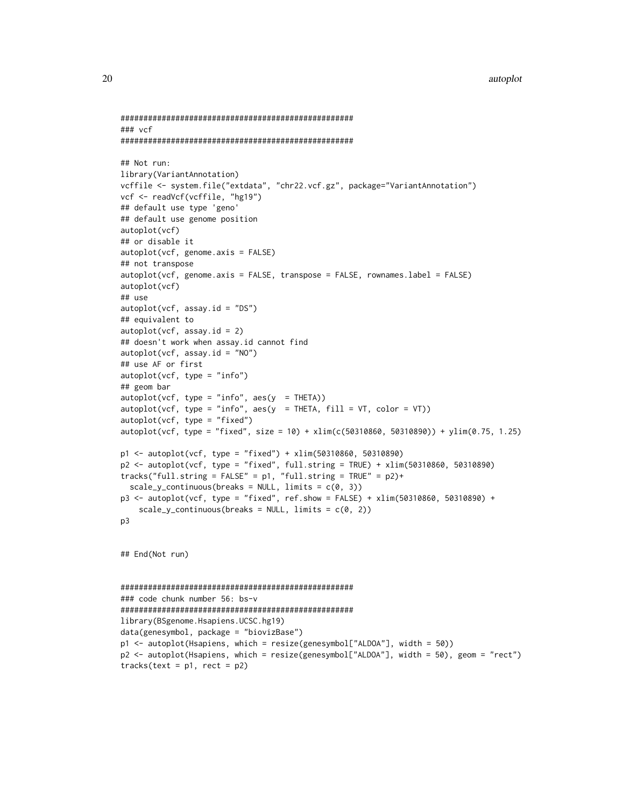```
###################################################
### vcf
###################################################
## Not run:
library(VariantAnnotation)
vcffile <- system.file("extdata", "chr22.vcf.gz", package="VariantAnnotation")
vcf <- readVcf(vcffile, "hg19")
## default use type 'geno'
## default use genome position
autoplot(vcf)
## or disable it
autoplot(vcf, genome.axis = FALSE)
## not transpose
autoplot(vcf, genome.axis = FALSE, transpose = FALSE, rownames.label = FALSE)
autoplot(vcf)
## use
autoplot(vcf, assay.id = "DS")## equivalent to
autoplot(vcf, assay.id = 2)## doesn't work when assay.id cannot find
autoplot(vcf, assay.id = "NO")
## use AF or first
autoplot(vcf, type = "info")
## geom bar
autoplot(vcf, type = "info", aes(y = THETA))autoplot(vcf, type = "info", aes(y = THETA, fill = VT, color = VT))autoplot(vcf, type = "fixed")
autoplot(vcf, type = "fixed", size = 10) + xlim(c(50310860, 50310890)) + ylim(0.75, 1.25)
p1 <- autoplot(vcf, type = "fixed") + xlim(50310860, 50310890)
p2 <- autoplot(vcf, type = "fixed", full.string = TRUE) + xlim(50310860, 50310890)
tracks("full-string = FALSE" = p1, "full-string = TRUE" = p2)+scale_y_continuous(breaks = NULL, limits = c(0, 3))p3 <- autoplot(vcf, type = "fixed", ref.show = FALSE) + xlim(50310860, 50310890) +
    scale_y_continuous(breaks = NULL, limits = c(0, 2))p3
## End(Not run)
###################################################
### code chunk number 56: bs-v
###################################################
library(BSgenome.Hsapiens.UCSC.hg19)
data(genesymbol, package = "biovizBase")
p1 <- autoplot(Hsapiens, which = resize(genesymbol["ALDOA"], width = 50))
p2 <- autoplot(Hsapiens, which = resize(genesymbol["ALDOA"], width = 50), geom = "rect")
tracks(text = p1, rect = p2)
```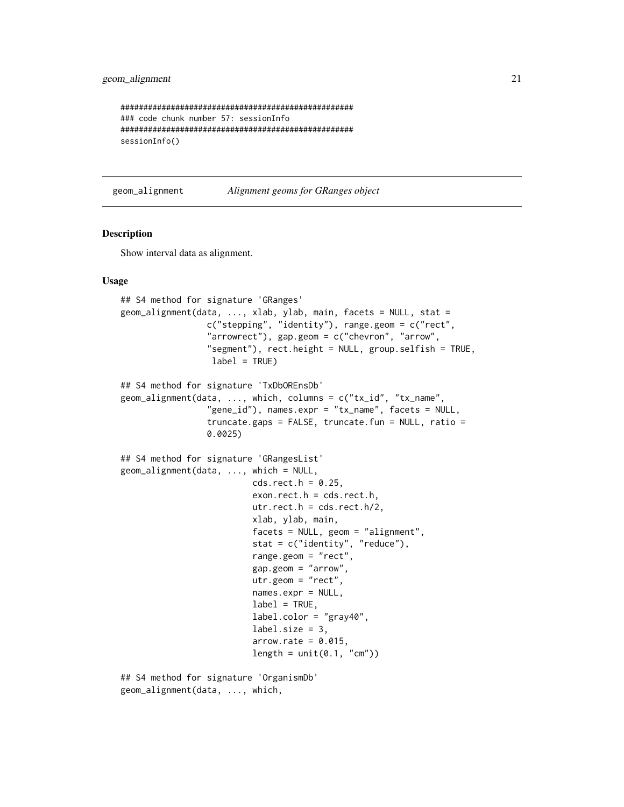## <span id="page-20-0"></span>geom\_alignment 21

```
###################################################
### code chunk number 57: sessionInfo
###################################################
sessionInfo()
```
geom\_alignment *Alignment geoms for GRanges object*

#### **Description**

Show interval data as alignment.

#### Usage

```
## S4 method for signature 'GRanges'
geom_alignment(data, ..., xlab, ylab, main, facets = NULL, stat =
                 c("stepping", "identity"), range.geom = c("rect",
                 "arrowrect"), gap.geom = c("chevron", "arrow",
                 "segment"), rect.height = NULL, group.selfish = TRUE,
                  label = TRUE)
## S4 method for signature 'TxDbOREnsDb'
geom_alignment(data, ..., which, columns = c("tx_id", "tx_name",
                 "gene_id"), names.expr = "tx_name", facets = NULL,
                 truncate.gaps = FALSE, truncate.fun = NULL, ratio =
                 0.0025)
## S4 method for signature 'GRangesList'
geom_alignment(data, ..., which = NULL,
                          cds.rect.h = 0.25,
                          exon.rect.h = cds.rect.h,
                          utr.rect.h = cds.rect.h/2,xlab, ylab, main,
                          facets = NULL, geom = "alignment",
                          stat = c("identity", "reduce"),
                          range.geom = "rect",
                          gap.geom = "arrow",
                          utr.geom = "rect",
                          names.expr = NULL,
                          label = TRUE,label.color = "gray40",
                          label.size = 3.
                          arrow rate = 0.015,
                          length = unit(0.1, "cm")
```
## S4 method for signature 'OrganismDb' geom\_alignment(data, ..., which,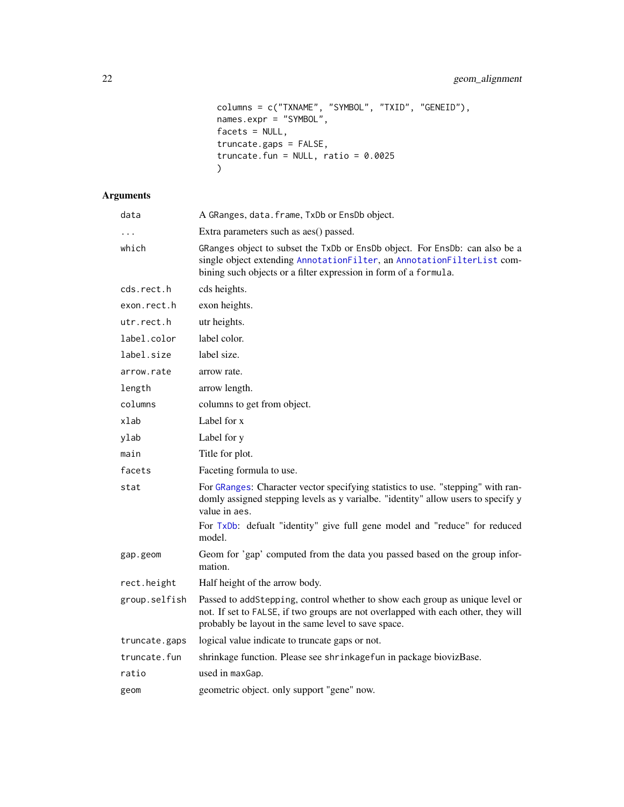```
columns = c("TXNAME", "SYMBOL", "TXID", "GENEID"),
names.expr = "SYMBOL",
factors = NULL,truncate.gaps = FALSE,
truncate.fun = NULL, ratio = 0.0025\overline{)}
```
## Arguments

| data          | A GRanges, data. frame, TxDb or EnsDb object.                                                                                                                                                                             |
|---------------|---------------------------------------------------------------------------------------------------------------------------------------------------------------------------------------------------------------------------|
| $\cdots$      | Extra parameters such as aes() passed.                                                                                                                                                                                    |
| which         | GRanges object to subset the TxDb or EnsDb object. For EnsDb: can also be a<br>single object extending AnnotationFilter, an AnnotationFilterList com-<br>bining such objects or a filter expression in form of a formula. |
| cds.rect.h    | cds heights.                                                                                                                                                                                                              |
| exon.rect.h   | exon heights.                                                                                                                                                                                                             |
| utr.rect.h    | utr heights.                                                                                                                                                                                                              |
| label.color   | label color.                                                                                                                                                                                                              |
| label.size    | label size.                                                                                                                                                                                                               |
| arrow.rate    | arrow rate.                                                                                                                                                                                                               |
| length        | arrow length.                                                                                                                                                                                                             |
| columns       | columns to get from object.                                                                                                                                                                                               |
| xlab          | Label for x                                                                                                                                                                                                               |
| ylab          | Label for y                                                                                                                                                                                                               |
| main          | Title for plot.                                                                                                                                                                                                           |
| facets        | Faceting formula to use.                                                                                                                                                                                                  |
| stat          | For GRanges: Character vector specifying statistics to use. "stepping" with ran-<br>domly assigned stepping levels as y varialbe. "identity" allow users to specify y<br>value in aes.                                    |
|               | For TxDb: defualt "identity" give full gene model and "reduce" for reduced<br>model.                                                                                                                                      |
| gap.geom      | Geom for 'gap' computed from the data you passed based on the group infor-<br>mation.                                                                                                                                     |
| rect.height   | Half height of the arrow body.                                                                                                                                                                                            |
| group.selfish | Passed to addStepping, control whether to show each group as unique level or<br>not. If set to FALSE, if two groups are not overlapped with each other, they will<br>probably be layout in the same level to save space.  |
| truncate.gaps | logical value indicate to truncate gaps or not.                                                                                                                                                                           |
| truncate.fun  | shrinkage function. Please see shrinkagefun in package biovizBase.                                                                                                                                                        |
| ratio         | used in maxGap.                                                                                                                                                                                                           |
| geom          | geometric object. only support "gene" now.                                                                                                                                                                                |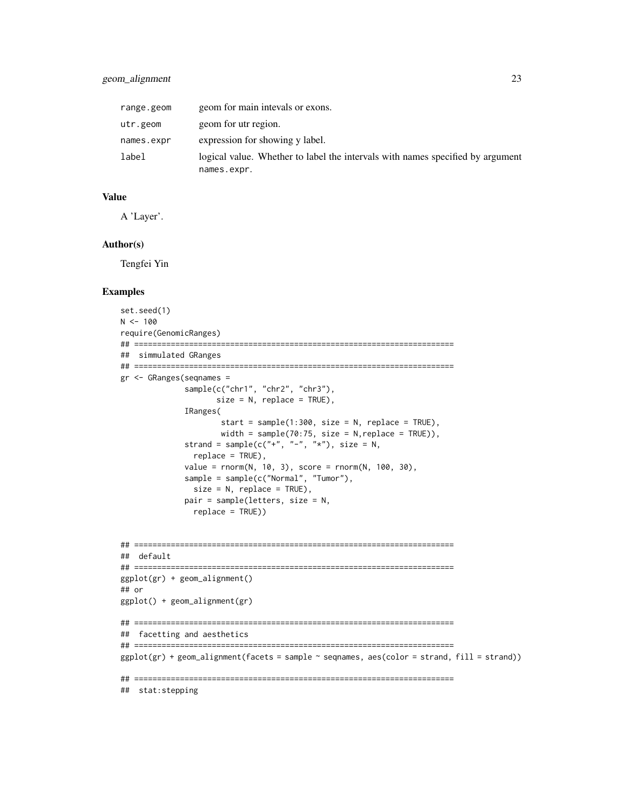| range.geom | geom for main intevals or exons.                                                              |
|------------|-----------------------------------------------------------------------------------------------|
| utr.geom   | geom for utr region.                                                                          |
| names.expr | expression for showing y label.                                                               |
| label      | logical value. Whether to label the intervals with names specified by argument<br>names.expr. |

## Value

A 'Layer'.

#### Author(s)

Tengfei Yin

## Examples

```
set.seed(1)
N < - 100require(GenomicRanges)
## ======================================================================
## simmulated GRanges
## ======================================================================
gr <- GRanges(seqnames =
              sample(c("chr1", "chr2", "chr3"),
                     size = N, replace = TRUE),
              IRanges(
                      start = sample(1:300, size = N, replace = TRUE),
                     width = sample(70:75, size = N, replace = TRUE)),
              strand = sample(c("+", "-", "*"), size = N,
                replace = TRUE),
              value = rnorm(N, 10, 3), score = rnorm(N, 100, 30),
              sample = sample(c("Normal", "Tumor"),
                size = N, replace = TRUE),
              pair = sample(letters, size = N,
                replace = TRUE))
## ======================================================================
## default
## ======================================================================
ggplot(gr) + geom_alignment()
## or
ggplot() + geom_alignment(gr)
## ======================================================================
## facetting and aesthetics
## ======================================================================
```
 $ggplot(gr) + geom\_alignment(facets = sample ~ & segnames, \, \, \text{aes}(\text{color} = strand, \, \text{fill} = strand))$ 

## ======================================================================

## stat:stepping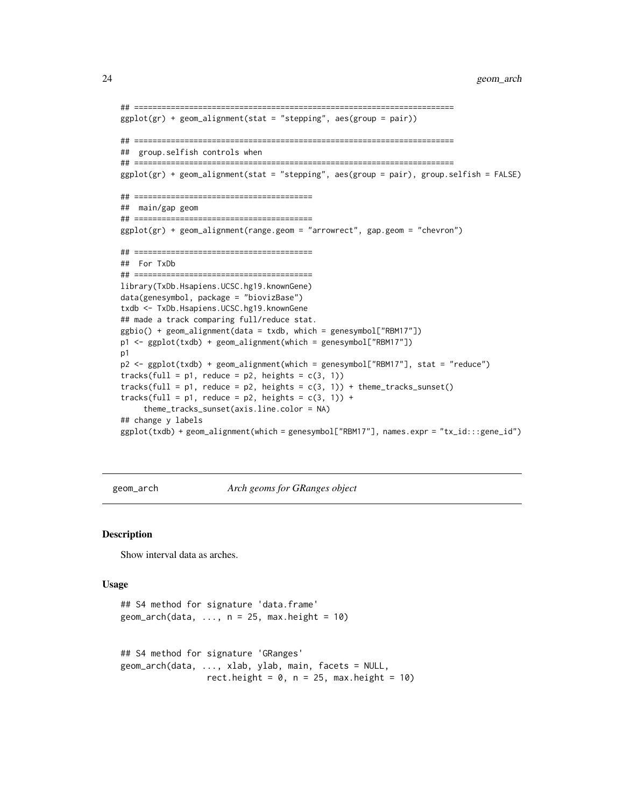```
## ======================================================================
ggplot(gr) + geom\_alignment(stat = "stepping", aes(group = pair))## ======================================================================
## group.selfish controls when
## ======================================================================
ggplot(gr) + geom_alignment(stat = "stepping", aes(group = pair), group.selfish = FALSE)
## =======================================
## main/gap geom
## =======================================
ggplot(gr) + geom_alignment(range.geom = "arrowrect", gap.geom = "chevron")
## =======================================
## For TxDb
## =======================================
library(TxDb.Hsapiens.UCSC.hg19.knownGene)
data(genesymbol, package = "biovizBase")
txdb <- TxDb.Hsapiens.UCSC.hg19.knownGene
## made a track comparing full/reduce stat.
ggbio() + geom\_alignment(data = txdb, which = genesymbol["RBM17"])p1 <- ggplot(txdb) + geom_alignment(which = genesymbol["RBM17"])
p1
p2 <- ggplot(txdb) + geom_alignment(which = genesymbol["RBM17"], stat = "reduce")
tracks(full = p1, reduce = p2, heights = c(3, 1))tracks(full = pi), reduce = pi), heights = c(3, 1)) + theme_tracks_sunset()
tracks(full = p1, reduce = p2, heights = c(3, 1)) +
     theme_tracks_sunset(axis.line.color = NA)
## change y labels
ggplot(txdb) + geom_alignment(which = genesymbol["RBM17"], names.expr = "tx_id:::gene_id")
```
geom\_arch *Arch geoms for GRanges object*

#### **Description**

Show interval data as arches.

#### Usage

```
## S4 method for signature 'data.frame'
geom\_arch(data, ..., n = 25, max.height = 10)## S4 method for signature 'GRanges'
geom_arch(data, ..., xlab, ylab, main, facets = NULL,
                 rect.height = 0, n = 25, max.height = 10)
```
<span id="page-23-0"></span>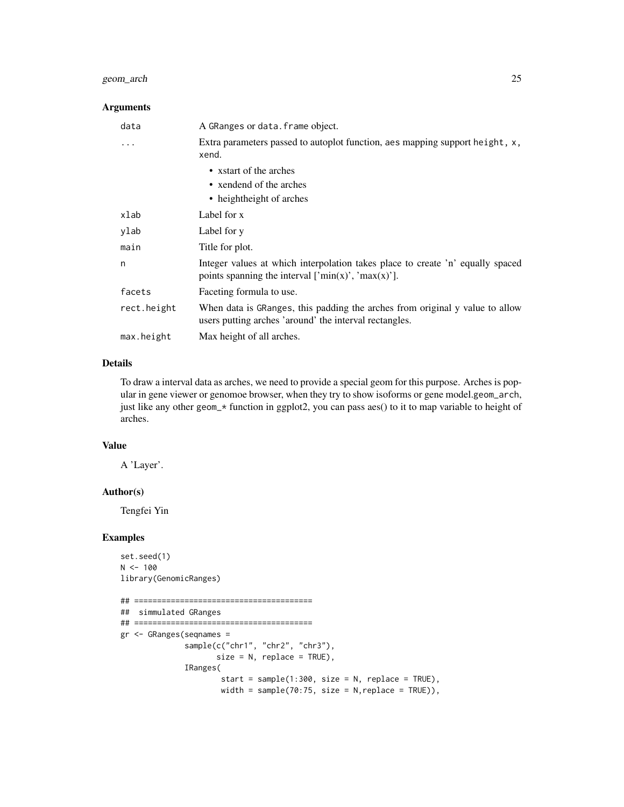## geom\_arch 25

## Arguments

| data        | A GRanges or data. frame object.                                                                                                                          |
|-------------|-----------------------------------------------------------------------------------------------------------------------------------------------------------|
| .           | Extra parameters passed to autoplot function, aes mapping support height, $x$ ,<br>xend.                                                                  |
|             | • x start of the arches                                                                                                                                   |
|             | • xendend of the arches                                                                                                                                   |
|             | • heightheight of arches                                                                                                                                  |
| xlab        | Label for x                                                                                                                                               |
| ylab        | Label for y                                                                                                                                               |
| main        | Title for plot.                                                                                                                                           |
| n           | Integer values at which interpolation takes place to create 'n' equally spaced<br>points spanning the interval $[{}'min(x)$ <sup>'</sup> , ' $max(x)$ ']. |
| facets      | Faceting formula to use.                                                                                                                                  |
| rect.height | When data is GRanges, this padding the arches from original y value to allow<br>users putting arches 'around' the interval rectangles.                    |
| max.height  | Max height of all arches.                                                                                                                                 |

## Details

To draw a interval data as arches, we need to provide a special geom for this purpose. Arches is popular in gene viewer or genomoe browser, when they try to show isoforms or gene model.geom\_arch, just like any other geom\_\* function in ggplot2, you can pass aes() to it to map variable to height of arches.

#### Value

A 'Layer'.

#### Author(s)

Tengfei Yin

## Examples

set.seed(1)  $N < - 100$ library(GenomicRanges)

```
## =======================================
## simmulated GRanges
## =======================================
gr <- GRanges(seqnames =
              sample(c("chr1", "chr2", "chr3"),
                     size = N, replace = TRUE),
             IRanges(
                     start = sample(1:300, size = N, replace = TRUE),width = sample(70:75, size = N, replace = TRUE)),
```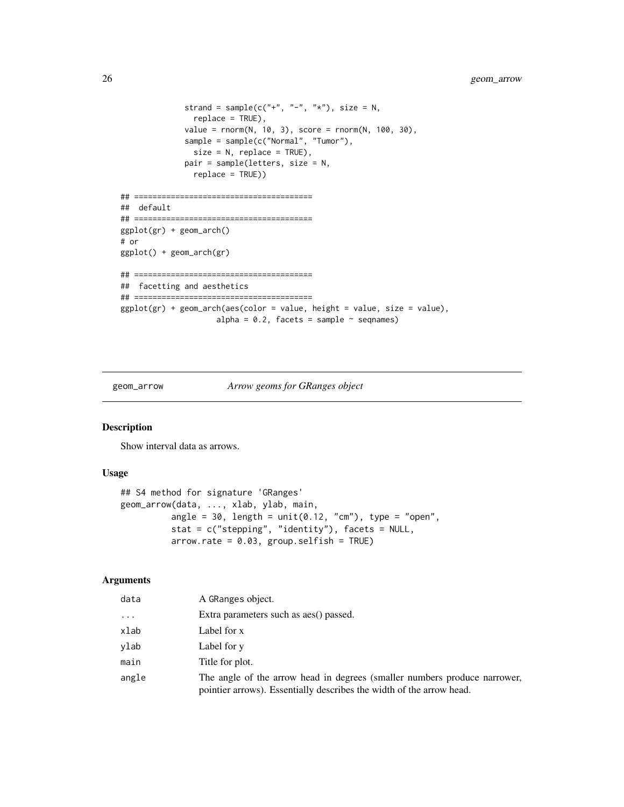```
strand = sample(c("+", "-", "*"), size = N,
               replace = TRUE),
              value = rnorm(N, 10, 3), score = rnorm(N, 100, 30),
              sample = sample(c("Normal", "Tumor"),
               size = N, replace = TRUE),
              pair = sample(letters, size = N,
               replace = TRUE))
## =======================================
## default
## =======================================
ggplot(gr) + geom_arch()
# or
ggplot() + geom_arch(gr)
## =======================================
## facetting and aesthetics
## =======================================
ggplot(gr) + geom_arch(aes(color = value, height = value, size = value),alpha = 0.2, facets = sample \sim seqnames)
```
geom\_arrow *Arrow geoms for GRanges object*

#### Description

Show interval data as arrows.

#### Usage

```
## S4 method for signature 'GRanges'
geom_arrow(data, ..., xlab, ylab, main,
          angle = 30, length = unit(0.12, "cm"), type = "open",
          stat = c("stepping", "identity"), facets = NULL,
          arrow rate = 0.03, group.setfish = TRUE)
```
#### Arguments

| data     | A GRanges object.                                                                                                                                 |
|----------|---------------------------------------------------------------------------------------------------------------------------------------------------|
| $\ddots$ | Extra parameters such as aes() passed.                                                                                                            |
| xlab     | Label for x                                                                                                                                       |
| ylab     | Label for y                                                                                                                                       |
| main     | Title for plot.                                                                                                                                   |
| angle    | The angle of the arrow head in degrees (smaller numbers produce narrower,<br>pointier arrows). Essentially describes the width of the arrow head. |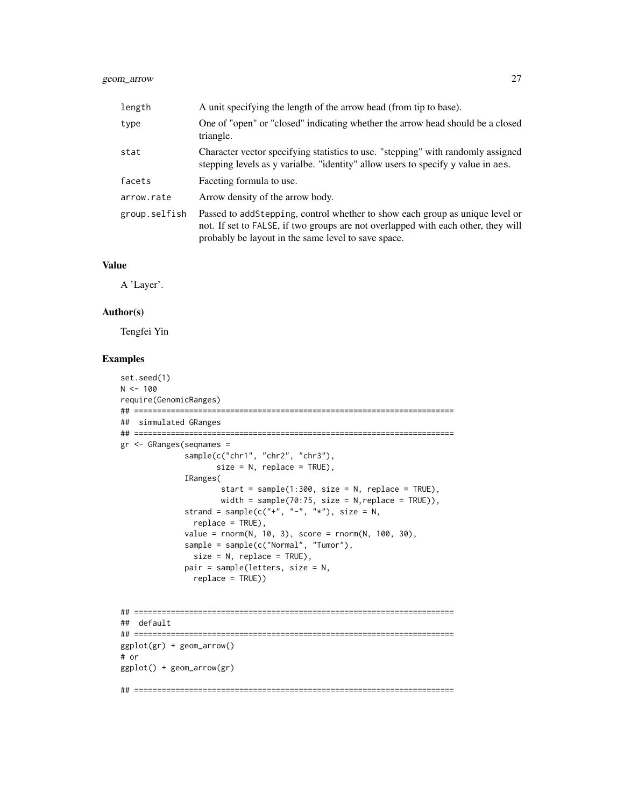## geom\_arrow 27

| length        | A unit specifying the length of the arrow head (from tip to base).                                                                                                                                                       |
|---------------|--------------------------------------------------------------------------------------------------------------------------------------------------------------------------------------------------------------------------|
| type          | One of "open" or "closed" indicating whether the arrow head should be a closed<br>triangle.                                                                                                                              |
| stat          | Character vector specifying statistics to use. "stepping" with randomly assigned<br>stepping levels as y variable. "identity" allow users to specify y value in aes.                                                     |
| facets        | Faceting formula to use.                                                                                                                                                                                                 |
| arrow.rate    | Arrow density of the arrow body.                                                                                                                                                                                         |
| group.selfish | Passed to addStepping, control whether to show each group as unique level or<br>not. If set to FALSE, if two groups are not overlapped with each other, they will<br>probably be layout in the same level to save space. |

#### Value

A 'Layer'.

#### Author(s)

Tengfei Yin

## Examples

```
set.seed(1)
N < - 100require(GenomicRanges)
## ======================================================================
## simmulated GRanges
## ======================================================================
gr <- GRanges(seqnames =
              sample(c("chr1", "chr2", "chr3"),
                     size = N, replace = TRUE),
             IRanges(
                      start = sample(1:300, size = N, replace = TRUE),width = sample(70:75, size = N, replace = TRUE)),
              strand = sample(c("+", "-", "*"), size = N,
                replace = TRUE),
             value = rnorm(N, 10, 3), score = rnorm(N, 100, 30),
              sample = sample(c("Normal", "Tumor"),
                size = N, replace = TRUE),
             pair = sample(letters, size = N,
                replace = TRUE))
## ======================================================================
## default
## ======================================================================
ggplot(gr) + geom_arrow()
# or
ggplot() + geom_arrow(gr)
## ======================================================================
```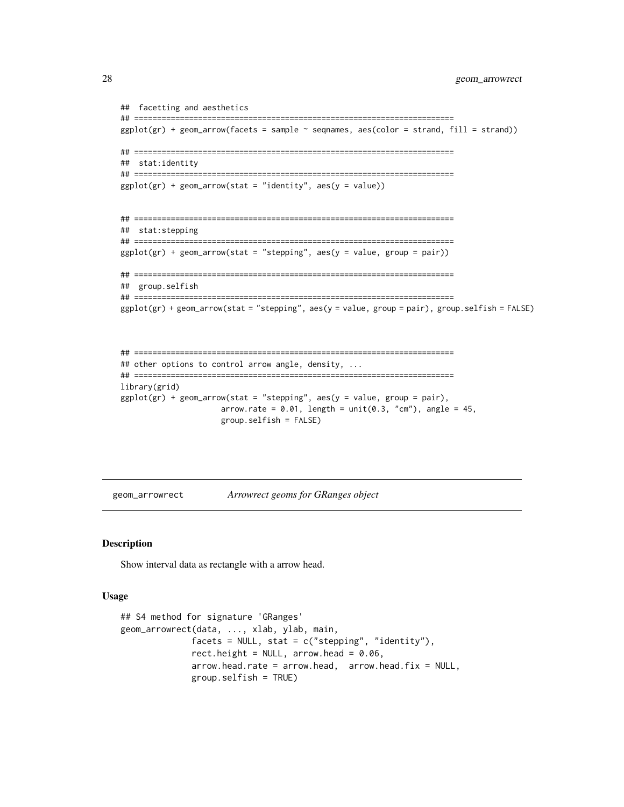```
## facetting and aesthetics
## ======================================================================
ggplot(gr) + geom_arrow(facets = sample ~ sequence, aesc(color = strand, fill = strand))## ======================================================================
## stat:identity
## ======================================================================
ggplot(gr) + geom_arrow(stat = "identity", aes(y = value))## ======================================================================
## stat:stepping
## ======================================================================
ggplot(gr) + geom_arrow(stat = "stepping", aes(y = value, group = pair))## ======================================================================
## group.selfish
## ======================================================================
ggplot(gr) + geom_arrow(stat = "stepping", aes(y = value, group = pair), group.selfish = FALSE)
```

```
## ======================================================================
## other options to control arrow angle, density, ...
## ======================================================================
library(grid)
ggplot(gr) + geom_arrow(stat = "stepping", aes(y = value, group = pair),arrow.rate = 0.01, length = unit(0.3, "cm"), angle = 45,
                     group.selfish = FALSE)
```
geom\_arrowrect *Arrowrect geoms for GRanges object*

## Description

Show interval data as rectangle with a arrow head.

#### Usage

```
## S4 method for signature 'GRanges'
geom_arrowrect(data, ..., xlab, ylab, main,
              facets = NULL, stat = c("stepping", "identity"),
              rect.height = NULL, arrow.head = 0.06,
              arrow.head.rate = arrow.head, arrow.head, arrow.head.fix = NULL,group.selfish = TRUE)
```
<span id="page-27-0"></span>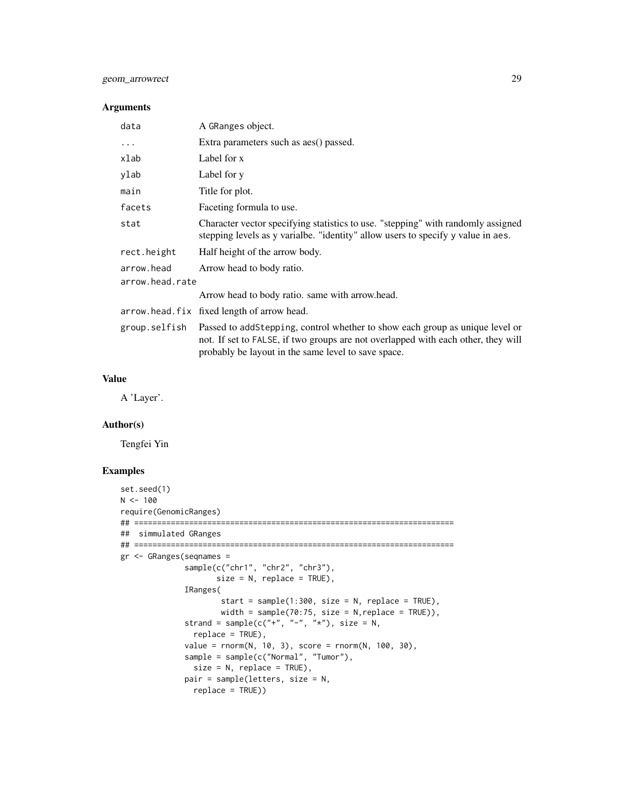## geom\_arrowrect 29

## Arguments

| data            | A GRanges object.                                                                                                                                                                                                        |
|-----------------|--------------------------------------------------------------------------------------------------------------------------------------------------------------------------------------------------------------------------|
| $\cdots$        | Extra parameters such as aes() passed.                                                                                                                                                                                   |
| xlab            | Label for x                                                                                                                                                                                                              |
| ylab            | Label for y                                                                                                                                                                                                              |
| main            | Title for plot.                                                                                                                                                                                                          |
| facets          | Faceting formula to use.                                                                                                                                                                                                 |
| stat            | Character vector specifying statistics to use. "stepping" with randomly assigned<br>stepping levels as y varialbe. "identity" allow users to specify y value in aes.                                                     |
| rect.height     | Half height of the arrow body.                                                                                                                                                                                           |
| arrow.head      | Arrow head to body ratio.                                                                                                                                                                                                |
| arrow.head.rate |                                                                                                                                                                                                                          |
|                 | Arrow head to body ratio. same with arrow.head.                                                                                                                                                                          |
|                 | arrow.head.fix fixed length of arrow head.                                                                                                                                                                               |
| group.selfish   | Passed to addStepping, control whether to show each group as unique level or<br>not. If set to FALSE, if two groups are not overlapped with each other, they will<br>probably be layout in the same level to save space. |

#### Value

A 'Layer'.

#### Author(s)

Tengfei Yin

## Examples

```
set.seed(1)
N < - 100require(GenomicRanges)
## ======================================================================
## simmulated GRanges
## ======================================================================
gr <- GRanges(seqnames =
             sample(c("chr1", "chr2", "chr3"),
                     size = N, replace = TRUE),
             IRanges(
                      start = sample(1:300, size = N, replace = TRUE),
                     width = sample(70:75, size = N, replace = TRUE)),
              strand = sample(c("+", "-", "*"), size = N,
                replace = TRUE),
              value = rnorm(N, 10, 3), score = rnorm(N, 100, 30),
              sample = sample(c("Normal", "Tumor"),
                size = N, replace = TRUE),
             pair = sample(letters, size = N,
                replace = TRUE))
```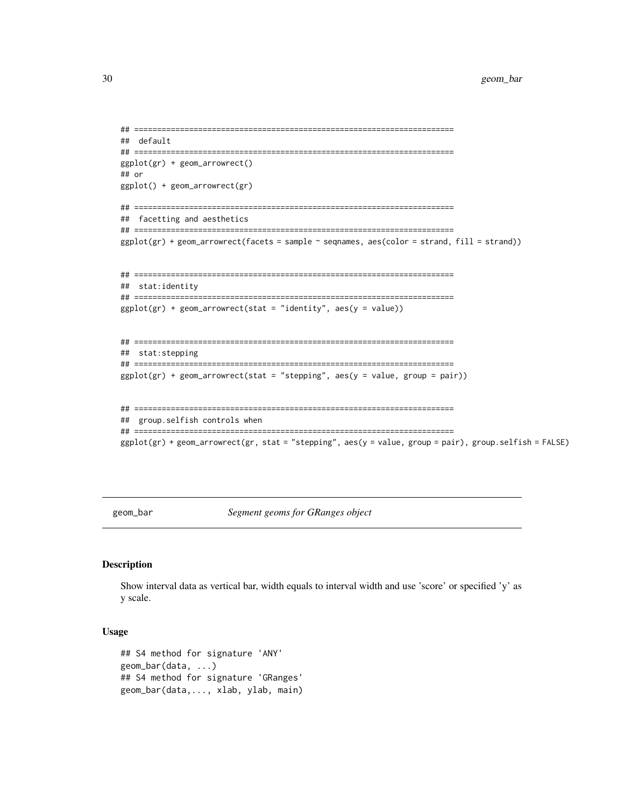```
## ======================================================================
## default
## ======================================================================
ggplot(gr) + geom_arrowrect()
## or
ggplot() + geom_arrowrect(gr)
## ======================================================================
## facetting and aesthetics
## ======================================================================
ggplot(gr) + geomarrowrect(facets = sample ~ sequences, aes(color = strand, fill = strand))## ======================================================================
## stat:identity
## ======================================================================
ggplot(gr) + geom_arrowrect(stat = "identity", aes(y = value))## ======================================================================
## stat:stepping
## ======================================================================
ggplot(gr) + geom_arrowvector(tstat = "stepping", aes(y = value, group = pair))## ======================================================================
## group.selfish controls when
## ======================================================================
ggplot(gr) + geom_arrowrect(gr, stat = "stepping", aes(y = value, group = pair), group.selfish = FALSE)
```
geom\_bar *Segment geoms for GRanges object*

#### Description

Show interval data as vertical bar, width equals to interval width and use 'score' or specified 'y' as y scale.

#### Usage

```
## S4 method for signature 'ANY'
geom_bar(data, ...)
## S4 method for signature 'GRanges'
geom_bar(data,..., xlab, ylab, main)
```
<span id="page-29-0"></span>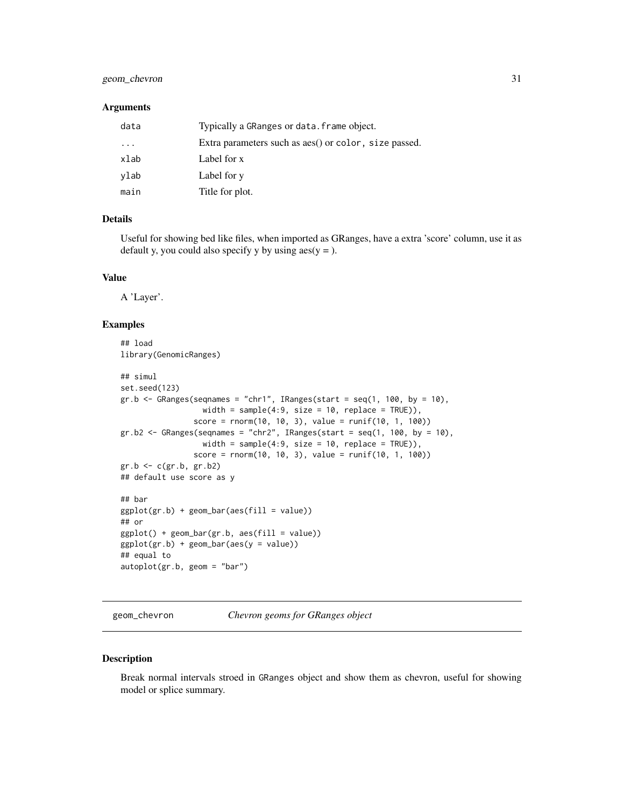## <span id="page-30-0"></span>geom\_chevron 31

#### **Arguments**

| data     | Typically a GRanges or data. frame object.            |
|----------|-------------------------------------------------------|
| $\ddots$ | Extra parameters such as aes() or color, size passed. |
| xlab     | Label for x                                           |
| ylab     | Label for y                                           |
| main     | Title for plot.                                       |

## Details

Useful for showing bed like files, when imported as GRanges, have a extra 'score' column, use it as default y, you could also specify y by using  $aes(y =)$ .

#### Value

A 'Layer'.

#### Examples

```
## load
library(GenomicRanges)
## simul
set.seed(123)
gr.b \leftarrow GRanges(seqnames = "chr1", IRanges(start = seq(1, 100, by = 10),
                  width = sample(4:9, size = 10, replace = TRUE)),score = rnorm(10, 10, 3), value = runif(10, 1, 100)gr.b2 \leq GRanges(seqnames = "chr2", IRanges(start = seq(1, 100, by = 10),width = sample(4:9, \text{ size} = 10, \text{ replace} = \text{TRUE})),
                score = rnorm(10, 10, 3), value = runif(10, 1, 100)gr.b <- c(gr.b, gr.b2)
## default use score as y
## bar
ggplot(gr.b) + geom-bar(aes(fill = value))## or
ggplot() + geom_bar(gr.b, aes(fill = value))
ggplot(gr.b) + geom-bar(aes(y = value))## equal to
autoplot(gr.b, geom = "bar")
```
geom\_chevron *Chevron geoms for GRanges object*

#### Description

Break normal intervals stroed in GRanges object and show them as chevron, useful for showing model or splice summary.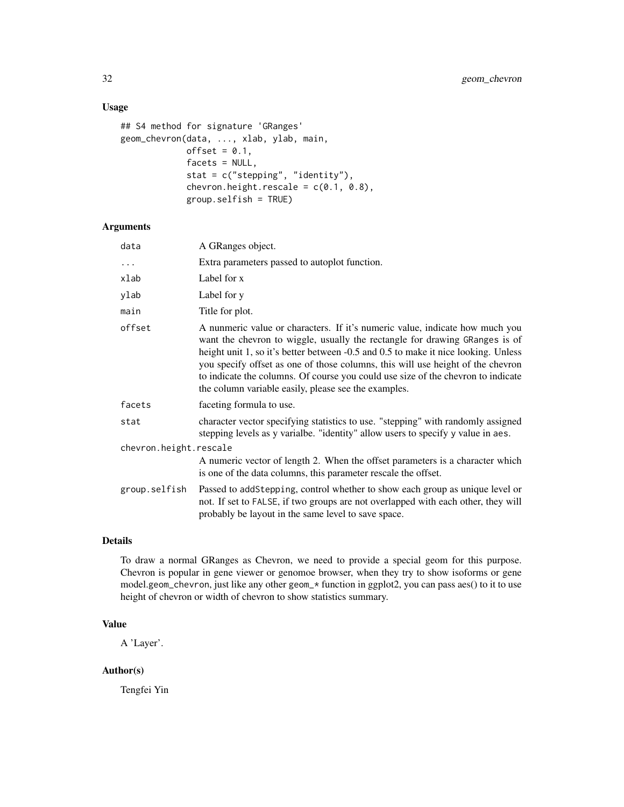## Usage

```
## S4 method for signature 'GRanges'
geom_chevron(data, ..., xlab, ylab, main,
             offset = 0.1,
             facets = NULL,
             stat = c("stepping", "identity"),
             chevron.height.rescale = c(0.1, 0.8),
             group.selfish = TRUE)
```
## Arguments

| data                   | A GRanges object.                                                                                                                                                                                                                                                                                                                                                                                                                                                                |
|------------------------|----------------------------------------------------------------------------------------------------------------------------------------------------------------------------------------------------------------------------------------------------------------------------------------------------------------------------------------------------------------------------------------------------------------------------------------------------------------------------------|
| $\ddots$               | Extra parameters passed to autoplot function.                                                                                                                                                                                                                                                                                                                                                                                                                                    |
| xlab                   | Label for x                                                                                                                                                                                                                                                                                                                                                                                                                                                                      |
| ylab                   | Label for y                                                                                                                                                                                                                                                                                                                                                                                                                                                                      |
| main                   | Title for plot.                                                                                                                                                                                                                                                                                                                                                                                                                                                                  |
| offset                 | A nunmeric value or characters. If it's numeric value, indicate how much you<br>want the chevron to wiggle, usually the rectangle for drawing GRanges is of<br>height unit 1, so it's better between -0.5 and 0.5 to make it nice looking. Unless<br>you specify offset as one of those columns, this will use height of the chevron<br>to indicate the columns. Of course you could use size of the chevron to indicate<br>the column variable easily, please see the examples. |
| facets                 | faceting formula to use.                                                                                                                                                                                                                                                                                                                                                                                                                                                         |
| stat                   | character vector specifying statistics to use. "stepping" with randomly assigned<br>stepping levels as y varialbe. "identity" allow users to specify y value in aes.                                                                                                                                                                                                                                                                                                             |
| chevron.height.rescale |                                                                                                                                                                                                                                                                                                                                                                                                                                                                                  |
|                        | A numeric vector of length 2. When the offset parameters is a character which<br>is one of the data columns, this parameter rescale the offset.                                                                                                                                                                                                                                                                                                                                  |
| group.selfish          | Passed to addStepping, control whether to show each group as unique level or<br>not. If set to FALSE, if two groups are not overlapped with each other, they will<br>probably be layout in the same level to save space.                                                                                                                                                                                                                                                         |

## Details

To draw a normal GRanges as Chevron, we need to provide a special geom for this purpose. Chevron is popular in gene viewer or genomoe browser, when they try to show isoforms or gene model.geom\_chevron, just like any other geom\_\* function in ggplot2, you can pass aes() to it to use height of chevron or width of chevron to show statistics summary.

## Value

A 'Layer'.

## Author(s)

Tengfei Yin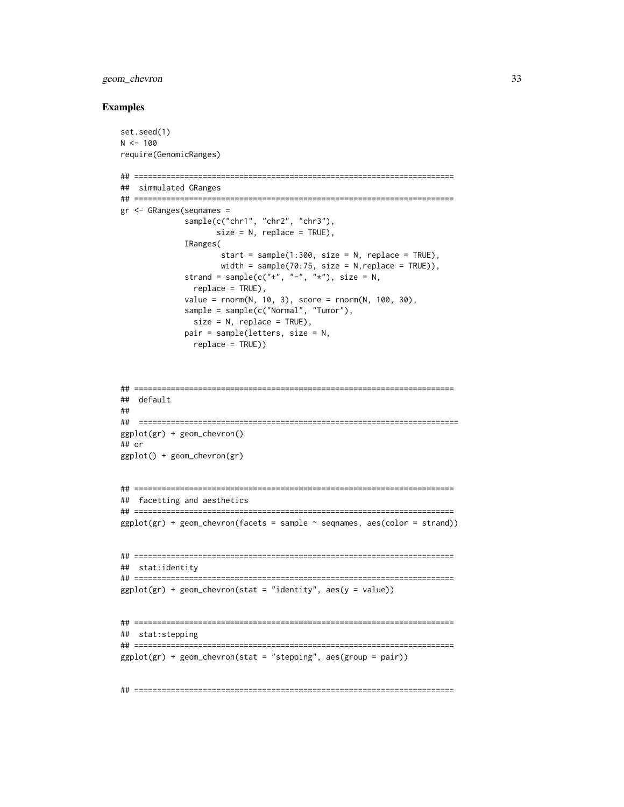## geom\_chevron 33

#### Examples

```
set.seed(1)
N < - 100require(GenomicRanges)
## ======================================================================
## simmulated GRanges
## ======================================================================
gr <- GRanges(seqnames =
              sample(c("chr1", "chr2", "chr3"),
                     size = N, replace = TRUE),
              IRanges(
                      start = sample(1:300, size = N, replace = TRUE),width = sample(70:75, size = N, replace = TRUE)),
              strand = sample(c("+", "-", "*"), size = N,
                replace = TRUE),
              value = rnorm(N, 10, 3), score = rnorm(N, 100, 30),
              sample = sample(c("Normal", "Tumor"),
                size = N, replace = TRUE),
              pair = sample(letters, size = N,
                replace = TRUE))
```

```
## ======================================================================
## default
##
## ======================================================================
ggplot(gr) + geom_chevron()
## or
ggplot() + geom_chevron(gr)
```

```
## ======================================================================
## facetting and aesthetics
## ======================================================================
ggplot(gr) + geom\_chevron(facets = sample ~ samples, aes(color = strand))
```

```
## ======================================================================
## stat:identity
## ======================================================================
ggplot(gr) + geom\_chevron(stat = "identity", aes(y = value))
```

```
## ======================================================================
## stat:stepping
## ======================================================================
ggplot(gr) + geom\_chevron(stat = "stepping", aes(group = pair))
```
## ======================================================================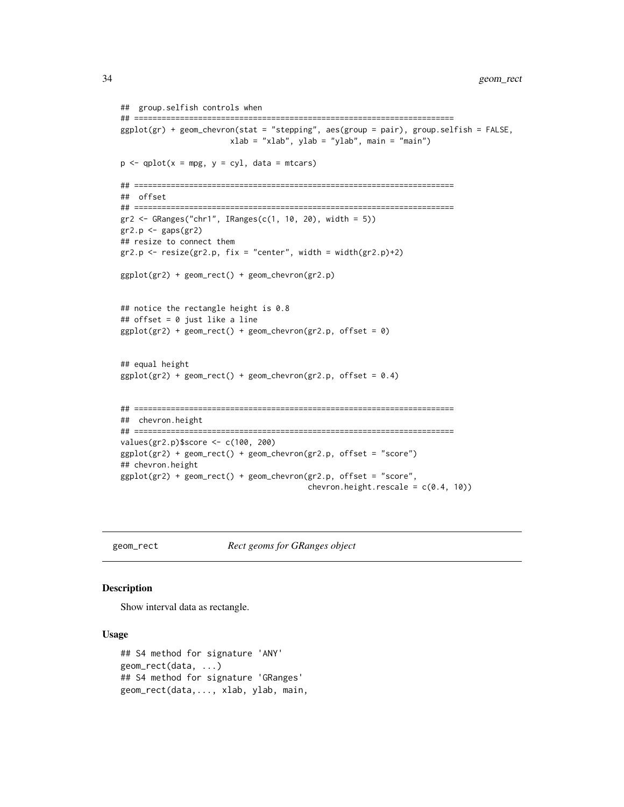```
## group.selfish controls when
## ======================================================================
ggplot(gr) + geom_chevron(stat = "stepping", aes(group = pair), group.selfish = FALSE,
                        xlab = "xlab", ylab = "ylab", main = "main")
p \leftarrow qplot(x = mpg, y = cyl, data = mtcars)## ======================================================================
## offset
## ======================================================================
gr2 \leq GRanges("chr1", IRanges(c(1, 10, 20), width = 5))gr2.p \leftarrow gaps(gr2)## resize to connect them
gr2.p \leftarrow resize(gr2.p, fix = "center", width = width(gr2.p)+2)ggplot(gr2) + geom_rect() + geom_chevron(gr2.p)
## notice the rectangle height is 0.8
## offset = 0 just like a line
ggplot(gr2) + geom_rect() + geom_chevron(gr2.p, offset = 0)
## equal height
ggplot(gr2) + geom\_rect() + geom\_chevron(gr2.p, offset = 0.4)## ======================================================================
## chevron.height
## ======================================================================
values(gr2.p)$score <- c(100, 200)
ggplot(gr2) + geom_rect() + geom_chevron(gr2.p, offset = "score")
## chevron.height
ggplot(gr2) + geom_rect() + geom_chevron(gr2.p, offset = "score",
                                          chevron.height.rescale = c(0.4, 10))
```
geom\_rect *Rect geoms for GRanges object*

## **Description**

Show interval data as rectangle.

#### Usage

```
## S4 method for signature 'ANY'
geom_rect(data, ...)
## S4 method for signature 'GRanges'
geom_rect(data,..., xlab, ylab, main,
```
<span id="page-33-0"></span>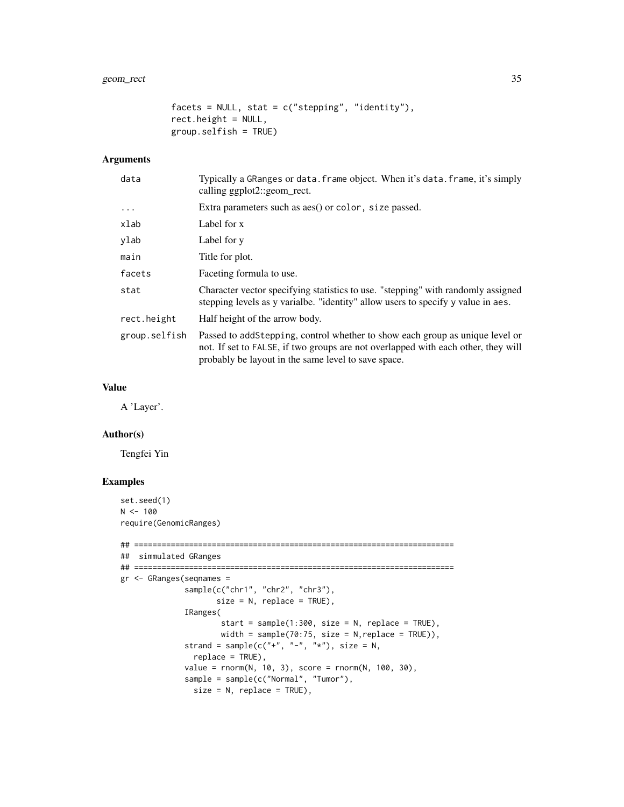```
factors = NULL, stat = c("stepping", "identity"),rect.height = NULL,
group.selfish = TRUE)
```
## Arguments

| Typically a GRanges or data. frame object. When it's data. frame, it's simply<br>calling ggplot2::geom_rect.                                                                                                             |
|--------------------------------------------------------------------------------------------------------------------------------------------------------------------------------------------------------------------------|
| Extra parameters such as aes() or color, size passed.                                                                                                                                                                    |
| Label for x                                                                                                                                                                                                              |
| Label for y                                                                                                                                                                                                              |
| Title for plot.                                                                                                                                                                                                          |
| Faceting formula to use.                                                                                                                                                                                                 |
| Character vector specifying statistics to use. "stepping" with randomly assigned<br>stepping levels as y variable. "identity" allow users to specify y value in aes.                                                     |
| Half height of the arrow body.                                                                                                                                                                                           |
| Passed to addStepping, control whether to show each group as unique level or<br>not. If set to FALSE, if two groups are not overlapped with each other, they will<br>probably be layout in the same level to save space. |
|                                                                                                                                                                                                                          |

## Value

A 'Layer'.

## Author(s)

Tengfei Yin

## Examples

```
set.seed(1)
N < - 100require(GenomicRanges)
## ======================================================================
## simmulated GRanges
## ======================================================================
gr <- GRanges(seqnames =
              sample(c("chr1", "chr2", "chr3"),
                     size = N, replace = TRUE),
              IRanges(
                      start = sample(1:300, size = N, replace = TRUE),width = sample(70:75, size = N, replace = TRUE)),
              strand = sample(c("+", "-", "**"), size = N,
                replace = TRUE),
              value = rnorm(N, 10, 3), score = rnorm(N, 100, 30),
              sample = sample(c("Normal", "Tumor"),
               size = N, replace = TRUE),
```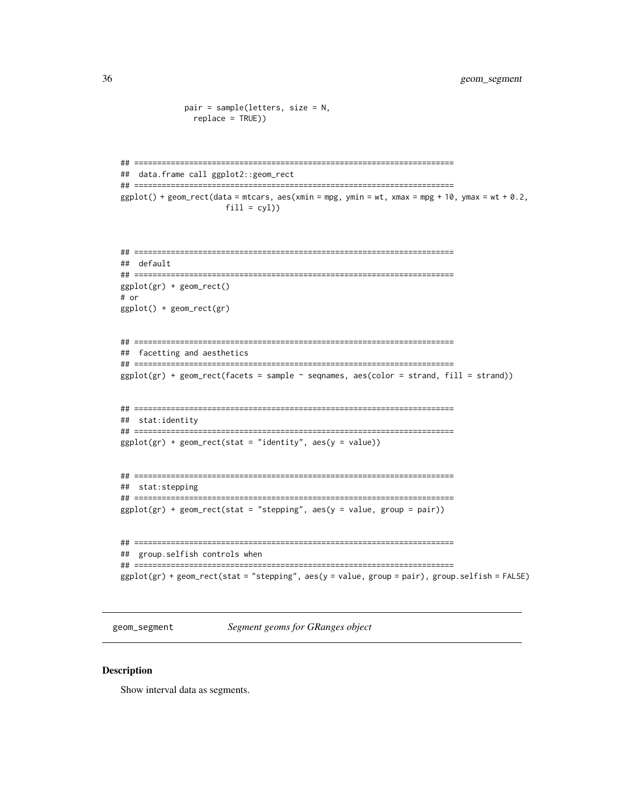```
pair = sample(letters, size = N,
      replace = TRUE))
## data.frame call ggplot2::geom_rect
ggplot() + geom\_rect(data = mtrans, aes(xmin = mpg, ymin = wt, xmax = mpg + 10, ymax = wt + 0.2,fill = cyl)
## default
ggplot(gr) + geom_rect()# or
ggplot() + geom_rect(gr)## facetting and aesthetics
ggplot(gr) + geom_rect(facets = sample ~ ~{segnames,} ~ase(color = strand, fill = strand))## stat:identity
ggplot(gr) + geom_rect(stat = "identity", aes(y = value))## stat: stepping
ggplot(gr) + geom_rect(stat = "stepping", aes(y = value, group = pair))## group.selfish controls when
ggplot(gr) + geom_rect(stat = "stepping", aes(y = value, group = pair), group.selfish = FALSE)
```

```
geom_segment
```
Segment geoms for GRanges object

#### **Description**

Show interval data as segments.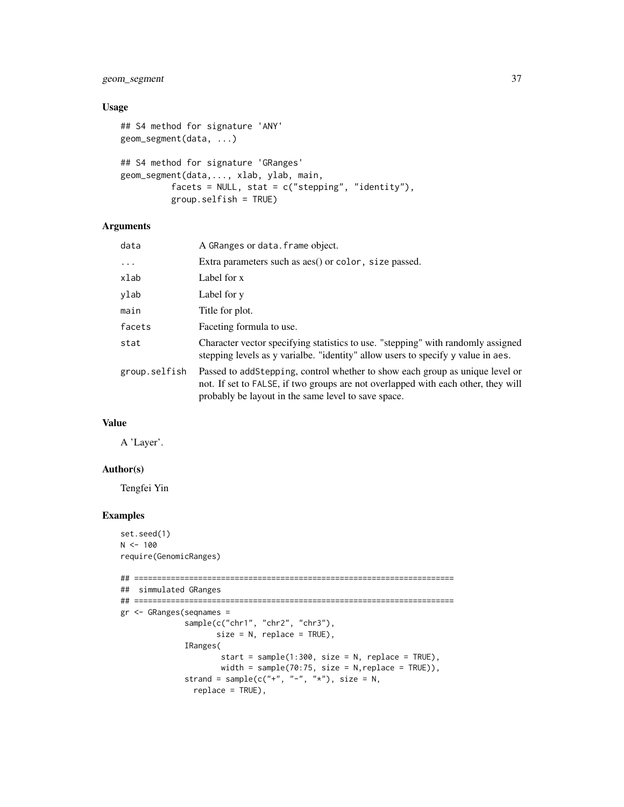## geom\_segment 37

## Usage

```
## S4 method for signature 'ANY'
geom_segment(data, ...)
## S4 method for signature 'GRanges'
geom_segment(data,..., xlab, ylab, main,
          facets = NULL, stat = c("stepping", "identity"),
          group.selfish = TRUE)
```
## Arguments

| data          | A GRanges or data. frame object.                                                                                                                                                                                         |
|---------------|--------------------------------------------------------------------------------------------------------------------------------------------------------------------------------------------------------------------------|
| $\cdots$      | Extra parameters such as aes() or color, size passed.                                                                                                                                                                    |
| xlab          | Label for x                                                                                                                                                                                                              |
| ylab          | Label for y                                                                                                                                                                                                              |
| main          | Title for plot.                                                                                                                                                                                                          |
| facets        | Faceting formula to use.                                                                                                                                                                                                 |
| stat          | Character vector specifying statistics to use. "stepping" with randomly assigned<br>stepping levels as y varialbe. "identity" allow users to specify y value in aes.                                                     |
| group.selfish | Passed to addStepping, control whether to show each group as unique level or<br>not. If set to FALSE, if two groups are not overlapped with each other, they will<br>probably be layout in the same level to save space. |

## Value

A 'Layer'.

## Author(s)

Tengfei Yin

```
set.seed(1)
N < - 100require(GenomicRanges)
## ======================================================================
## simmulated GRanges
## ======================================================================
gr <- GRanges(seqnames =
              sample(c("chr1", "chr2", "chr3"),
                     size = N, replace = TRUE),
              IRanges(
                      start = sample(1:300, size = N, replace = TRUE),
                      width = sample(70:75, size = N, replace = TRUE)),
              strand = sample(c("+", "-", "**"), size = N,
                replace = TRUE),
```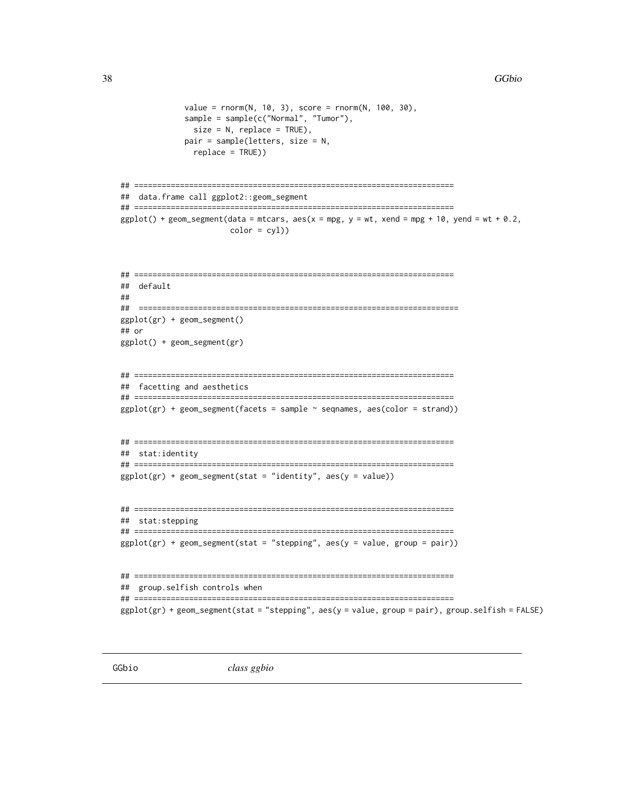```
value = rnorm(N, 10, 3), score = rnorm(N, 100, 30),
              sample = sample(c("Normal", "Tumor"),
               size = N, replace = TRUE),
              pair = sample(letters, size = N,
               replace = TRUE))
## ======================================================================
## data.frame call ggplot2::geom_segment
## ======================================================================
ggplot() + geom\_segment(data = mtrans, aes(x = mp, y = wt, xend = mp + 10, yend = wt + 0.2,color = cyl)## ======================================================================
## default
##
## ======================================================================
ggplot(gr) + geom_segment()
## or
ggplot() + geom_segment(gr)
## ======================================================================
## facetting and aesthetics
## ======================================================================
ggplot(gr) + geom\_segment(facts = sample ~ ~{segnames, } aes(color = strand)## ======================================================================
## stat:identity
## ======================================================================
ggplot(gr) + geom\_segment(stat = "identity", aes(y = value))## ======================================================================
## stat:stepping
## ======================================================================
ggplot(gr) + geom\_segment(stat = "stepping", aes(y = value, group = pair))## ======================================================================
## group.selfish controls when
## ======================================================================
ggplot(gr) + geom_segment(stat = "stepping", aes(y = value, group = pair), group.selfish = FALSE)
```
<span id="page-37-0"></span>

GGbio *class ggbio*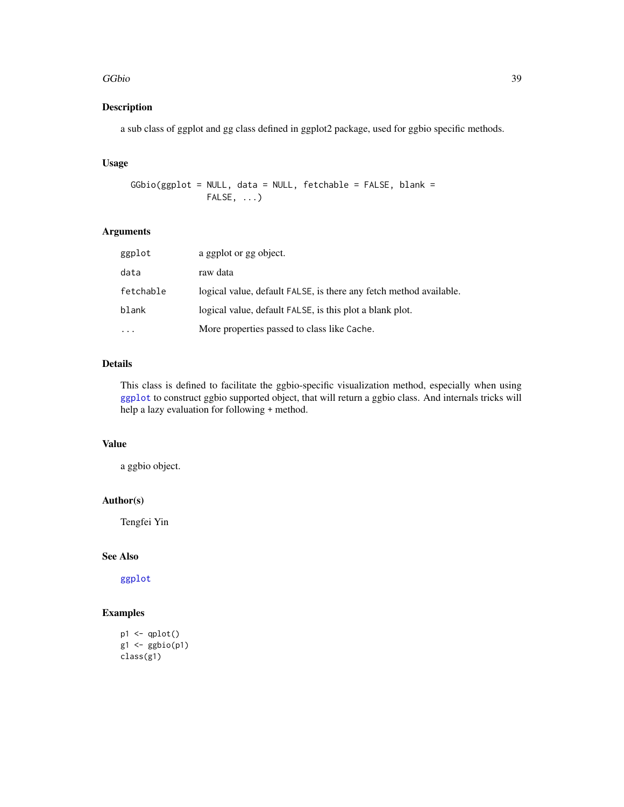#### GGbio 39

## Description

a sub class of ggplot and gg class defined in ggplot2 package, used for ggbio specific methods.

## Usage

```
GGbio(ggplot = NULL, data = NULL, fetchable = FALSE, blank =
               FALSE, ...)
```
## Arguments

| ggplot    | a ggplot or gg object.                                             |
|-----------|--------------------------------------------------------------------|
| data      | raw data                                                           |
| fetchable | logical value, default FALSE, is there any fetch method available. |
| blank     | logical value, default FALSE, is this plot a blank plot.           |
|           | More properties passed to class like Cache.                        |

## Details

This class is defined to facilitate the ggbio-specific visualization method, especially when using [ggplot](#page-39-0) to construct ggbio supported object, that will return a ggbio class. And internals tricks will help a lazy evaluation for following + method.

## Value

a ggbio object.

## Author(s)

Tengfei Yin

## See Also

[ggplot](#page-39-0)

```
p1 <- qplot()
g1 \leftarrow ggbio(p1)class(g1)
```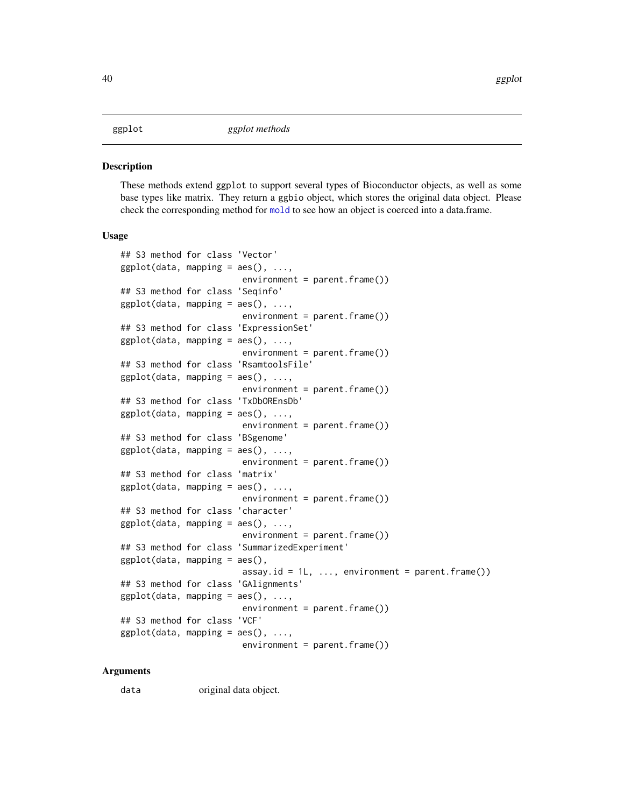#### <span id="page-39-0"></span>**Description**

These methods extend ggplot to support several types of Bioconductor objects, as well as some base types like matrix. They return a ggbio object, which stores the original data object. Please check the corresponding method for [mold](#page-0-0) to see how an object is coerced into a data.frame.

#### Usage

```
## S3 method for class 'Vector'
ggplot(data, mapping = aes(), ...,environment = parent.frame()## S3 method for class 'Seqinfo'
ggplot(data, mapping = aes(), ...environment = parent.frame())
## S3 method for class 'ExpressionSet'
ggplot(data, mapping = aes(), ...,environment = parent.frame()## S3 method for class 'RsamtoolsFile'
ggplot(data, mapping = aes(), ...environment = parent.frame()## S3 method for class 'TxDbOREnsDb'
ggplot(data, mapping = aes(), ...,environment = parent.frame()## S3 method for class 'BSgenome'
ggplot(data, mapping = aes(), ...,environment = parent.frame()## S3 method for class 'matrix'
ggplot(data, mapping = aes(), ...,environment = parent.frame())
## S3 method for class 'character'
ggplot(data, mapping = aes(), ...,environment = parent.frame()## S3 method for class 'SummarizedExperiment'
ggplot(data, mapping = aes(),assay.id = 1L, ..., environment = parent.frame())
## S3 method for class 'GAlignments'
ggplot(data, mapping = aes(), ...,environment = parent.frame()## S3 method for class 'VCF'
ggplot(data, mapping = aes(), ...,environment = parent.frame()
```
#### Arguments

data original data object.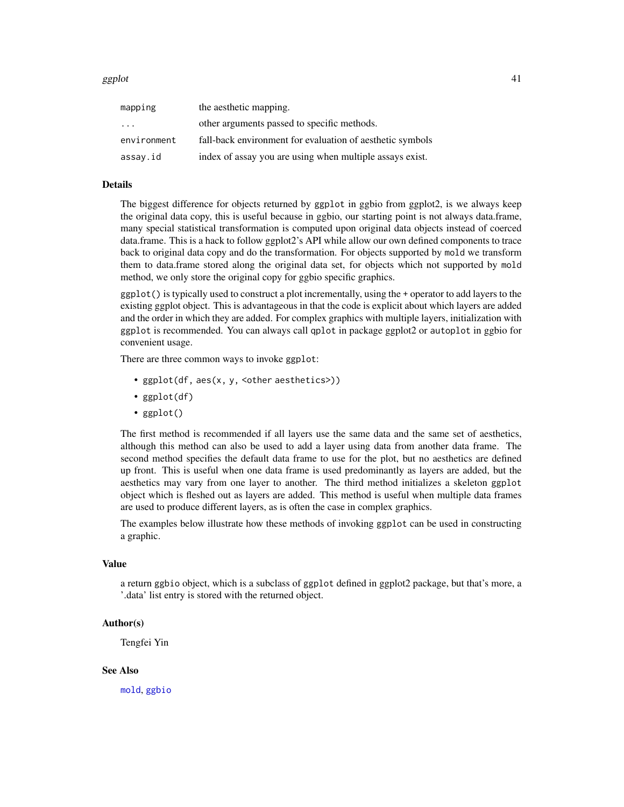#### ggplot  $\Box$  41

| mapping     | the aesthetic mapping.                                    |
|-------------|-----------------------------------------------------------|
| $\cdot$     | other arguments passed to specific methods.               |
| environment | fall-back environment for evaluation of aesthetic symbols |
| assay.id    | index of assay you are using when multiple assays exist.  |

#### Details

The biggest difference for objects returned by ggplot in ggbio from ggplot2, is we always keep the original data copy, this is useful because in ggbio, our starting point is not always data.frame, many special statistical transformation is computed upon original data objects instead of coerced data.frame. This is a hack to follow ggplot2's API while allow our own defined components to trace back to original data copy and do the transformation. For objects supported by mold we transform them to data.frame stored along the original data set, for objects which not supported by mold method, we only store the original copy for ggbio specific graphics.

ggplot() is typically used to construct a plot incrementally, using the + operator to add layers to the existing ggplot object. This is advantageous in that the code is explicit about which layers are added and the order in which they are added. For complex graphics with multiple layers, initialization with ggplot is recommended. You can always call qplot in package ggplot2 or autoplot in ggbio for convenient usage.

There are three common ways to invoke ggplot:

- ggplot(df, aes(x, y, <other aesthetics>))
- ggplot(df)
- ggplot()

The first method is recommended if all layers use the same data and the same set of aesthetics, although this method can also be used to add a layer using data from another data frame. The second method specifies the default data frame to use for the plot, but no aesthetics are defined up front. This is useful when one data frame is used predominantly as layers are added, but the aesthetics may vary from one layer to another. The third method initializes a skeleton ggplot object which is fleshed out as layers are added. This method is useful when multiple data frames are used to produce different layers, as is often the case in complex graphics.

The examples below illustrate how these methods of invoking ggplot can be used in constructing a graphic.

#### Value

a return ggbio object, which is a subclass of ggplot defined in ggplot2 package, but that's more, a '.data' list entry is stored with the returned object.

#### Author(s)

Tengfei Yin

#### See Also

[mold](#page-0-0), [ggbio](#page-37-0)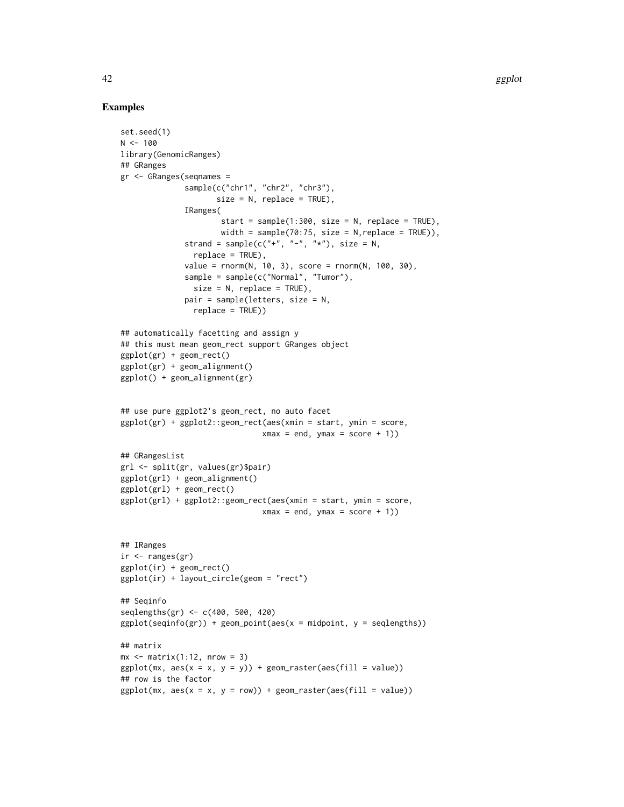```
set.seed(1)
N < - 100library(GenomicRanges)
## GRanges
gr <- GRanges(seqnames =
              sample(c("chr1", "chr2", "chr3"),
                     size = N, replace = TRUE),
              IRanges(
                      start = sample(1:300, size = N, replace = TRUE),width = sample(70:75, size = N,replace = TRUE)),
              strand = sample(c("+", "-", "*"), size = N,
                replace = TRUE),
              value = rnorm(N, 10, 3), score = rnorm(N, 100, 30),
              sample = sample(c("Normal", "Tumor"),
                size = N, replace = TRUE),
              pair = sample(letters, size = N,
                replace = TRUE))
## automatically facetting and assign y
## this must mean geom_rect support GRanges object
ggplot(gr) + geom_rect()
ggplot(gr) + geom_alignment()
ggplot() + geom_alignment(gr)
## use pure ggplot2's geom_rect, no auto facet
ggplot(gr) + ggplot2::geom_rect(aes(xmin = start, ymin = score,
                               xmax = end, ymax = score + 1)## GRangesList
grl <- split(gr, values(gr)$pair)
ggplot(grl) + geom_alignment()
ggplot(grl) + geom_rect()
ggplot(grl) + ggplot2::geom_rect(aes(xmin = start, ymin = score,
                               xmax = end, ymax = score + 1)
## IRanges
ir < -ranges(gr)
ggplot(ir) + geom_rect()
ggplot(ir) + layout_circle(geom = "rect")
## Seqinfo
seqlengths(gr) <- c(400, 500, 420)
ggplot(seqinfo(gr)) + geom-point(aes(x = midpoint, y = seqlengths))## matrix
mx \leftarrow matrix(1:12, nrow = 3)ggplot(mx, aes(x = x, y = y)) + geom\_raster(aes(fill = value))## row is the factor
ggplot(mx, aes(x = x, y = row)) + geom\_raster(aes(fill = value))
```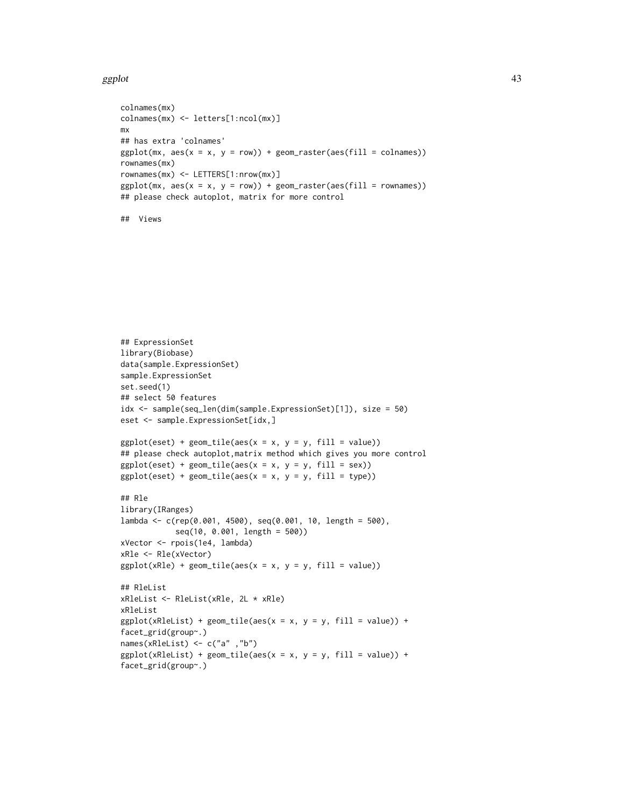#### ggplot that the set of the set of the set of the set of the set of the set of the set of the set of the set of the set of the set of the set of the set of the set of the set of the set of the set of the set of the set of t

```
colnames(mx)
colnames(mx) <- letters[1:ncol(mx)]
mx
## has extra 'colnames'
ggplot(mx, aes(x = x, y = row)) + geom\_raster(aes(fill = colnames))rownames(mx)
rownames(mx) <- LETTERS[1:nrow(mx)]
ggplot(mx, aes(x = x, y = row)) + geom\_raster(aes(fill = rownames))## please check autoplot, matrix for more control
```

```
## Views
```

```
## ExpressionSet
library(Biobase)
data(sample.ExpressionSet)
sample.ExpressionSet
set.seed(1)
## select 50 features
idx <- sample(seq_len(dim(sample.ExpressionSet)[1]), size = 50)
eset <- sample.ExpressionSet[idx,]
ggplot(eset) + geom\_tile(aes(x = x, y = y, fill = value))## please check autoplot, matrix method which gives you more control
ggplot(eset) + geom\_tile(aes(x = x, y = y, fill = sex))ggplot(eset) + geom\_tile(aes(x = x, y = y, fill = type))## Rle
library(IRanges)
lambda <- c(rep(0.001, 4500), seq(0.001, 10, length = 500),
            seq(10, 0.001, length = 500))
xVector <- rpois(1e4, lambda)
xRle <- Rle(xVector)
ggplot(xRle) + geom\_tile(aes(x = x, y = y, fill = value))## RleList
xRleList <- RleList(xRle, 2L * xRle)
xRleList
ggplot(xRleList) + geom\_tile(aes(x = x, y = y, fill = value)) +facet_grid(group~.)
names(xRleList) <- c("a" ,"b")
ggplot(xRleList) + geom\_tile(aes(x = x, y = y, fill = value)) +facet_grid(group~.)
```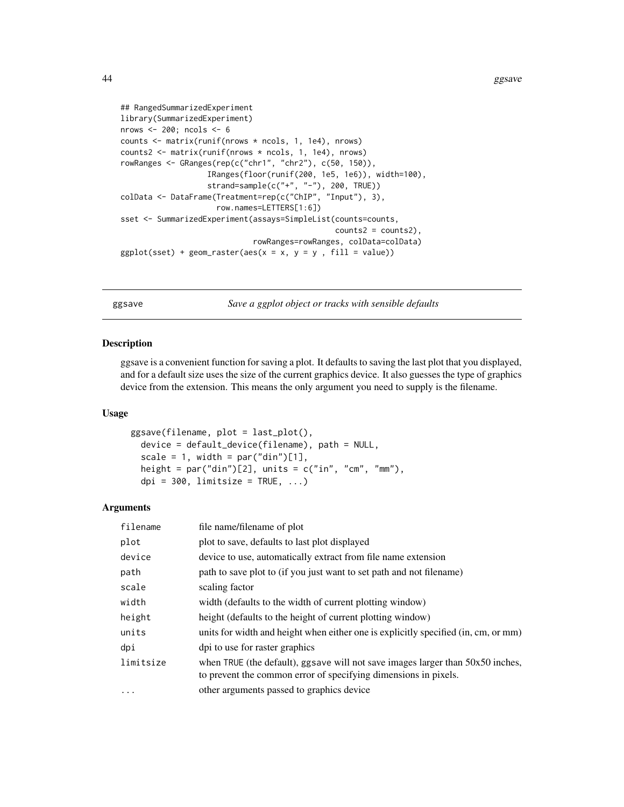44 ggsave

```
## RangedSummarizedExperiment
library(SummarizedExperiment)
nrows <- 200; ncols <- 6
counts <- matrix(runif(nrows * ncols, 1, 1e4), nrows)
counts2 <- matrix(runif(nrows * ncols, 1, 1e4), nrows)
rowRanges <- GRanges(rep(c("chr1", "chr2"), c(50, 150)),
                   IRanges(floor(runif(200, 1e5, 1e6)), width=100),
                   strand=sample(c("+", "-"), 200, TRUE))
colData <- DataFrame(Treatment=rep(c("ChIP", "Input"), 3),
                     row.names=LETTERS[1:6])
sset <- SummarizedExperiment(assays=SimpleList(counts=counts,
                                               counts2 = counts2,
                             rowRanges=rowRanges, colData=colData)
ggplot(sset) + geom\_raster(aes(x = x, y = y, fill = value))
```
ggsave *Save a ggplot object or tracks with sensible defaults*

#### Description

ggsave is a convenient function for saving a plot. It defaults to saving the last plot that you displayed, and for a default size uses the size of the current graphics device. It also guesses the type of graphics device from the extension. This means the only argument you need to supply is the filename.

#### Usage

```
ggsave(filename, plot = last_plot(),
  device = default_device(filename), path = NULL,
  scale = 1, width = par("din")[1],height = par("din")[2], units = c("in", "cm", "mm"),
  dpi = 300, limitsize = TRUE, \ldots)
```

| filename  | file name/filename of plot                                                                                                                          |
|-----------|-----------------------------------------------------------------------------------------------------------------------------------------------------|
| plot      | plot to save, defaults to last plot displayed                                                                                                       |
| device    | device to use, automatically extract from file name extension                                                                                       |
| path      | path to save plot to (if you just want to set path and not filename)                                                                                |
| scale     | scaling factor                                                                                                                                      |
| width     | width (defaults to the width of current plotting window)                                                                                            |
| height    | height (defaults to the height of current plotting window)                                                                                          |
| units     | units for width and height when either one is explicitly specified (in, cm, or mm)                                                                  |
| dpi       | dpi to use for raster graphics                                                                                                                      |
| limitsize | when TRUE (the default), ggsave will not save images larger than $50x50$ inches,<br>to prevent the common error of specifying dimensions in pixels. |
| $\ddotsc$ | other arguments passed to graphics device                                                                                                           |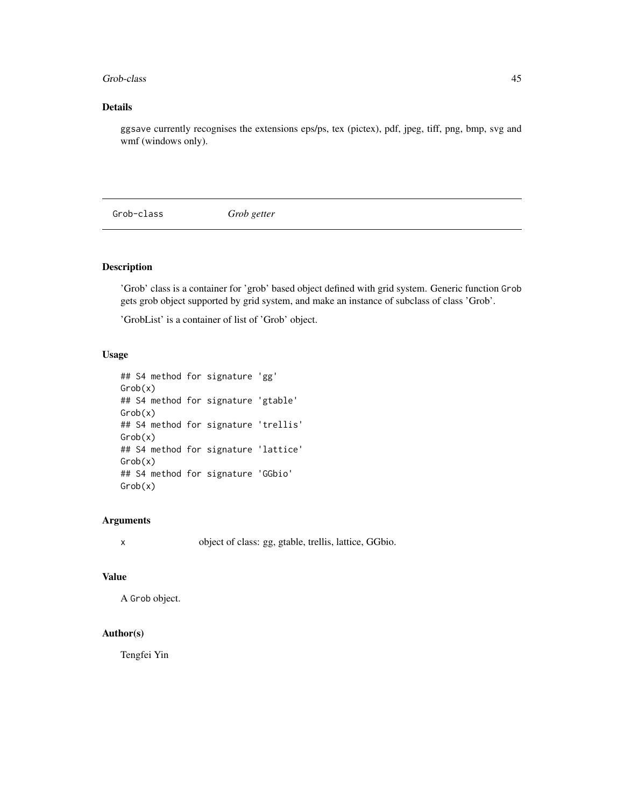#### Grob-class 45

## Details

ggsave currently recognises the extensions eps/ps, tex (pictex), pdf, jpeg, tiff, png, bmp, svg and wmf (windows only).

Grob-class *Grob getter*

## Description

'Grob' class is a container for 'grob' based object defined with grid system. Generic function Grob gets grob object supported by grid system, and make an instance of subclass of class 'Grob'.

'GrobList' is a container of list of 'Grob' object.

## Usage

```
## S4 method for signature 'gg'
Grob(x)
## S4 method for signature 'gtable'
Grob(x)
## S4 method for signature 'trellis'
Grob(x)
## S4 method for signature 'lattice'
Grob(x)
## S4 method for signature 'GGbio'
Grob(x)
```
## Arguments

x object of class: gg, gtable, trellis, lattice, GGbio.

#### Value

A Grob object.

## Author(s)

Tengfei Yin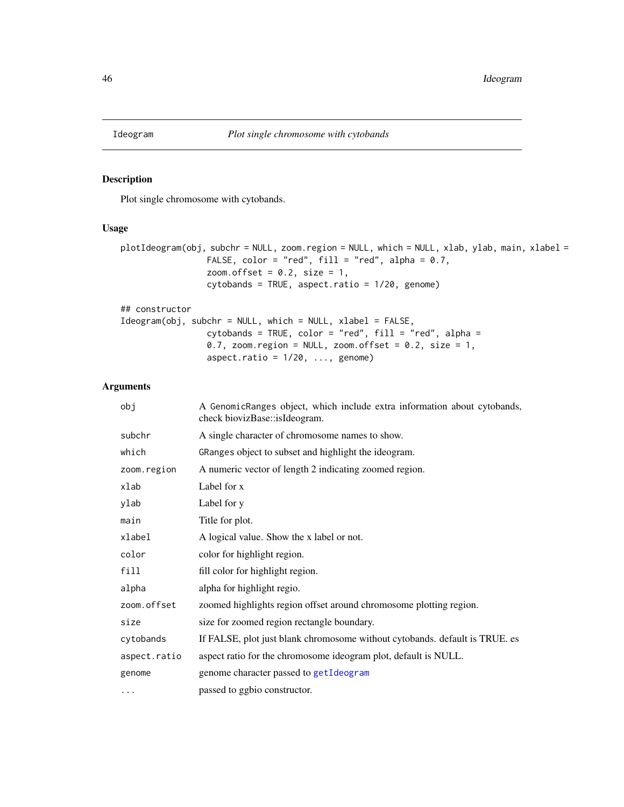aspect.ratio =  $1/20$ , ..., genome)

# Description

Plot single chromosome with cytobands.

#### Usage

```
plotIdeogram(obj, subchr = NULL, zoom.region = NULL, which = NULL, xlab, ylab, main, xlabel =
                 FALSE, color = "red", fill = "red", alpha = 0.7,
                 zoom.offset = 0.2, size = 1,
                 cytobands = TRUE, aspect.ratio = 1/20, genome)
## constructor
Ideogram(obj, subchr = NULL, which = NULL, xlabel = FALSE,
                 cytobands = TRUE, color = "red", fill = "red", alpha =
                 0.7, zoom.region = NULL, zoom.offset = 0.2, size = 1,
```

| obj          | A GenomicRanges object, which include extra information about cytobands,<br>check biovizBase::isIdeogram. |
|--------------|-----------------------------------------------------------------------------------------------------------|
| subchr       | A single character of chromosome names to show.                                                           |
| which        | GRanges object to subset and highlight the ideogram.                                                      |
| zoom.region  | A numeric vector of length 2 indicating zoomed region.                                                    |
| xlab         | Label for x                                                                                               |
| ylab         | Label for y                                                                                               |
| main         | Title for plot.                                                                                           |
| xlabel       | A logical value. Show the x label or not.                                                                 |
| color        | color for highlight region.                                                                               |
| fill         | fill color for highlight region.                                                                          |
| alpha        | alpha for highlight regio.                                                                                |
| zoom.offset  | zoomed highlights region offset around chromosome plotting region.                                        |
| size         | size for zoomed region rectangle boundary.                                                                |
| cytobands    | If FALSE, plot just blank chromosome without cytobands. default is TRUE. es                               |
| aspect.ratio | aspect ratio for the chromosome ideogram plot, default is NULL.                                           |
| genome       | genome character passed to getIdeogram                                                                    |
| .            | passed to ggbio constructor.                                                                              |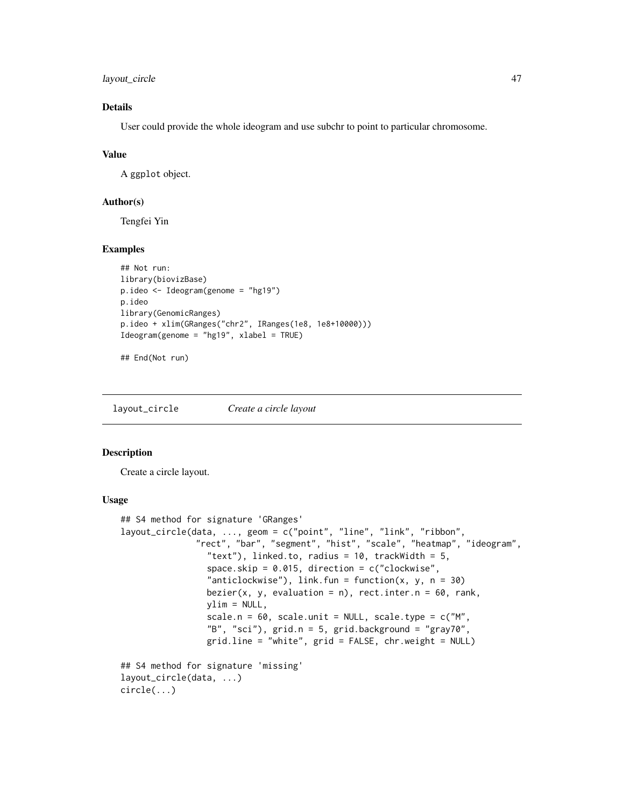layout\_circle 47

## Details

User could provide the whole ideogram and use subchr to point to particular chromosome.

#### Value

A ggplot object.

## Author(s)

Tengfei Yin

## Examples

```
## Not run:
library(biovizBase)
p.ideo <- Ideogram(genome = "hg19")
p.ideo
library(GenomicRanges)
p.ideo + xlim(GRanges("chr2", IRanges(1e8, 1e8+10000)))
Ideogram(genome = "hg19", xlabel = TRUE)
```
## End(Not run)

layout\_circle *Create a circle layout*

#### Description

Create a circle layout.

#### Usage

```
## S4 method for signature 'GRanges'
layout_circle(data, ..., geom = c("point", "line", "link", "ribbon",
               "rect", "bar", "segment", "hist", "scale", "heatmap", "ideogram",
                 "text"), linked.to, radius = 10, trackWidth = 5,
                 space.skip = 0.015, direction = c("clockwise",
                 "anticlockwise"), link.fun = function(x, y, n = 30)
                 bezier(x, y, evaluation = n), rect.inter.n = 60, rank,
                 ylim = NULL,
                 scale.n = 60, scale.unit = NULL, scale.type = c("M","B", "sci"), grid.n = 5, grid.background = "gray70",
                 grid.line = "white", grid = FALSE, chr.weight = NULL)
## S4 method for signature 'missing'
layout_circle(data, ...)
circle(...)
```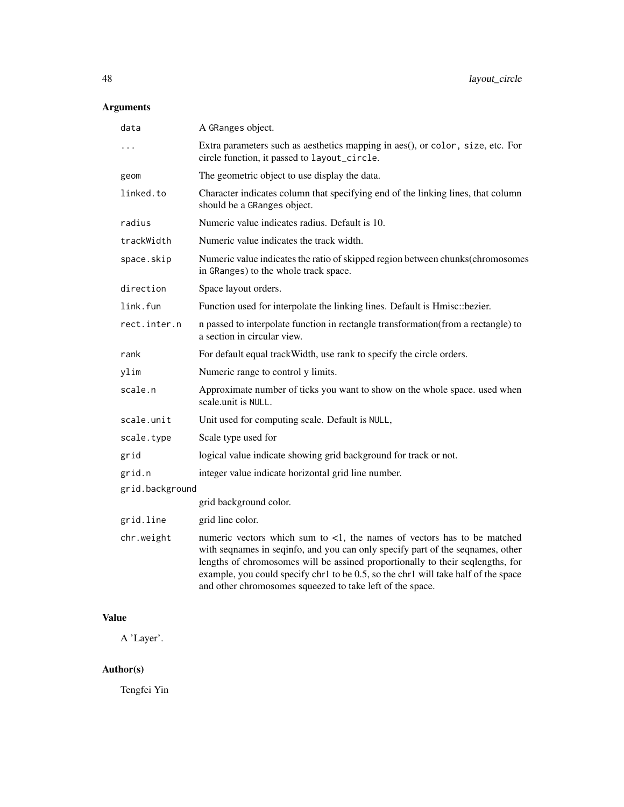# Arguments

| data            | A GRanges object.                                                                                                                                                                                                                                                                                                                                                                                                |
|-----------------|------------------------------------------------------------------------------------------------------------------------------------------------------------------------------------------------------------------------------------------------------------------------------------------------------------------------------------------------------------------------------------------------------------------|
| .               | Extra parameters such as aesthetics mapping in aes(), or color, size, etc. For<br>circle function, it passed to layout_circle.                                                                                                                                                                                                                                                                                   |
| geom            | The geometric object to use display the data.                                                                                                                                                                                                                                                                                                                                                                    |
| linked.to       | Character indicates column that specifying end of the linking lines, that column<br>should be a GRanges object.                                                                                                                                                                                                                                                                                                  |
| radius          | Numeric value indicates radius. Default is 10.                                                                                                                                                                                                                                                                                                                                                                   |
| trackWidth      | Numeric value indicates the track width.                                                                                                                                                                                                                                                                                                                                                                         |
| space.skip      | Numeric value indicates the ratio of skipped region between chunks(chromosomes<br>in GRanges) to the whole track space.                                                                                                                                                                                                                                                                                          |
| direction       | Space layout orders.                                                                                                                                                                                                                                                                                                                                                                                             |
| link.fun        | Function used for interpolate the linking lines. Default is Hmisc: bezier.                                                                                                                                                                                                                                                                                                                                       |
| rect.inter.n    | n passed to interpolate function in rectangle transformation(from a rectangle) to<br>a section in circular view.                                                                                                                                                                                                                                                                                                 |
| rank            | For default equal track Width, use rank to specify the circle orders.                                                                                                                                                                                                                                                                                                                                            |
| ylim            | Numeric range to control y limits.                                                                                                                                                                                                                                                                                                                                                                               |
| scale.n         | Approximate number of ticks you want to show on the whole space. used when<br>scale unit is NULL.                                                                                                                                                                                                                                                                                                                |
| scale.unit      | Unit used for computing scale. Default is NULL,                                                                                                                                                                                                                                                                                                                                                                  |
| scale.type      | Scale type used for                                                                                                                                                                                                                                                                                                                                                                                              |
| grid            | logical value indicate showing grid background for track or not.                                                                                                                                                                                                                                                                                                                                                 |
| grid.n          | integer value indicate horizontal grid line number.                                                                                                                                                                                                                                                                                                                                                              |
| grid.background |                                                                                                                                                                                                                                                                                                                                                                                                                  |
|                 | grid background color.                                                                                                                                                                                                                                                                                                                                                                                           |
| grid.line       | grid line color.                                                                                                                                                                                                                                                                                                                                                                                                 |
| chr.weight      | numeric vectors which sum to $\langle 1 \rangle$ , the names of vectors has to be matched<br>with seqnames in seqinfo, and you can only specify part of the seqnames, other<br>lengths of chromosomes will be assined proportionally to their seqlengths, for<br>example, you could specify chr1 to be 0.5, so the chr1 will take half of the space<br>and other chromosomes squeezed to take left of the space. |

# Value

A 'Layer'.

# Author(s)

Tengfei Yin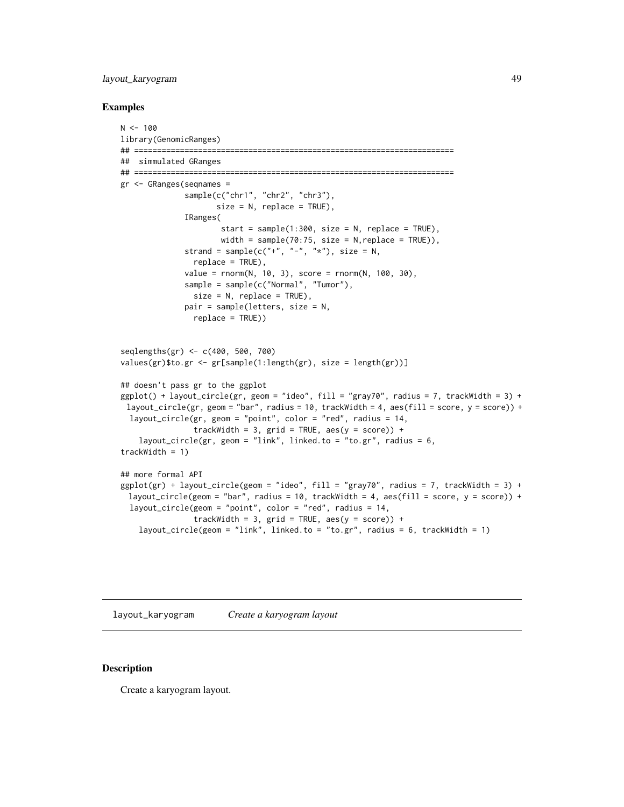## layout\_karyogram 49

#### Examples

```
N < - 100library(GenomicRanges)
## ======================================================================
## simmulated GRanges
## ======================================================================
gr <- GRanges(seqnames =
              sample(c("chr1", "chr2", "chr3"),
                     size = N, replace = TRUE),
              IRanges(
                      start = sample(1:300, size = N, replace = TRUE),
                      width = sample(70:75, size = N, replace = TRUE)),
              strand = sample(c("+", "-", "**"), size = N,
                replace = TRUE),
              value = rnorm(N, 10, 3), score = rnorm(N, 100, 30),
              sample = sample(c("Normal", "Tumor"),
                size = N, replace = TRUE),
              pair = sample(letters, size = N,
                replace = TRUE))
seqlengths(gr) <- c(400, 500, 700)
values(gr)$to.gr <- gr[sample(1:length(gr), size = length(gr))]
## doesn't pass gr to the ggplot
ggplot() + layout\_circle(gr, geom = "ideo", fill = "gray70", radius = 7, trackWidth = 3) +layout_circle(gr, geom = "bar", radius = 10, trackWidth = 4, aes(fill = score, y = score)) +
  layout_circle(gr, geom = "point", color = "red", radius = 14,
                trackWidth = 3, grid = TRUE, \text{aes}(y = \text{score})) +
    layout_circle(gr, geom = "link", linked.to = "to.gr", radius = 6,
trackWidth = 1)## more formal API
ggplot(gr) + layout\_circle(geom = "ideo", fill = "gray70", radius = 7, trackWidth = 3) +layout_circle(geom = "bar", radius = 10, trackWidth = 4, aes(fill = score, y = score) +
  layout_circle(geom = "point", color = "red", radius = 14,
                trackWidth = 3, grid = TRUE, \text{aes}(y = \text{score}) +
    layout_circle(geom = "link", linked.to = "to.gr", radius = 6, trackWidth = 1)
```
layout\_karyogram *Create a karyogram layout*

#### Description

Create a karyogram layout.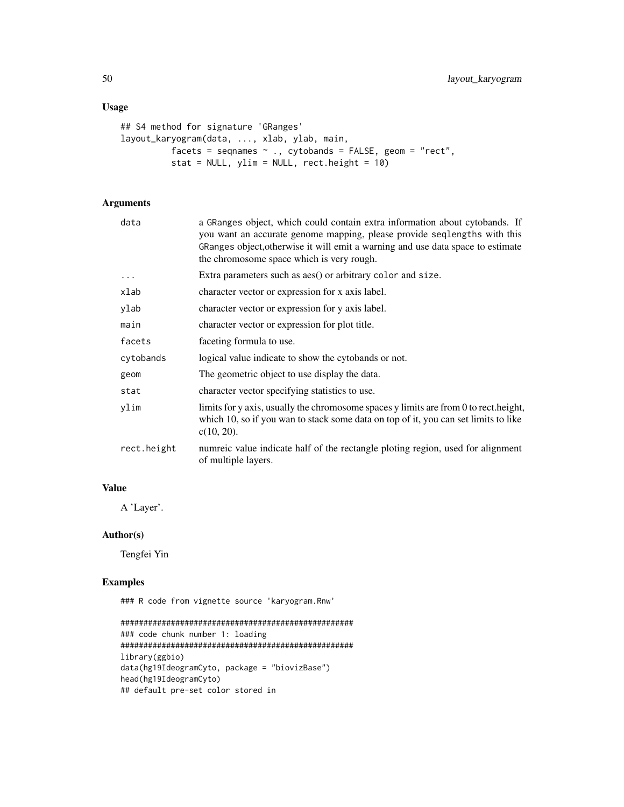## Usage

```
## S4 method for signature 'GRanges'
layout_karyogram(data, ..., xlab, ylab, main,
          facets = seqnames \sim ., cytobands = FALSE, geom = "rect",
          stat = NULL, ylim = NULL, rect. height = 10)
```
## Arguments

| data        | a GRanges object, which could contain extra information about cytobands. If<br>you want an accurate genome mapping, please provide seqlengths with this<br>GRanges object, otherwise it will emit a warning and use data space to estimate<br>the chromosome space which is very rough. |
|-------------|-----------------------------------------------------------------------------------------------------------------------------------------------------------------------------------------------------------------------------------------------------------------------------------------|
| $\cdots$    | Extra parameters such as aes() or arbitrary color and size.                                                                                                                                                                                                                             |
| xlab        | character vector or expression for x axis label.                                                                                                                                                                                                                                        |
| ylab        | character vector or expression for y axis label.                                                                                                                                                                                                                                        |
| main        | character vector or expression for plot title.                                                                                                                                                                                                                                          |
| facets      | faceting formula to use.                                                                                                                                                                                                                                                                |
| cytobands   | logical value indicate to show the cytobands or not.                                                                                                                                                                                                                                    |
| geom        | The geometric object to use display the data.                                                                                                                                                                                                                                           |
| stat        | character vector specifying statistics to use.                                                                                                                                                                                                                                          |
| ylim        | limits for y axis, usually the chromosome spaces y limits are from 0 to rect. height,<br>which 10, so if you wan to stack some data on top of it, you can set limits to like<br>$c(10, 20)$ .                                                                                           |
| rect.height | numreic value indicate half of the rectangle ploting region, used for alignment<br>of multiple layers.                                                                                                                                                                                  |
|             |                                                                                                                                                                                                                                                                                         |

# Value

A 'Layer'.

## Author(s)

Tengfei Yin

## Examples

### R code from vignette source 'karyogram.Rnw'

```
###################################################
### code chunk number 1: loading
###################################################
library(ggbio)
data(hg19IdeogramCyto, package = "biovizBase")
head(hg19IdeogramCyto)
## default pre-set color stored in
```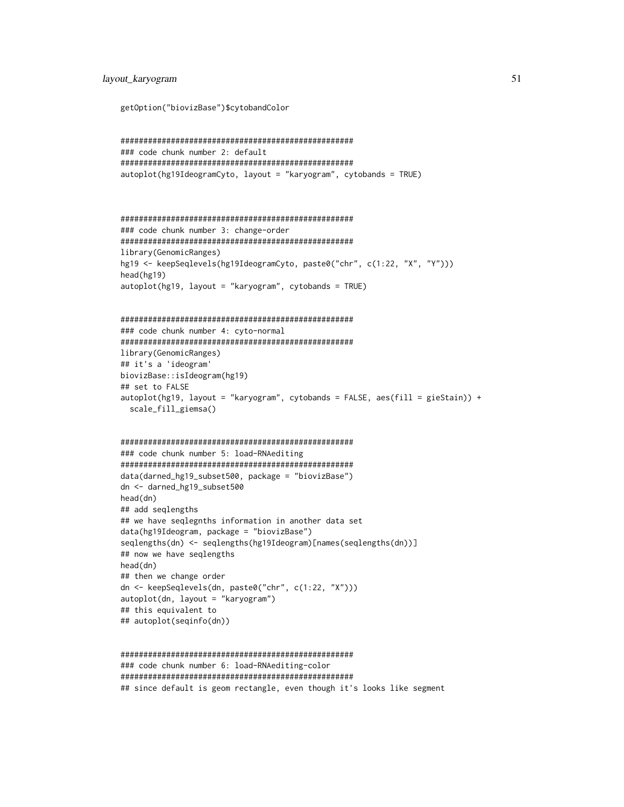```
getOption("biovizBase")$cytobandColor
```

```
###################################################
### code chunk number 2: default
###################################################
autoplot(hg19IdeogramCyto, layout = "karyogram", cytobands = TRUE)
```

```
###################################################
### code chunk number 3: change-order
###################################################
library(GenomicRanges)
hg19 <- keepSeqlevels(hg19IdeogramCyto, paste0("chr", c(1:22, "X", "Y")))
head(hg19)
autoplot(hg19, layout = "karyogram", cytobands = TRUE)
```

```
###################################################
### code chunk number 4: cyto-normal
###################################################
library(GenomicRanges)
## it's a 'ideogram'
biovizBase::isIdeogram(hg19)
## set to FALSE
autoplot(hg19, layout = "karyogram", cytobands = FALSE, aes(fill = gieStain)) +
 scale_fill_giemsa()
```

```
###################################################
### code chunk number 5: load-RNAediting
###################################################
data(darned_hg19_subset500, package = "biovizBase")
dn <- darned_hg19_subset500
head(dn)
## add seqlengths
## we have seqlegnths information in another data set
data(hg19Ideogram, package = "biovizBase")
seqlengths(dn) <- seqlengths(hg19Ideogram)[names(seqlengths(dn))]
## now we have seqlengths
head(dn)
## then we change order
dn <- keepSeqlevels(dn, paste0("chr", c(1:22, "X")))
autoplot(dn, layout = "karyogram")
## this equivalent to
## autoplot(seqinfo(dn))
```

```
###################################################
### code chunk number 6: load-RNAediting-color
###################################################
## since default is geom rectangle, even though it's looks like segment
```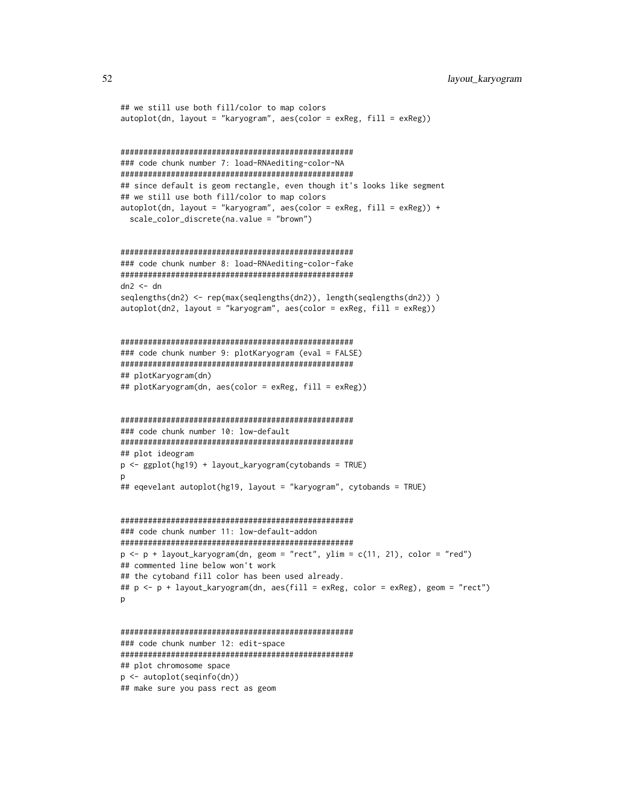```
## we still use both fill/color to map colors
autoplot(dn, layout = "karyogram", aes(color = exReg, fill = exReg))###################################################
### code chunk number 7: load-RNAediting-color-NA
###################################################
## since default is geom rectangle, even though it's looks like segment
## we still use both fill/color to map colors
autoplot(dn, layout = "karyogram", aes(color = exReg, fill = exReg)) +scale_color_discrete(na.value = "brown")
###################################################
### code chunk number 8: load-RNAediting-color-fake
###################################################
dn2 < - dnseqlengths(dn2) <- rep(max(seqlengths(dn2)), length(seqlengths(dn2)) )
autoplot(dn2, layout = "karyogram", aes(color = exReg, fill = exReg))###################################################
### code chunk number 9: plotKaryogram (eval = FALSE)
###################################################
## plotKaryogram(dn)
## plotKaryogram(dn, aes(color = exReg, fill = exReg))
###################################################
### code chunk number 10: low-default
###################################################
## plot ideogram
p <- ggplot(hg19) + layout_karyogram(cytobands = TRUE)
\mathsf{D}## eqevelant autoplot(hg19, layout = "karyogram", cytobands = TRUE)
###################################################
### code chunk number 11: low-default-addon
###################################################
p \leftarrow p + \text{ layout\_karyogram(dn, geom = "rect", ylim = c(11, 21), color = "red")}## commented line below won't work
## the cytoband fill color has been used already.
## p <- p + layout_karyogram(dn, aes(fill = exReg, color = exReg), geom = "rect")
p
###################################################
### code chunk number 12: edit-space
###################################################
## plot chromosome space
p <- autoplot(seqinfo(dn))
```
## make sure you pass rect as geom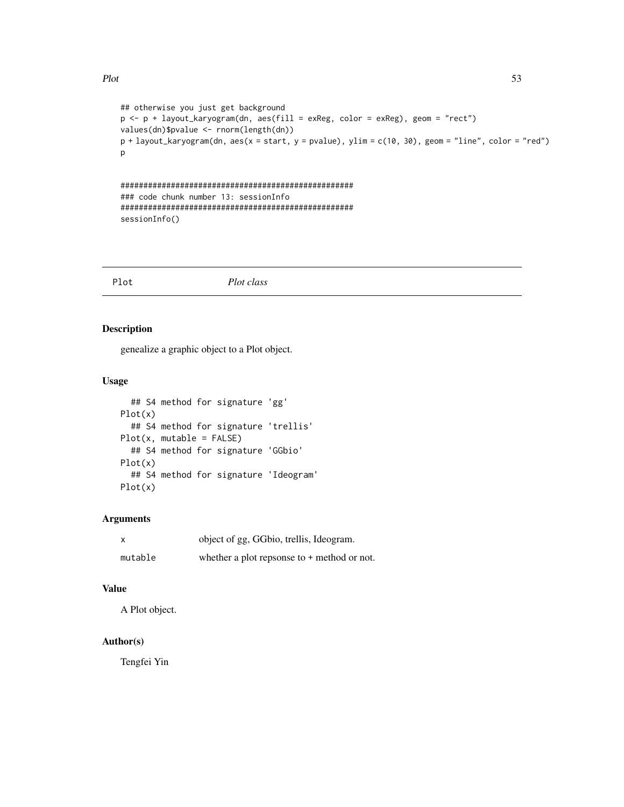#### Plot 53

```
## otherwise you just get background
p <- p + layout_karyogram(dn, aes(fill = exReg, color = exReg), geom = "rect")
values(dn)$pvalue <- rnorm(length(dn))
p + \text{layout\_karyogram(dn, aes(x = start, y = \text{pvalue}), ylim = c(10, 30), geom = "line", color = "red")}p
```

```
###################################################
### code chunk number 13: sessionInfo
###################################################
sessionInfo()
```
Plot *Plot class*

## Description

genealize a graphic object to a Plot object.

## Usage

```
## S4 method for signature 'gg'
Plot(x)
  ## S4 method for signature 'trellis'
Plot(x, mutable = FALSE)## S4 method for signature 'GGbio'
Plot(x)
  ## S4 method for signature 'Ideogram'
Plot(x)
```
#### Arguments

| X       | object of gg, GGbio, trellis, Ideogram.       |
|---------|-----------------------------------------------|
| mutable | whether a plot repsonse to $+$ method or not. |

## Value

A Plot object.

## Author(s)

Tengfei Yin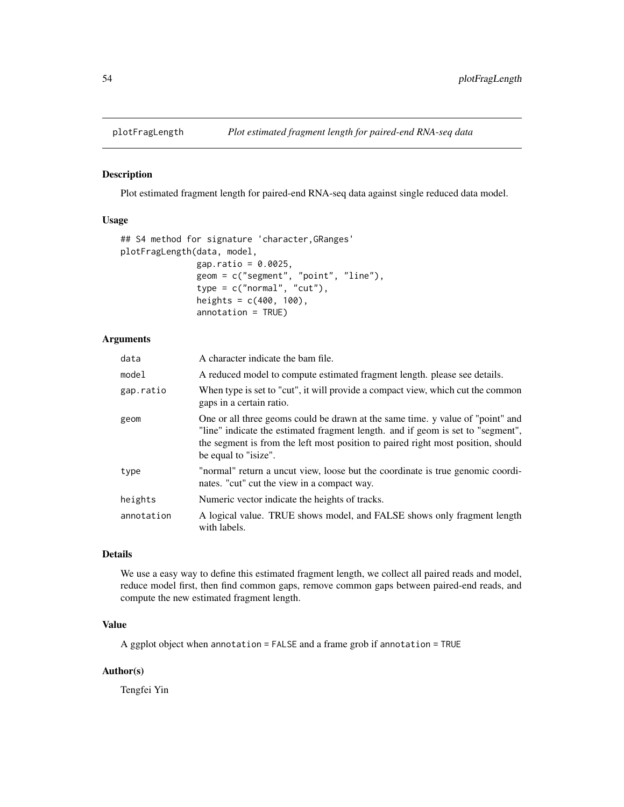## Description

Plot estimated fragment length for paired-end RNA-seq data against single reduced data model.

### Usage

```
## S4 method for signature 'character,GRanges'
plotFragLength(data, model,
               gap.ratio = 0.0025,geom = c("segment", "point", "line"),
               type = c("normal", "cut"),heights = c(400, 100),
               annotation = TRUE)
```
#### Arguments

| data       | A character indicate the bam file.                                                                                                                                                                                                                                            |
|------------|-------------------------------------------------------------------------------------------------------------------------------------------------------------------------------------------------------------------------------------------------------------------------------|
| model      | A reduced model to compute estimated fragment length, please see details.                                                                                                                                                                                                     |
| gap.ratio  | When type is set to "cut", it will provide a compact view, which cut the common<br>gaps in a certain ratio.                                                                                                                                                                   |
| geom       | One or all three geoms could be drawn at the same time. y value of "point" and<br>"line" indicate the estimated fragment length. and if geom is set to "segment",<br>the segment is from the left most position to paired right most position, should<br>be equal to "isize". |
| type       | "normal" return a uncut view, loose but the coordinate is true genomic coordi-<br>nates. "cut" cut the view in a compact way.                                                                                                                                                 |
| heights    | Numeric vector indicate the heights of tracks.                                                                                                                                                                                                                                |
| annotation | A logical value. TRUE shows model, and FALSE shows only fragment length<br>with labels.                                                                                                                                                                                       |

#### Details

We use a easy way to define this estimated fragment length, we collect all paired reads and model, reduce model first, then find common gaps, remove common gaps between paired-end reads, and compute the new estimated fragment length.

## Value

A ggplot object when annotation = FALSE and a frame grob if annotation = TRUE

# Author(s)

Tengfei Yin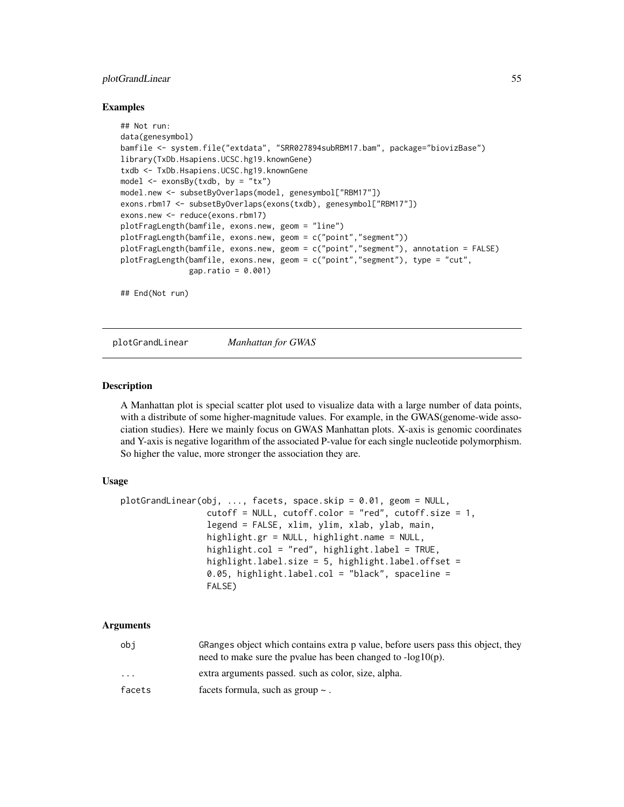## plotGrandLinear 55

#### Examples

```
## Not run:
data(genesymbol)
bamfile <- system.file("extdata", "SRR027894subRBM17.bam", package="biovizBase")
library(TxDb.Hsapiens.UCSC.hg19.knownGene)
txdb <- TxDb.Hsapiens.UCSC.hg19.knownGene
model \leq exonsBy(txdb, by = "tx")
model.new <- subsetByOverlaps(model, genesymbol["RBM17"])
exons.rbm17 <- subsetByOverlaps(exons(txdb), genesymbol["RBM17"])
exons.new <- reduce(exons.rbm17)
plotFragLength(bamfile, exons.new, geom = "line")
plotFragLength(bamfile, exons.new, geom = c("point","segment"))
plotFragLength(bamfile, exons.new, geom = c("point","segment"), annotation = FALSE)
plotFragLength(bamfile, exons.new, geom = c("point","segment"), type = "cut",
              gap.ratio = 0.001)
```
## End(Not run)

plotGrandLinear *Manhattan for GWAS*

#### Description

A Manhattan plot is special scatter plot used to visualize data with a large number of data points, with a distribute of some higher-magnitude values. For example, in the GWAS(genome-wide association studies). Here we mainly focus on GWAS Manhattan plots. X-axis is genomic coordinates and Y-axis is negative logarithm of the associated P-value for each single nucleotide polymorphism. So higher the value, more stronger the association they are.

#### Usage

```
plotGrandLinear(obj, ..., facets, space.skip = 0.01, geom = NULL,
                 cutoff = NULL, cutoff.color = "red", cutoff.size = 1,
                 legend = FALSE, xlim, ylim, xlab, ylab, main,
                 highlight.gr = NULL, highlight.name = NULL,
                 highlight.col = "red", highlight.label = TRUE,
                 highlight.label.size = 5, highlight.label.offset =
                 0.05, highlight.label.col = "black", spaceline =
                 FALSE)
```

| obi                     | GRanges object which contains extra p value, before users pass this object, they<br>need to make sure the pvalue has been changed to $-log10(p)$ . |
|-------------------------|----------------------------------------------------------------------------------------------------------------------------------------------------|
| $\cdot$ $\cdot$ $\cdot$ | extra arguments passed, such as color, size, alpha.                                                                                                |
| facets                  | facets formula, such as group $\sim$ .                                                                                                             |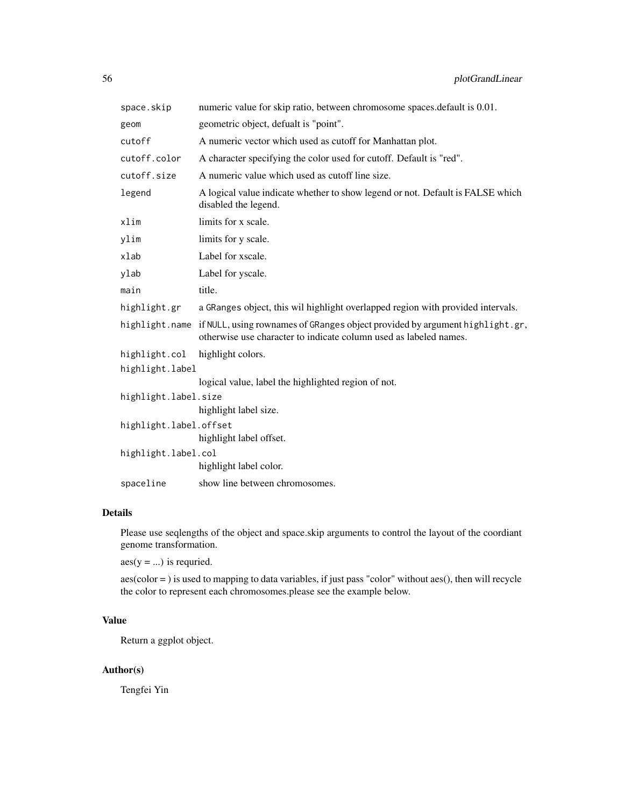| space.skip             | numeric value for skip ratio, between chromosome spaces.default is 0.01.                                                                                         |
|------------------------|------------------------------------------------------------------------------------------------------------------------------------------------------------------|
| geom                   | geometric object, defualt is "point".                                                                                                                            |
| cutoff                 | A numeric vector which used as cutoff for Manhattan plot.                                                                                                        |
| cutoff.color           | A character specifying the color used for cutoff. Default is "red".                                                                                              |
| cutoff.size            | A numeric value which used as cutoff line size.                                                                                                                  |
| legend                 | A logical value indicate whether to show legend or not. Default is FALSE which<br>disabled the legend.                                                           |
| xlim                   | limits for x scale.                                                                                                                                              |
| ylim                   | limits for y scale.                                                                                                                                              |
| $x$ lab                | Label for xscale.                                                                                                                                                |
| ylab                   | Label for yscale.                                                                                                                                                |
| main                   | title.                                                                                                                                                           |
| highlight.gr           | a GRanges object, this wil highlight overlapped region with provided intervals.                                                                                  |
|                        | highlight.name if NULL, using rownames of GRanges object provided by argument highlight.gr,<br>otherwise use character to indicate column used as labeled names. |
| highlight.col          | highlight colors.                                                                                                                                                |
| highlight.label        |                                                                                                                                                                  |
|                        | logical value, label the highlighted region of not.                                                                                                              |
| highlight.label.size   |                                                                                                                                                                  |
|                        | highlight label size.                                                                                                                                            |
| highlight.label.offset |                                                                                                                                                                  |
|                        | highlight label offset.                                                                                                                                          |
| highlight.label.col    |                                                                                                                                                                  |
|                        | highlight label color.                                                                                                                                           |
| spaceline              | show line between chromosomes.                                                                                                                                   |

## Details

Please use seqlengths of the object and space.skip arguments to control the layout of the coordiant genome transformation.

 $aes(y = ...)$  is requried.

aes(color = ) is used to mapping to data variables, if just pass "color" without aes(), then will recycle the color to represent each chromosomes.please see the example below.

## Value

Return a ggplot object.

## Author(s)

Tengfei Yin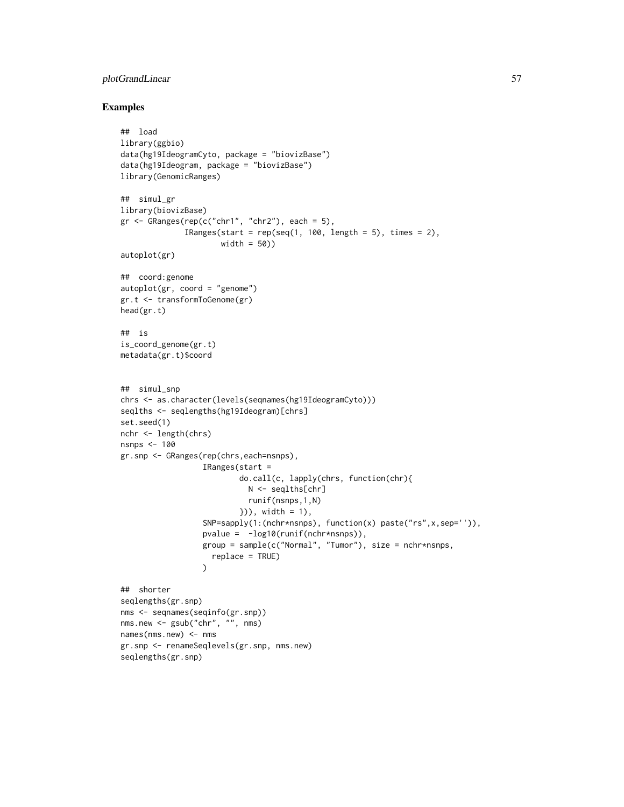## plotGrandLinear 57

```
## load
library(ggbio)
data(hg19IdeogramCyto, package = "biovizBase")
data(hg19Ideogram, package = "biovizBase")
library(GenomicRanges)
## simul_gr
library(biovizBase)
gr <- GRanges(rep(c("chr1", "chr2"), each = 5),
              IRanges(start = rep(seq(1, 100, length = 5), times = 2),
                      width = 50))
autoplot(gr)
## coord:genome
autoplot(gr, coord = "genome")
gr.t <- transformToGenome(gr)
head(gr.t)
## is
is_coord_genome(gr.t)
metadata(gr.t)$coord
## simul_snp
chrs <- as.character(levels(seqnames(hg19IdeogramCyto)))
seqlths <- seqlengths(hg19Ideogram)[chrs]
set.seed(1)
nchr <- length(chrs)
nsnps <- 100
gr.snp <- GRanges(rep(chrs,each=nsnps),
                  IRanges(start =
                          do.call(c, lapply(chrs, function(chr){
                            N <- seqlths[chr]
                            runif(nsnps,1,N)
                          })), width = 1),
                  SNP=sapply(1:(nchr*nsnps), function(x) paste("rs",x,sep='')),
                  pvalue = -log10(runif(nchr*nsnps)),
                  group = sample(c("Normal", "Tumor"), size = nchr*nsnps,
                    replace = TRUE)
                  \lambda## shorter
seqlengths(gr.snp)
nms <- seqnames(seqinfo(gr.snp))
nms.new <- gsub("chr", "", nms)
names(nms.new) <- nms
gr.snp <- renameSeqlevels(gr.snp, nms.new)
seqlengths(gr.snp)
```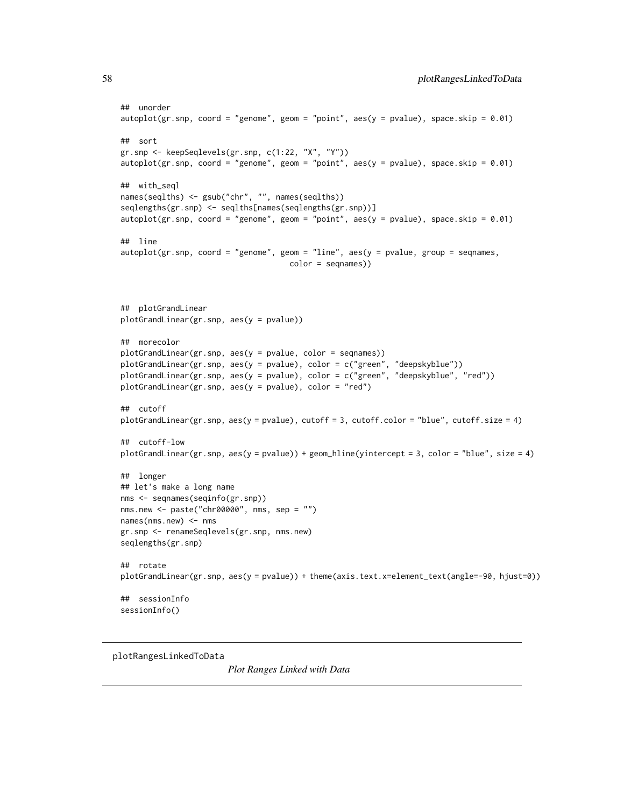```
## unorder
autoplot(gr.snp, coord = "genome", geom = "point", aes(y = pvalue), space.skip = 0.01)## sort
gr.snp <- keepSeqlevels(gr.snp, c(1:22, "X", "Y"))
autoplot(gr.snp, coord = "genome", geom = "point", aes(y = pvalue), space.skip = 0.01)
## with_seql
names(seqlths) <- gsub("chr", "", names(seqlths))
seqlengths(gr.snp) <- seqlths[names(seqlengths(gr.snp))]
autoplot(gr.snp, coord = "genome", geom = "point", aes(y = pvalue), space.skip = 0.01)## line
autoplot(gr.snp, coord = "genome", geom = "line", acs(y = pvalue), group = seqnames,
                                     color = seqnames))
## plotGrandLinear
plotGrandLinear(gr.snp, aes(y = pvalue))
## morecolor
plotGrandLinear(gr.snp, aes(y = pvalue, color = seqnames))
plotGrandLinear(gr.snp, aes(y = pvalue), color = c("green", "deepskyblue"))
plotGrandLinear(gr.snp, aes(y = pvalue), color = c("green", "deepskyblue", "red"))
plotGrandLinear(gr.snp, aes(y = pvalue), color = "red")
## cutoff
plotGrandLinear(gr.snp, aes(y = pvalue), cutoff = 3, cutoff.color = "blue", cutoff.size = 4)
## cutoff-low
plotGrandLinear(gr.snp, aes(y = pvalue)) + geom_hline(yintercept = 3, color = "blue", size = 4)
## longer
## let's make a long name
nms <- seqnames(seqinfo(gr.snp))
nms.new <- paste("chr00000", nms, sep = "")
names(mms.new) < -nmsgr.snp <- renameSeqlevels(gr.snp, nms.new)
seqlengths(gr.snp)
## rotate
plotGrandLinear(gr.snp, aes(y = pvalue)) + theme(axis.text.x=element_text(angle=-90, hjust=0))
## sessionInfo
sessionInfo()
```
plotRangesLinkedToData

*Plot Ranges Linked with Data*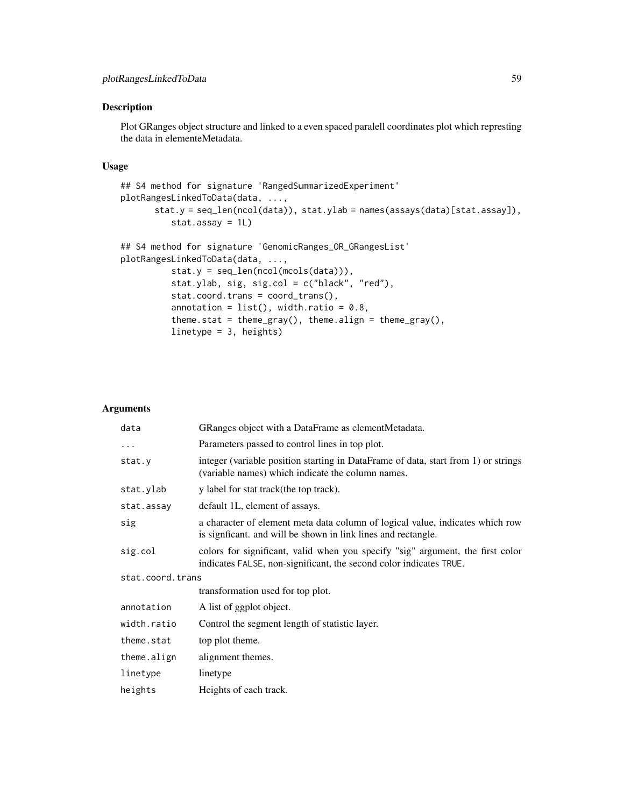## Description

Plot GRanges object structure and linked to a even spaced paralell coordinates plot which represting the data in elementeMetadata.

#### Usage

```
## S4 method for signature 'RangedSummarizedExperiment'
plotRangesLinkedToData(data, ...,
      stat.y = seq_len(ncol(data)), stat.ylab = names(assays(data)[stat.assay]),
          stat.assay = 1L)
## S4 method for signature 'GenomicRanges_OR_GRangesList'
plotRangesLinkedToData(data, ...,
```

```
stat.y = seq_length(ncol(mcols(data))),
stat.ylab, sig, sig.col = c("black", "red"),
stat.coord.trans = coord_trans(),
annotation = list(), width.ratio = 0.8,
theme.stat = theme_gray(), theme.align = theme_gray(),
linetype = 3, heights)
```

| data             | GRanges object with a DataFrame as elementMetadata.                                                                                                  |  |
|------------------|------------------------------------------------------------------------------------------------------------------------------------------------------|--|
| $\ddotsc$        | Parameters passed to control lines in top plot.                                                                                                      |  |
| stat.y           | integer (variable position starting in DataFrame of data, start from 1) or strings<br>(variable names) which indicate the column names.              |  |
| stat.ylab        | y label for stat track(the top track).                                                                                                               |  |
| stat.assay       | default 1L, element of assays.                                                                                                                       |  |
| sig              | a character of element meta data column of logical value, indicates which row<br>is signficant, and will be shown in link lines and rectangle.       |  |
| sig.col          | colors for significant, valid when you specify "sig" argument, the first color<br>indicates FALSE, non-significant, the second color indicates TRUE. |  |
| stat.coord.trans |                                                                                                                                                      |  |
|                  | transformation used for top plot.                                                                                                                    |  |
| annotation       | A list of ggplot object.                                                                                                                             |  |
| width.ratio      | Control the segment length of statistic layer.                                                                                                       |  |
| theme.stat       | top plot theme.                                                                                                                                      |  |
| theme.align      | alignment themes.                                                                                                                                    |  |
| linetype         | linetype                                                                                                                                             |  |
| heights          | Heights of each track.                                                                                                                               |  |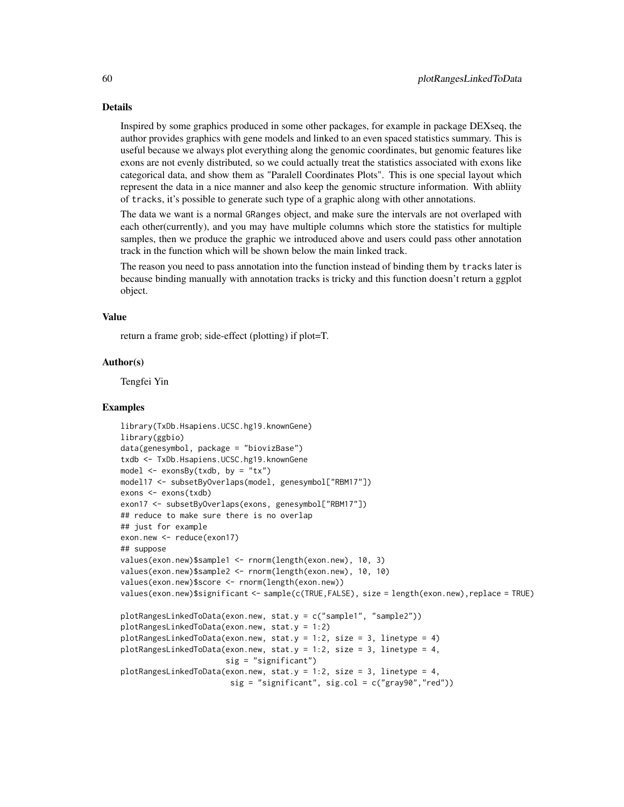#### Details

Inspired by some graphics produced in some other packages, for example in package DEXseq, the author provides graphics with gene models and linked to an even spaced statistics summary. This is useful because we always plot everything along the genomic coordinates, but genomic features like exons are not evenly distributed, so we could actually treat the statistics associated with exons like categorical data, and show them as "Paralell Coordinates Plots". This is one special layout which represent the data in a nice manner and also keep the genomic structure information. With abliity of tracks, it's possible to generate such type of a graphic along with other annotations.

The data we want is a normal GRanges object, and make sure the intervals are not overlaped with each other(currently), and you may have multiple columns which store the statistics for multiple samples, then we produce the graphic we introduced above and users could pass other annotation track in the function which will be shown below the main linked track.

The reason you need to pass annotation into the function instead of binding them by tracks later is because binding manually with annotation tracks is tricky and this function doesn't return a ggplot object.

#### Value

return a frame grob; side-effect (plotting) if plot=T.

#### Author(s)

Tengfei Yin

```
library(TxDb.Hsapiens.UCSC.hg19.knownGene)
library(ggbio)
data(genesymbol, package = "biovizBase")
txdb <- TxDb.Hsapiens.UCSC.hg19.knownGene
model \leq exonsBy(txdb, by = "tx")
model17 <- subsetByOverlaps(model, genesymbol["RBM17"])
exons <- exons(txdb)
exon17 <- subsetByOverlaps(exons, genesymbol["RBM17"])
## reduce to make sure there is no overlap
## just for example
exon.new <- reduce(exon17)
## suppose
values(exon.new)$sample1 <- rnorm(length(exon.new), 10, 3)
values(exon.new)$sample2 <- rnorm(length(exon.new), 10, 10)
values(exon.new)$score <- rnorm(length(exon.new))
values(exon.new)$significant <- sample(c(TRUE,FALSE), size = length(exon.new),replace = TRUE)
plotRangesLinkedToData(exon.new, stat.y = c("sample1", "sample2"))
plotRangesLinkedToData(exon.new, stat.y = 1:2)
plotRangesLinkedToData(exon.new, stat.y = 1:2, size = 3, linetype = 4)
plotRangesLinkedToData(exon.new, stat.y = 1:2, size = 3, linetype = 4,
                       sig = "significant")
plotRangesLinkedToData(exon.new, stat.y = 1:2, size = 3, linetype = 4,
                        sig = "significant", sig,col = c("gray90", "red"))
```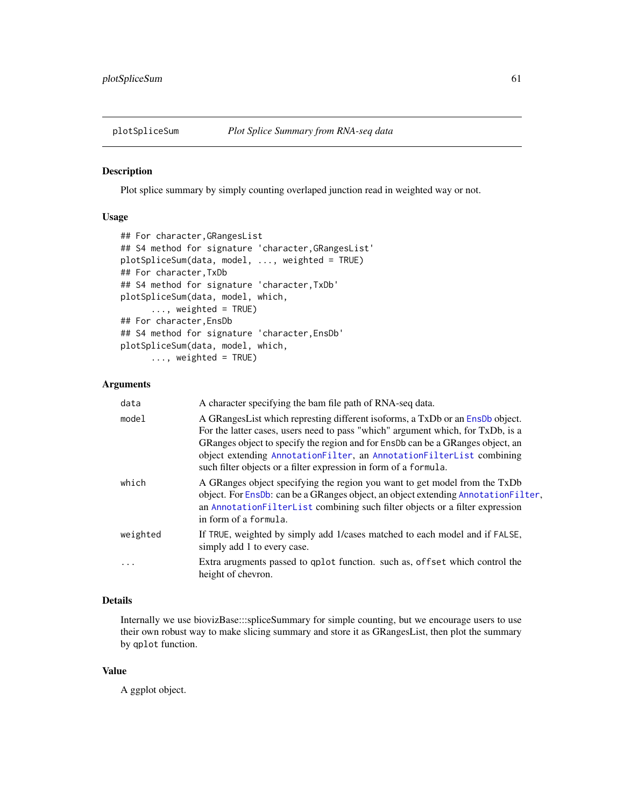#### Description

Plot splice summary by simply counting overlaped junction read in weighted way or not.

#### Usage

```
## For character,GRangesList
## S4 method for signature 'character,GRangesList'
plotSpliceSum(data, model, ..., weighted = TRUE)
## For character,TxDb
## S4 method for signature 'character,TxDb'
plotSpliceSum(data, model, which,
      ..., weighted = TRUE)
## For character,EnsDb
## S4 method for signature 'character,EnsDb'
plotSpliceSum(data, model, which,
      ..., weighted = TRUE)
```
### Arguments

| data     | A character specifying the bam file path of RNA-seq data.                                                                                                                                                                                                                                                                                                                                      |
|----------|------------------------------------------------------------------------------------------------------------------------------------------------------------------------------------------------------------------------------------------------------------------------------------------------------------------------------------------------------------------------------------------------|
| model    | A GRangesList which represting different isoforms, a TxDb or an EnsDb object.<br>For the latter cases, users need to pass "which" argument which, for TxDb, is a<br>GRanges object to specify the region and for EnsDb can be a GRanges object, an<br>object extending AnnotationFilter, an AnnotationFilterList combining<br>such filter objects or a filter expression in form of a formula. |
| which    | A GRanges object specifying the region you want to get model from the TxDb<br>object. For EnsDb: can be a GRanges object, an object extending AnnotationFilter,<br>an AnnotationFilterList combining such filter objects or a filter expression<br>in form of a formula.                                                                                                                       |
| weighted | If TRUE, weighted by simply add 1/cases matched to each model and if FALSE,<br>simply add 1 to every case.                                                                                                                                                                                                                                                                                     |
| .        | Extra arugments passed to qplot function. such as, offset which control the<br>height of chevron.                                                                                                                                                                                                                                                                                              |
|          |                                                                                                                                                                                                                                                                                                                                                                                                |

## Details

Internally we use biovizBase:::spliceSummary for simple counting, but we encourage users to use their own robust way to make slicing summary and store it as GRangesList, then plot the summary by qplot function.

## Value

A ggplot object.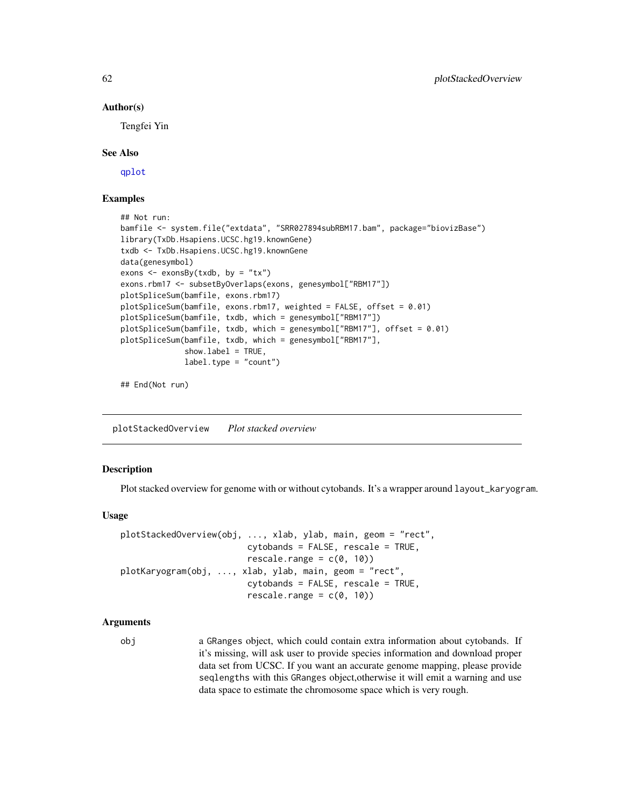#### Author(s)

Tengfei Yin

#### See Also

[qplot](#page-0-0)

## Examples

```
## Not run:
bamfile <- system.file("extdata", "SRR027894subRBM17.bam", package="biovizBase")
library(TxDb.Hsapiens.UCSC.hg19.knownGene)
txdb <- TxDb.Hsapiens.UCSC.hg19.knownGene
data(genesymbol)
exons \leq exonsBy(txdb, by = "tx")
exons.rbm17 <- subsetByOverlaps(exons, genesymbol["RBM17"])
plotSpliceSum(bamfile, exons.rbm17)
plotSpliceSum(bamfile, exons.rbm17, weighted = FALSE, offset = 0.01)
plotSpliceSum(bamfile, txdb, which = genesymbol["RBM17"])
plotSpliceSum(bamfile, txdb, which = genesymbol["RBM17"], offset = 0.01)
plotSpliceSum(bamfile, txdb, which = genesymbol["RBM17"],
             show.label = TRUE,
             label.type = "count")
```
## End(Not run)

plotStackedOverview *Plot stacked overview*

#### Description

Plot stacked overview for genome with or without cytobands. It's a wrapper around layout\_karyogram.

#### Usage

```
plotStackedOverview(obj, ..., xlab, ylab, main, geom = "rect",
                          cytobands = FALSE, rescale = TRUE,
                          rescale.range = c(\theta, 1\theta))
plotKaryogram(obj, ..., xlab, ylab, main, geom = "rect",
                          cytobands = FALSE, rescale = TRUE,
                          rescale.range = c(0, 10)
```
## Arguments

obj a GRanges object, which could contain extra information about cytobands. If it's missing, will ask user to provide species information and download proper data set from UCSC. If you want an accurate genome mapping, please provide seqlengths with this GRanges object,otherwise it will emit a warning and use data space to estimate the chromosome space which is very rough.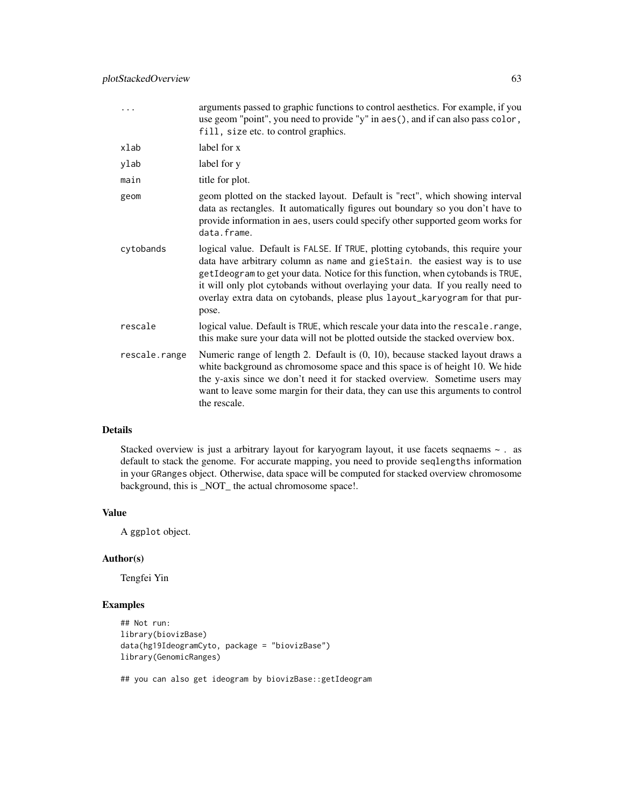|               | arguments passed to graphic functions to control aesthetics. For example, if you<br>use geom "point", you need to provide "y" in aes(), and if can also pass color,<br>fill, size etc. to control graphics.                                                                                                                                                                                                                 |
|---------------|-----------------------------------------------------------------------------------------------------------------------------------------------------------------------------------------------------------------------------------------------------------------------------------------------------------------------------------------------------------------------------------------------------------------------------|
| xlab          | label for x                                                                                                                                                                                                                                                                                                                                                                                                                 |
| ylab          | label for y                                                                                                                                                                                                                                                                                                                                                                                                                 |
| main          | title for plot.                                                                                                                                                                                                                                                                                                                                                                                                             |
| geom          | geom plotted on the stacked layout. Default is "rect", which showing interval<br>data as rectangles. It automatically figures out boundary so you don't have to<br>provide information in aes, users could specify other supported geom works for<br>data.frame.                                                                                                                                                            |
| cytobands     | logical value. Default is FALSE. If TRUE, plotting cytobands, this require your<br>data have arbitrary column as name and gieStain. the easiest way is to use<br>getIdeogram to get your data. Notice for this function, when cytobands is TRUE,<br>it will only plot cytobands without overlaying your data. If you really need to<br>overlay extra data on cytobands, please plus layout_karyogram for that pur-<br>pose. |
| rescale       | logical value. Default is TRUE, which rescale your data into the rescale. range,<br>this make sure your data will not be plotted outside the stacked overview box.                                                                                                                                                                                                                                                          |
| rescale.range | Numeric range of length 2. Default is (0, 10), because stacked layout draws a<br>white background as chromosome space and this space is of height 10. We hide<br>the y-axis since we don't need it for stacked overview. Sometime users may<br>want to leave some margin for their data, they can use this arguments to control<br>the rescale.                                                                             |

## Details

Stacked overview is just a arbitrary layout for karyogram layout, it use facets seqnaems ~ . as default to stack the genome. For accurate mapping, you need to provide seqlengths information in your GRanges object. Otherwise, data space will be computed for stacked overview chromosome background, this is \_NOT\_ the actual chromosome space!.

#### Value

A ggplot object.

#### Author(s)

Tengfei Yin

## Examples

```
## Not run:
library(biovizBase)
data(hg19IdeogramCyto, package = "biovizBase")
library(GenomicRanges)
```
## you can also get ideogram by biovizBase::getIdeogram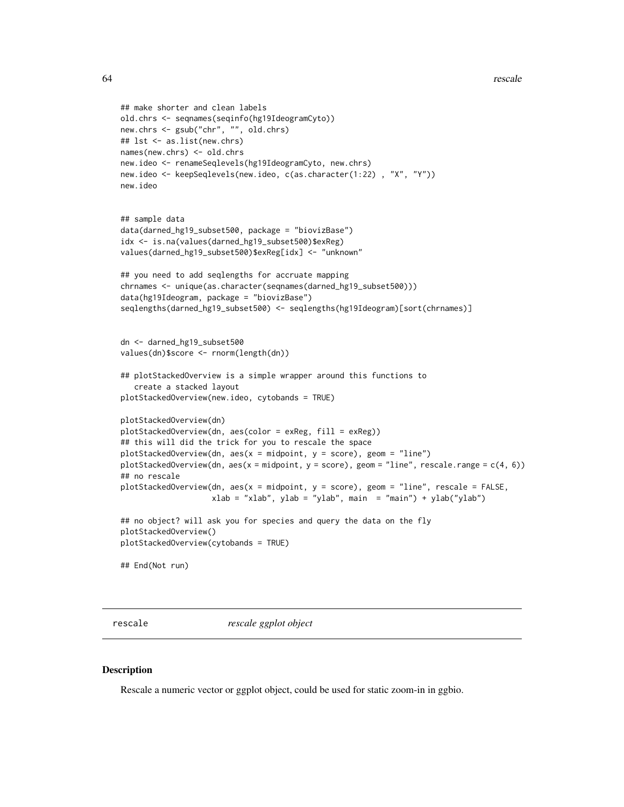```
## make shorter and clean labels
old.chrs <- seqnames(seqinfo(hg19IdeogramCyto))
new.chrs <- gsub("chr", "", old.chrs)
## lst <- as.list(new.chrs)
names(new.chrs) <- old.chrs
new.ideo <- renameSeqlevels(hg19IdeogramCyto, new.chrs)
new.ideo <- keepSeqlevels(new.ideo, c(as.character(1:22) , "X", "Y"))
new.ideo
## sample data
data(darned_hg19_subset500, package = "biovizBase")
idx <- is.na(values(darned_hg19_subset500)$exReg)
values(darned_hg19_subset500)$exReg[idx] <- "unknown"
## you need to add seqlengths for accruate mapping
chrnames <- unique(as.character(seqnames(darned_hg19_subset500)))
data(hg19Ideogram, package = "biovizBase")
seqlengths(darned_hg19_subset500) <- seqlengths(hg19Ideogram)[sort(chrnames)]
dn <- darned_hg19_subset500
values(dn)$score <- rnorm(length(dn))
## plotStackedOverview is a simple wrapper around this functions to
   create a stacked layout
plotStackedOverview(new.ideo, cytobands = TRUE)
plotStackedOverview(dn)
plotStackedOverview(dn, aes(color = exReg, fill = exReg))
## this will did the trick for you to rescale the space
plotStackedOverview(dn, aes(x = midpoint, y = score), geom = "line")
plotStackedOverview(dn, aes(x = midpoint, y = score), geom = "line", rescale.range = c(4, 6))
## no rescale
plotStackedOverview(dn, aes(x = midpoint, y = score), geom = "line", rescale = FALSE,
                    xlab = "xlab", ylab = "ylab", main = "main") + ylab("ylab")## no object? will ask you for species and query the data on the fly
plotStackedOverview()
plotStackedOverview(cytobands = TRUE)
## End(Not run)
```
rescale *rescale ggplot object*

## **Description**

Rescale a numeric vector or ggplot object, could be used for static zoom-in in ggbio.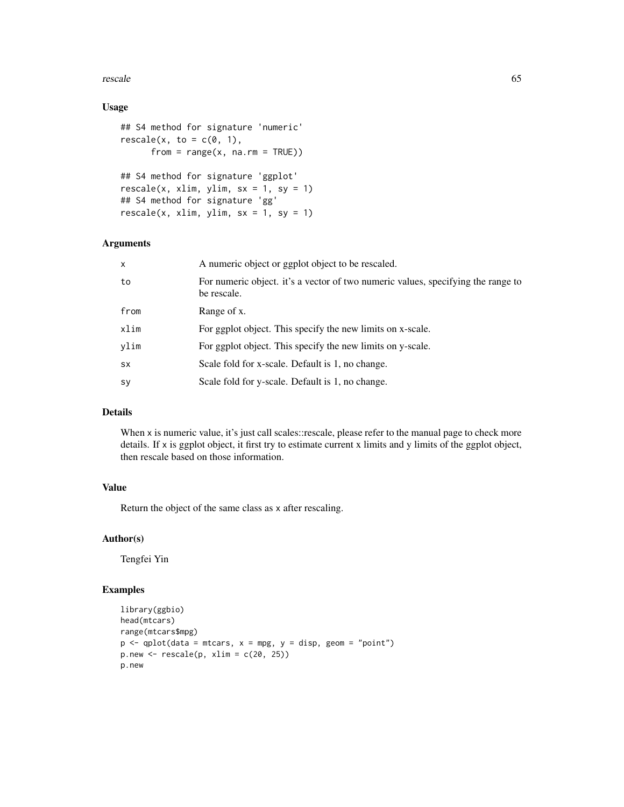#### rescale 65

## Usage

```
## S4 method for signature 'numeric'
rescale(x, to = c(0, 1),from = range(x, na.m = TRUE))## S4 method for signature 'ggplot'
rescale(x, xlim, ylim, sx = 1, sy = 1)## S4 method for signature 'gg'
rescale(x, xlim, ylim, sx = 1, sy = 1)
```
## Arguments

| $\mathsf{x}$ | A numeric object or ggplot object to be rescaled.                                               |
|--------------|-------------------------------------------------------------------------------------------------|
| to           | For numeric object. it's a vector of two numeric values, specifying the range to<br>be rescale. |
| from         | Range of x.                                                                                     |
| xlim         | For ggplot object. This specify the new limits on x-scale.                                      |
| ylim         | For ggplot object. This specify the new limits on y-scale.                                      |
| <b>SX</b>    | Scale fold for x-scale. Default is 1, no change.                                                |
| sy           | Scale fold for y-scale. Default is 1, no change.                                                |

## Details

When x is numeric value, it's just call scales::rescale, please refer to the manual page to check more details. If x is ggplot object, it first try to estimate current x limits and y limits of the ggplot object, then rescale based on those information.

## Value

Return the object of the same class as x after rescaling.

## Author(s)

Tengfei Yin

```
library(ggbio)
head(mtcars)
range(mtcars$mpg)
p \leq - qplot(data = mtcars, x = mpg, y = disp, geom = "point")
p.new < -rescale(p, xlim = c(20, 25))p.new
```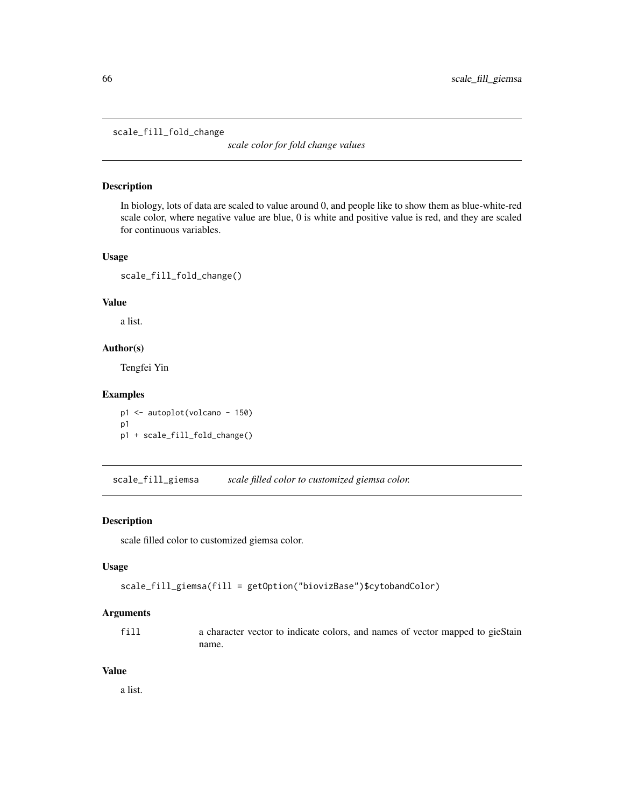scale\_fill\_fold\_change

*scale color for fold change values*

## Description

In biology, lots of data are scaled to value around 0, and people like to show them as blue-white-red scale color, where negative value are blue, 0 is white and positive value is red, and they are scaled for continuous variables.

## Usage

scale\_fill\_fold\_change()

## Value

a list.

## Author(s)

Tengfei Yin

## Examples

p1 <- autoplot(volcano - 150) p1 p1 + scale\_fill\_fold\_change()

scale\_fill\_giemsa *scale filled color to customized giemsa color.*

## Description

scale filled color to customized giemsa color.

## Usage

```
scale_fill_giemsa(fill = getOption("biovizBase")$cytobandColor)
```
#### Arguments

fill a character vector to indicate colors, and names of vector mapped to gieStain name.

## Value

a list.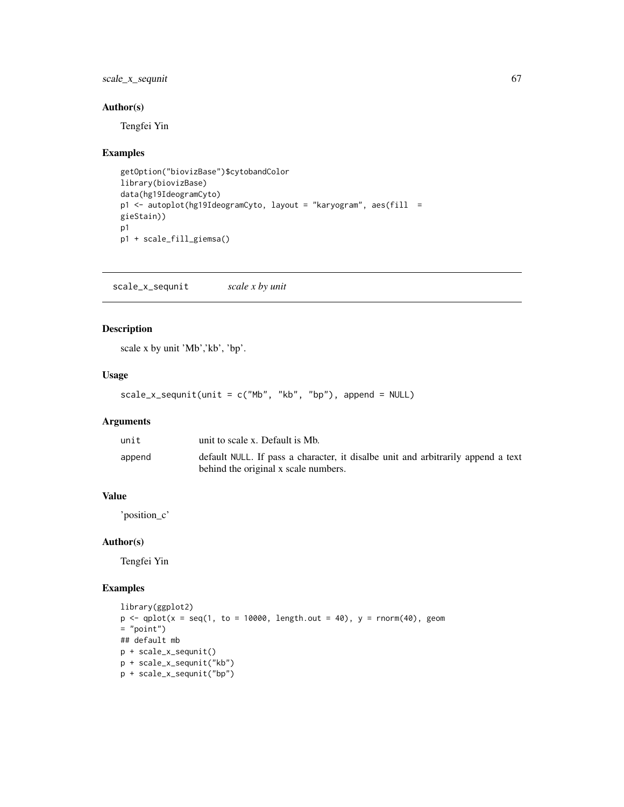scale\_x\_sequnit 67

## Author(s)

Tengfei Yin

## Examples

```
getOption("biovizBase")$cytobandColor
library(biovizBase)
data(hg19IdeogramCyto)
p1 <- autoplot(hg19IdeogramCyto, layout = "karyogram", aes(fill =
gieStain))
p1
p1 + scale_fill_giemsa()
```
scale\_x\_sequnit *scale x by unit*

## Description

scale x by unit 'Mb','kb', 'bp'.

## Usage

```
scale_x_sequnit(unit = c("Mb", "kb", "bp"), append = NULL)
```
## Arguments

| unit   | unit to scale x. Default is Mb.                                                  |
|--------|----------------------------------------------------------------------------------|
| append | default NULL. If pass a character, it disalbe unit and arbitrarily append a text |
|        | behind the original x scale numbers.                                             |

## Value

'position\_c'

#### Author(s)

Tengfei Yin

```
library(ggplot2)
p \leftarrow \text{qplot}(x = \text{seq}(1, \text{ to } = 10000, \text{ length.out } = 40), y = \text{norm}(40), \text{ geom}= "point")
## default mb
p + scale_x_sequnit()
p + scale_x_sequnit("kb")
p + scale_x_sequnit("bp")
```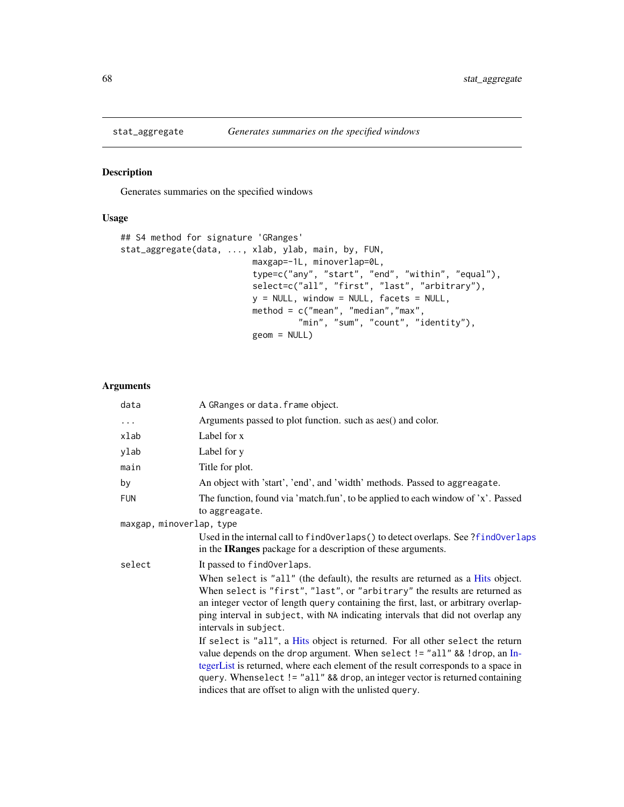#### Description

Generates summaries on the specified windows

## Usage

```
## S4 method for signature 'GRanges'
stat_aggregate(data, ..., xlab, ylab, main, by, FUN,
                          maxgap=-1L, minoverlap=0L,
                          type=c("any", "start", "end", "within", "equal"),
                          select=c("all", "first", "last", "arbitrary"),
                          y = NULL, window = NULL, facets = NULL,
                          method = c("mean", "median","max",
                                   "min", "sum", "count", "identity"),
                          geom = NULL)
```

| data                     | A GRanges or data. frame object.                                                                                                                                                                                                                                                                                                                                                              |
|--------------------------|-----------------------------------------------------------------------------------------------------------------------------------------------------------------------------------------------------------------------------------------------------------------------------------------------------------------------------------------------------------------------------------------------|
| $\cdots$                 | Arguments passed to plot function. such as aes() and color.                                                                                                                                                                                                                                                                                                                                   |
| xlab                     | Label for x                                                                                                                                                                                                                                                                                                                                                                                   |
| ylab                     | Label for y                                                                                                                                                                                                                                                                                                                                                                                   |
| main                     | Title for plot.                                                                                                                                                                                                                                                                                                                                                                               |
| by                       | An object with 'start', 'end', and 'width' methods. Passed to aggreagate.                                                                                                                                                                                                                                                                                                                     |
| <b>FUN</b>               | The function, found via 'match.fun', to be applied to each window of 'x'. Passed<br>to aggreagate.                                                                                                                                                                                                                                                                                            |
| maxgap, minoverlap, type |                                                                                                                                                                                                                                                                                                                                                                                               |
|                          | Used in the internal call to findOverlaps () to detect overlaps. See ?findOverlaps<br>in the <b>IRanges</b> package for a description of these arguments.                                                                                                                                                                                                                                     |
| select                   | It passed to find Overlaps.                                                                                                                                                                                                                                                                                                                                                                   |
|                          | When select is "all" (the default), the results are returned as a Hits object.<br>When select is "first", "last", or "arbitrary" the results are returned as<br>an integer vector of length query containing the first, last, or arbitrary overlap-<br>ping interval in subject, with NA indicating intervals that did not overlap any<br>intervals in subject.                               |
|                          | If select is "all", a Hits object is returned. For all other select the return<br>value depends on the drop argument. When select != "all" && !drop, an In-<br>tegerList is returned, where each element of the result corresponds to a space in<br>query. Whenselect != "all" && drop, an integer vector is returned containing<br>indices that are offset to align with the unlisted query. |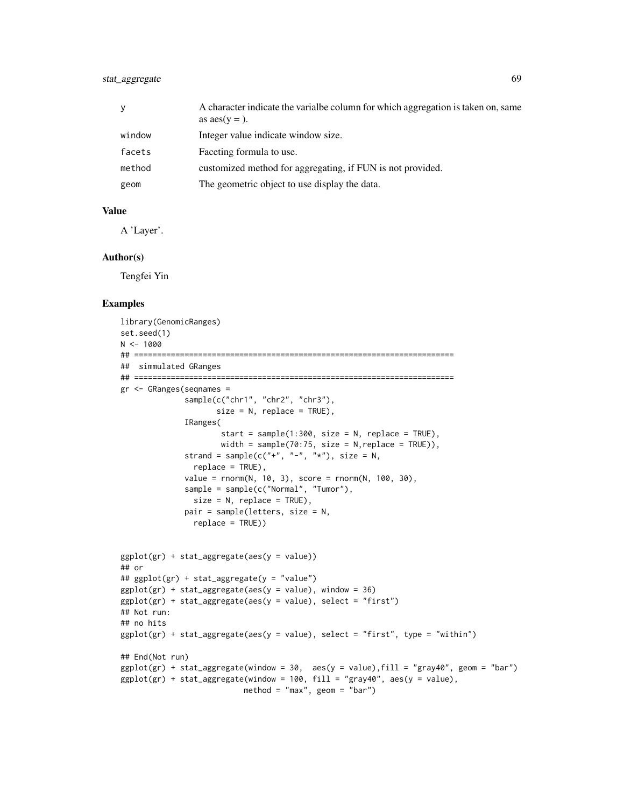## stat\_aggregate 69

| y      | A character indicate the varial be column for which aggregation is taken on, same<br>as $\text{aes}(y =)$ . |
|--------|-------------------------------------------------------------------------------------------------------------|
| window | Integer value indicate window size.                                                                         |
| facets | Faceting formula to use.                                                                                    |
| method | customized method for aggregating, if FUN is not provided.                                                  |
| geom   | The geometric object to use display the data.                                                               |

#### Value

A 'Layer'.

#### Author(s)

Tengfei Yin

```
library(GenomicRanges)
set.seed(1)
N < -1000## ======================================================================
## simmulated GRanges
## ======================================================================
gr <- GRanges(seqnames =
              sample(c("chr1", "chr2", "chr3"),
                    size = N, replace = TRUE),
              IRanges(
                     start = sample(1:300, size = N, replace = TRUE),
                     width = sample(70:75, size = N, replace = TRUE)),
             strand = sample(c("+", "-", "*"), size = N,
               replace = TRUE),
              value = rnorm(N, 10, 3), score = rnorm(N, 100, 30),sample = sample(c("Normal", "Tumor"),
               size = N, replace = TRUE),
             pair = sample(letters, size = N,
               replace = TRUE))
ggplot(gr) + stat_aggregate(aes(y = value))
## or
## ggplot(gr) + stat_aggregate(y = "value")
ggplot(gr) + stat-aggregate(aes(y = value), window = 36)ggplot(gr) + stat-aggregate(aes(y = value), select = "first")## Not run:
## no hits
ggplot(gr) + stat_aggregate(aes(y = value), select = "first", type = "within")## End(Not run)
ggplot(gr) + stat_aggregate(window = 30, aes(y = value), fill = "gray40", geom = "bar")ggplot(gr) + stat-aggregate(window = 100, fill = "gray40", aes(y = value),method = "max", geom = "bar")
```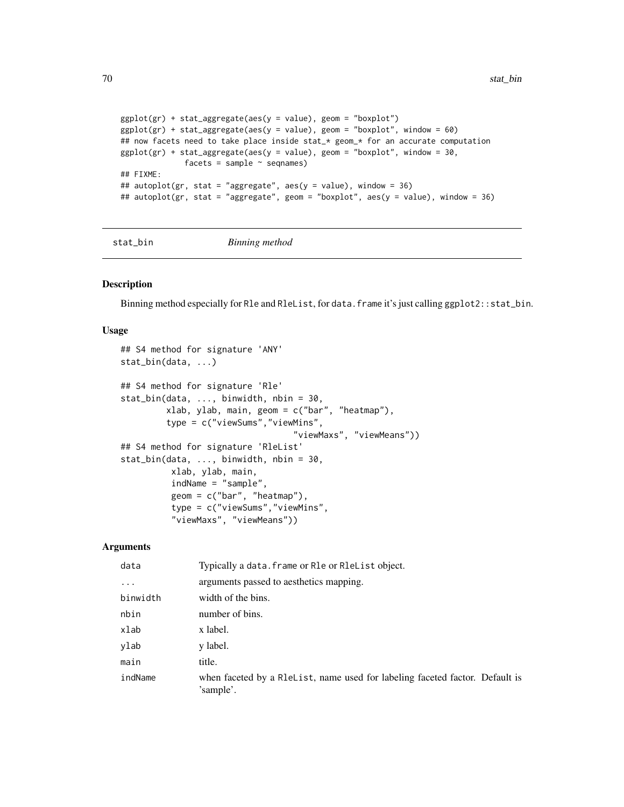```
ggplot(gr) + stat_aggregate(aes(y = value), geom = "boxplot")
ggplot(gr) + stat_aggregate(aes(y = value), geom = "boxplot", window = 60)## now facets need to take place inside stat_* geom_* for an accurate computation
ggplot(gr) + stat_aggregate(aes(y = value), geom = "boxplot", window = 30,facets = sample ~ seqnames)
## FIXME:
## autoplot(gr, stat = "aggregate", aes(y = value), window = 36)
## autoplot(gr, stat = "aggregate", geom = "boxplot", aes(y = value), window = 36)
```

```
stat_bin Binning method
```
## Description

Binning method especially for Rle and RleList, for data.frame it's just calling ggplot2::stat\_bin.

#### Usage

```
## S4 method for signature 'ANY'
stat_bin(data, ...)
## S4 method for signature 'Rle'
stat_bin(data, ..., binwidth, nbin = 30,
         xlab, ylab, main, geom = c("bar", "heatmap"),
         type = c("viewSums","viewMins",
                                  "viewMaxs", "viewMeans"))
## S4 method for signature 'RleList'
stat_bin(data, ..., binwidth, nbin = 30,
          xlab, ylab, main,
          indName = "sample",
          geom = c("bar", "heatmap"),
          type = c("viewSums","viewMins",
          "viewMaxs", "viewMeans"))
```

| data     | Typically a data. frame or Rle or RleList object.                                         |
|----------|-------------------------------------------------------------------------------------------|
| $\cdots$ | arguments passed to aesthetics mapping.                                                   |
| binwidth | width of the bins.                                                                        |
| nbin     | number of bins.                                                                           |
| xlab     | x label.                                                                                  |
| ylab     | y label.                                                                                  |
| main     | title.                                                                                    |
| indName  | when faceted by a R1eList, name used for labeling faceted factor. Default is<br>'sample'. |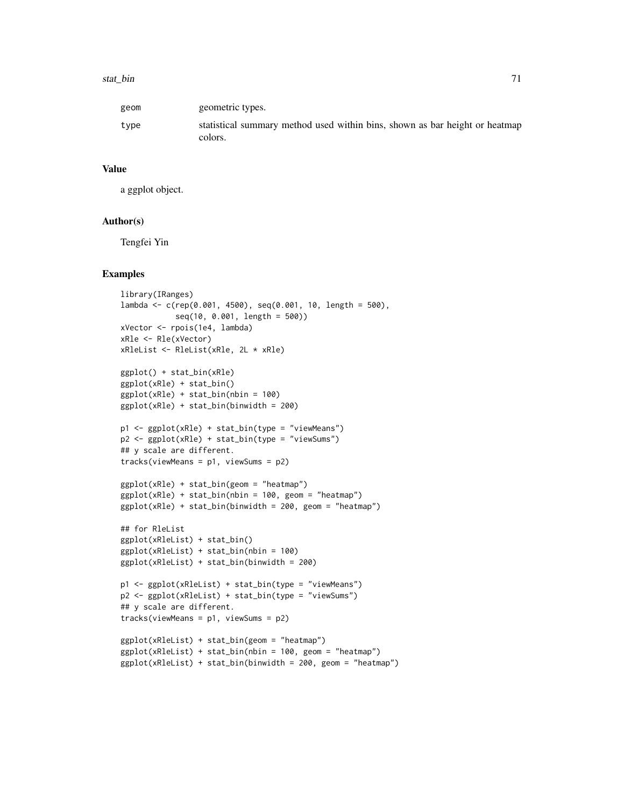#### stat\_bin 71

| geom | geometric types.                                                                       |
|------|----------------------------------------------------------------------------------------|
| type | statistical summary method used within bins, shown as bar height or heatmap<br>colors. |

#### Value

a ggplot object.

#### Author(s)

Tengfei Yin

```
library(IRanges)
lambda <- c(rep(0.001, 4500), seq(0.001, 10, length = 500),
            seq(10, 0.001, length = 500))
xVector <- rpois(1e4, lambda)
xRle <- Rle(xVector)
xRleList <- RleList(xRle, 2L * xRle)
ggplot() + stat_bin(xRle)
ggplot(xRle) + stat_bin()
ggplot(xRle) + stat_bin(nbin = 100)
ggplot(xRle) + stat_bin(binwidth = 200)
p1 <- ggplot(xRle) + stat_bin(type = "viewMeans")
p2 <- ggplot(xRle) + stat_bin(type = "viewSums")
## y scale are different.
tracks(viewMeans = p1, viewSums = p2)
ggplot(xRle) + stat_bin(geom = "heatmap")
ggplot(xRle) + stat\_bin(nbin = 100, geom = "heatmap")ggplot(xRle) + stat\_bin(binwidth = 200, geom = "heatmap")## for RleList
ggplot(xRleList) + stat_bin()
ggplot(xRleList) + stat_bin(nbin = 100)
ggplot(xRleList) + stat_bin(binwidth = 200)
p1 <- ggplot(xRleList) + stat_bin(type = "viewMeans")
p2 <- ggplot(xRleList) + stat_bin(type = "viewSums")
## y scale are different.
tracks(viewMeans = p1, viewSums = p2)
ggplot(xRleList) + stat_bin(geom = "heatmap")
ggplot(xRleList) + stat_bin(nbin = 100, geom = "heatmap")
ggplot(xRleList) + stat_bin(binwidth = 200, geom = "heatmap")
```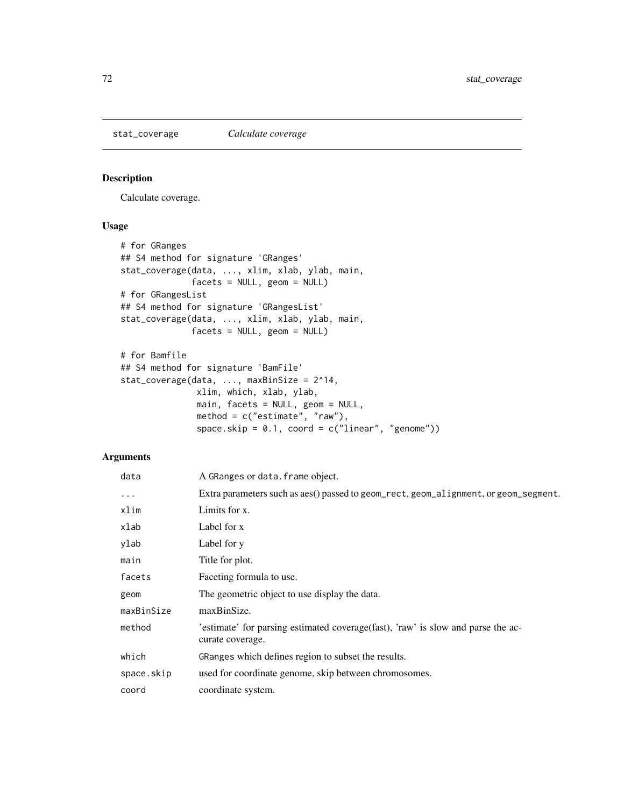stat\_coverage *Calculate coverage*

## Description

Calculate coverage.

## Usage

```
# for GRanges
## S4 method for signature 'GRanges'
stat_coverage(data, ..., xlim, xlab, ylab, main,
              facets = NULL, geom = NULL)
# for GRangesList
## S4 method for signature 'GRangesList'
stat_coverage(data, ..., xlim, xlab, ylab, main,
              facets = NULL, geom = NULL)
# for Bamfile
## S4 method for signature 'BamFile'
stat_coverage(data, ..., maxBinSize = 2^14,
               xlim, which, xlab, ylab,
               main, facets = NULL, geom = NULL,
               method = c("estimate", "raw"),
               space.skip = 0.1, coord = c("linear", "genome"))
```

| data       | A GRanges or data. frame object.                                                                     |
|------------|------------------------------------------------------------------------------------------------------|
| $\cdots$   | Extra parameters such as aes() passed to geom_rect, geom_alignment, or geom_segment.                 |
| xlim       | Limits for x.                                                                                        |
| xlab       | Label for x                                                                                          |
| ylab       | Label for y                                                                                          |
| main       | Title for plot.                                                                                      |
| facets     | Faceting formula to use.                                                                             |
| geom       | The geometric object to use display the data.                                                        |
| maxBinSize | maxBinSize.                                                                                          |
| method     | 'estimate' for parsing estimated coverage(fast), 'raw' is slow and parse the ac-<br>curate coverage. |
| which      | GRanges which defines region to subset the results.                                                  |
| space.skip | used for coordinate genome, skip between chromosomes.                                                |
| coord      | coordinate system.                                                                                   |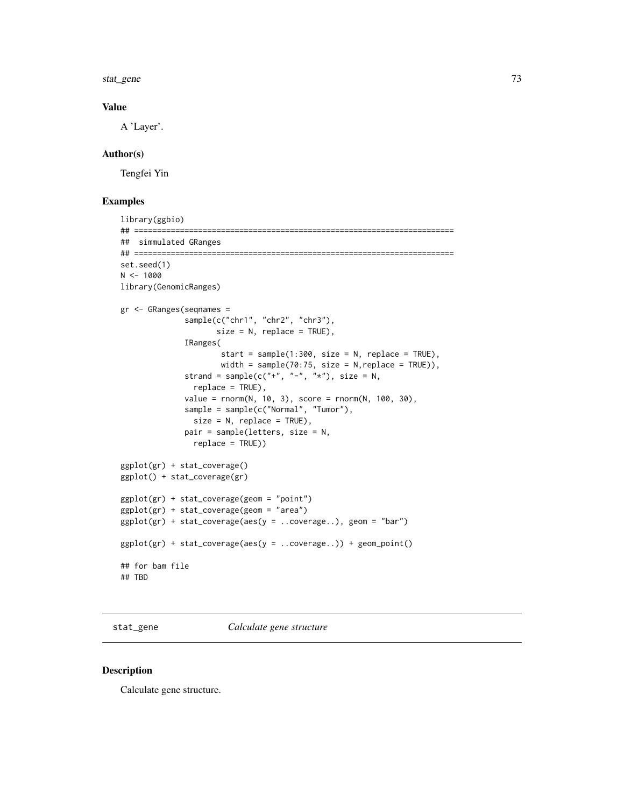<span id="page-72-0"></span>stat\_gene 73

#### Value

A 'Layer'.

#### Author(s)

Tengfei Yin

## Examples

```
library(ggbio)
## ======================================================================
## simmulated GRanges
## ======================================================================
set.seed(1)
N < - 1000library(GenomicRanges)
gr <- GRanges(seqnames =
              sample(c("chr1", "chr2", "chr3"),
                     size = N, replace = TRUE),
              IRanges(
                      start = sample(1:300, size = N, replace = TRUE),width = sample(70:75, size = N, replace = TRUE)),
              strand = sample(c("+", "-", "*"), size = N,
                replace = TRUE),
              value = rnorm(N, 10, 3), score = rnorm(N, 100, 30),
              sample = sample(c("Normal", "Tumor"),
                size = N, replace = TRUE),
              pair = sample(letters, size = N,
                replace = TRUE))
ggplot(gr) + stat_coverage()
ggplot() + stat_coverage(gr)
ggplot(gr) + stat_coverage(geom = "point")
ggplot(gr) + stat_coverage(geom = "area")
ggplot(gr) + stat\_coverage(aes(y = ..coverage...), geom = "bar")ggplot(gr) + stat_coverage(aes(y = ..coverage..)) + geom_point()
## for bam file
## TBD
```
stat\_gene *Calculate gene structure*

#### Description

Calculate gene structure.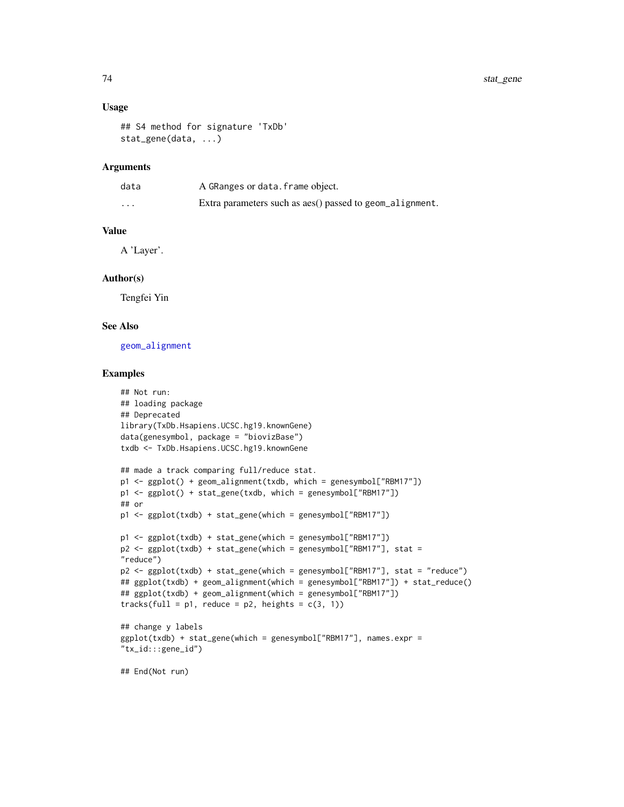#### <span id="page-73-0"></span>Usage

```
## S4 method for signature 'TxDb'
stat_gene(data, ...)
```
## Arguments

| data     | A GRanges or data. frame object.                         |
|----------|----------------------------------------------------------|
| $\cdots$ | Extra parameters such as aes() passed to geom_alignment. |

#### Value

A 'Layer'.

#### Author(s)

Tengfei Yin

## See Also

[geom\\_alignment](#page-20-0)

#### Examples

```
## Not run:
## loading package
## Deprecated
library(TxDb.Hsapiens.UCSC.hg19.knownGene)
data(genesymbol, package = "biovizBase")
txdb <- TxDb.Hsapiens.UCSC.hg19.knownGene
## made a track comparing full/reduce stat.
p1 <- ggplot() + geom_alignment(txdb, which = genesymbol["RBM17"])
p1 <- ggplot() + stat_gene(txdb, which = genesymbol["RBM17"])
## or
p1 <- ggplot(txdb) + stat_gene(which = genesymbol["RBM17"])
p1 <- ggplot(txdb) + stat_gene(which = genesymbol["RBM17"])
p2 <- ggplot(txdb) + stat_gene(which = genesymbol["RBM17"], stat =
"reduce")
p2 <- ggplot(txdb) + stat_gene(which = genesymbol["RBM17"], stat = "reduce")
## ggplot(txdb) + geom_alignment(which = genesymbol["RBM17"]) + stat_reduce()
## ggplot(txdb) + geom_alignment(which = genesymbol["RBM17"])
tracks(full = p1, reduce = p2, heights = c(3, 1))
## change y labels
ggplot(txdb) + stat_gene(which = genesymbol["RBM17"], names.expr =
"tx_id:::gene_id")
## End(Not run)
```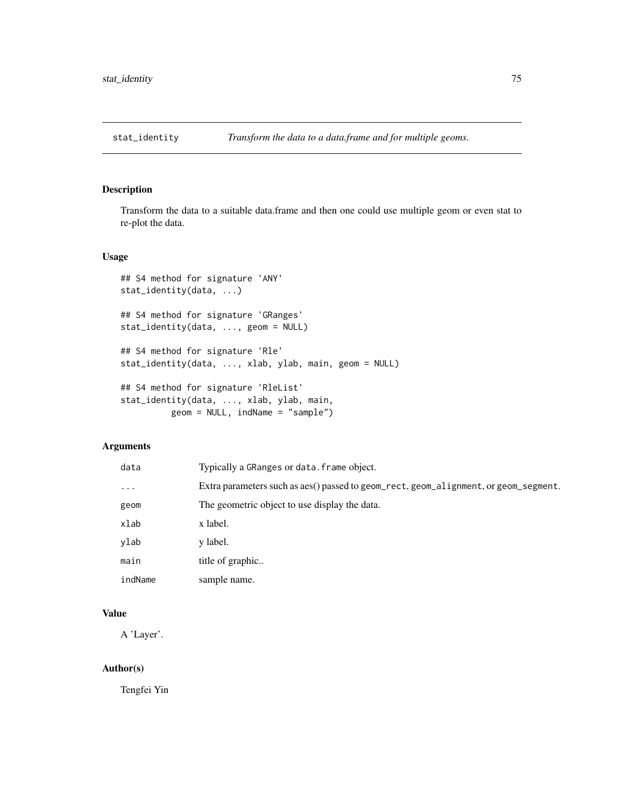<span id="page-74-0"></span>

## Description

Transform the data to a suitable data.frame and then one could use multiple geom or even stat to re-plot the data.

#### Usage

```
## S4 method for signature 'ANY'
stat_identity(data, ...)
## S4 method for signature 'GRanges'
stat_identity(data, ..., geom = NULL)
## S4 method for signature 'Rle'
stat_identity(data, ..., xlab, ylab, main, geom = NULL)
## S4 method for signature 'RleList'
stat_identity(data, ..., xlab, ylab, main,
         geom = NULL, indName = "sample")
```
#### Arguments

| data     | Typically a GRanges or data. frame object.                                           |
|----------|--------------------------------------------------------------------------------------|
| $\cdots$ | Extra parameters such as aes() passed to geom_rect, geom_alignment, or geom_segment. |
| geom     | The geometric object to use display the data.                                        |
| xlab     | x label.                                                                             |
| ylab     | y label.                                                                             |
| main     | title of graphic                                                                     |
| indName  | sample name.                                                                         |
|          |                                                                                      |

## Value

A 'Layer'.

## Author(s)

Tengfei Yin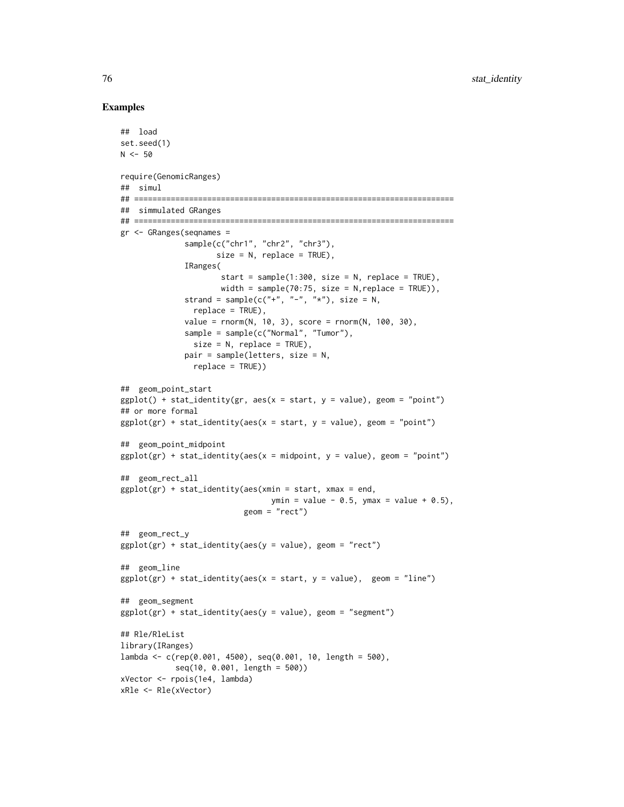#### Examples

```
## load
set.seed(1)
N < -50require(GenomicRanges)
## simul
## ======================================================================
## simmulated GRanges
## ======================================================================
gr <- GRanges(seqnames =
              sample(c("chr1", "chr2", "chr3"),
                     size = N, replace = TRUE),
              IRanges(
                      start = sample(1:300, size = N, replace = TRUE),
                     width = sample(70:75, size = N, replace = TRUE)),
              strand = sample(c("+", "-", "*"), size = N,
                replace = TRUE),
              value = rnorm(N, 10, 3), score = rnorm(N, 100, 30),
              sample = sample(c("Normal", "Tumor"),
                size = N, replace = TRUE),
              pair = sample(letters, size = N,
                replace = TRUE))
## geom_point_start
ggplot() + stat_identity(gr, aes(x = start, y = value), geom = "point")## or more formal
ggplot(gr) + stat_identity(aes(x = start, y = value), geom = "point")## geom_point_midpoint
ggplot(gr) + stat_identity(aes(x = midpoint, y = value), geom = "point")## geom_rect_all
ggplot(gr) + stat_identity(aes(xmin = start, xmax = end,ymin = value - 0.5, ymax = value + 0.5,
                           geom = "rect")
## geom_rect_y
ggplot(gr) + stat_identity(aes(y = value), geom = "rect")## geom_line
ggplot(gr) + stat_identity(aes(x = start, y = value), gen = "line")## geom_segment
ggplot(gr) + stat_identity(aes(y = value), geom = "segment")## Rle/RleList
library(IRanges)
lambda <- c(rep(0.001, 4500), seq(0.001, 10, length = 500),
            seq(10, 0.001, length = 500))
xVector <- rpois(1e4, lambda)
xRle <- Rle(xVector)
```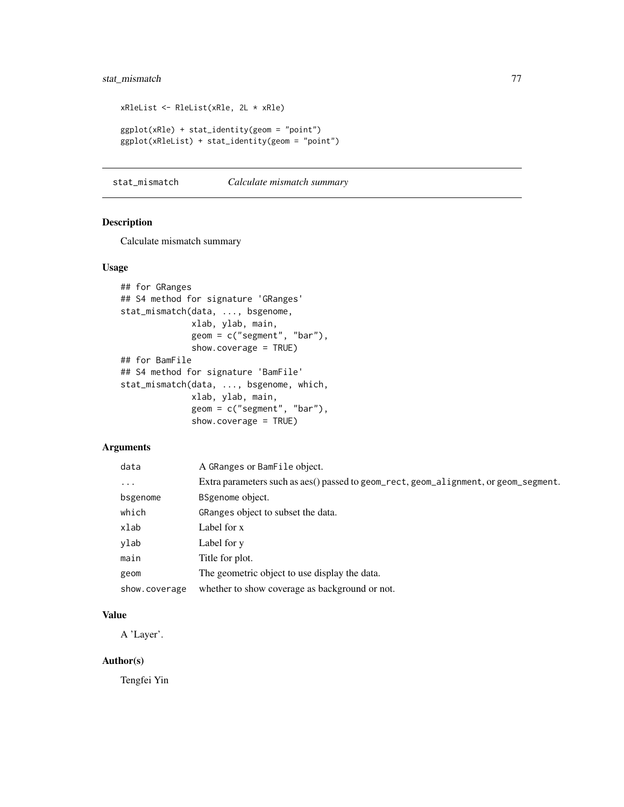## <span id="page-76-0"></span>stat\_mismatch 77

```
xRleList <- RleList(xRle, 2L * xRle)
ggplot(xRle) + stat_identity(geom = "point")
ggplot(xRleList) + stat_identity(geom = "point")
```
stat\_mismatch *Calculate mismatch summary*

## Description

Calculate mismatch summary

#### Usage

```
## for GRanges
## S4 method for signature 'GRanges'
stat_mismatch(data, ..., bsgenome,
              xlab, ylab, main,
              geom = c("segment", "bar"),
              show.coverage = TRUE)
## for BamFile
## S4 method for signature 'BamFile'
stat_mismatch(data, ..., bsgenome, which,
              xlab, ylab, main,
              geom = c("segment", "bar"),
              show.coverage = TRUE)
```
## Arguments

| data          | A GRanges or BamFile object.                                                         |
|---------------|--------------------------------------------------------------------------------------|
| $\ddotsc$     | Extra parameters such as aes() passed to geom_rect, geom_alignment, or geom_segment. |
| bsgenome      | BSgenome object.                                                                     |
| which         | GRanges object to subset the data.                                                   |
| xlab          | Label for x                                                                          |
| ylab          | Label for y                                                                          |
| main          | Title for plot.                                                                      |
| geom          | The geometric object to use display the data.                                        |
| show.coverage | whether to show coverage as background or not.                                       |

## Value

A 'Layer'.

## Author(s)

Tengfei Yin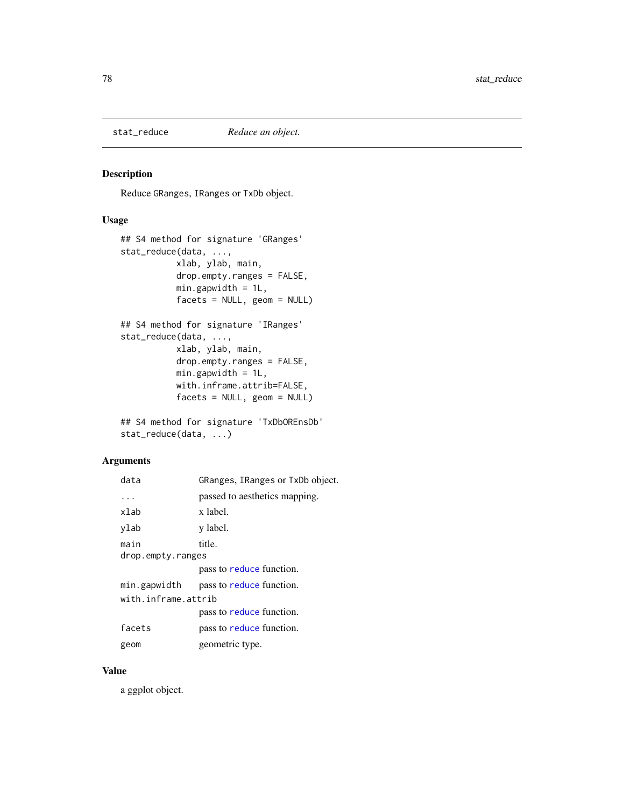<span id="page-77-0"></span>

## Description

Reduce GRanges, IRanges or TxDb object.

## Usage

```
## S4 method for signature 'GRanges'
stat_reduce(data, ...,
          xlab, ylab, main,
          drop.empty.ranges = FALSE,
          min.gapwidth = 1L,facets = NULL, geom = NULL)
## S4 method for signature 'IRanges'
stat_reduce(data, ...,
          xlab, ylab, main,
          drop.empty.ranges = FALSE,
          min.gapwidth = 1L,with.inframe.attrib=FALSE,
          facets = NULL, geom = NULL)
```

```
## S4 method for signature 'TxDbOREnsDb'
stat_reduce(data, ...)
```
## Arguments

| data                | GRanges, IRanges or TxDb object. |  |
|---------------------|----------------------------------|--|
| $\ddotsc$           | passed to aesthetics mapping.    |  |
| xlab                | x label.                         |  |
| ylab                | y label.                         |  |
| main                | title.                           |  |
| drop.empty.ranges   |                                  |  |
|                     | pass to reduce function.         |  |
| min.gapwidth        | pass to reduce function.         |  |
| with.inframe.attrib |                                  |  |
|                     | pass to reduce function.         |  |
| facets              | pass to reduce function.         |  |
| geom                | geometric type.                  |  |

#### Value

a ggplot object.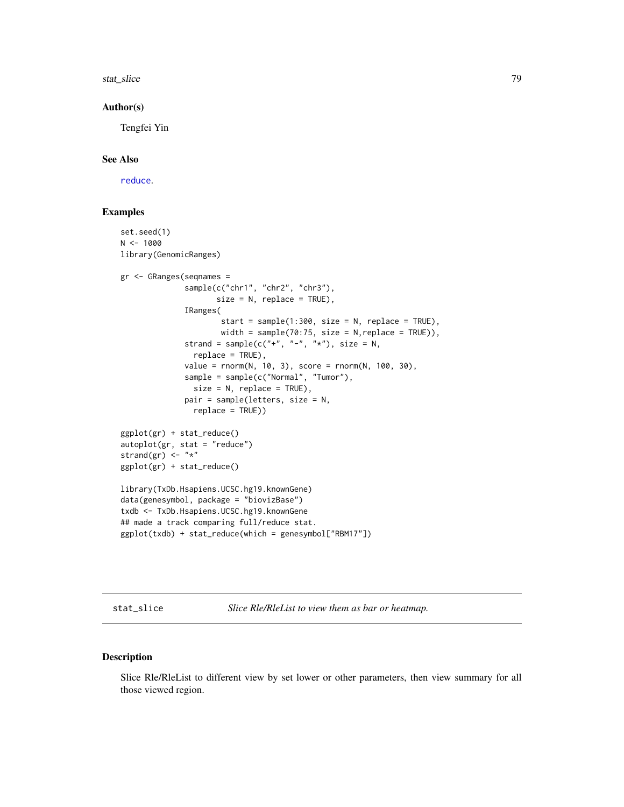<span id="page-78-0"></span>stat\_slice 79

#### Author(s)

Tengfei Yin

## See Also

[reduce](#page-0-0).

## Examples

```
set.seed(1)
N < - 1000library(GenomicRanges)
gr <- GRanges(seqnames =
              sample(c("chr1", "chr2", "chr3"),
                     size = N, replace = TRUE),
              IRanges(
                      start = sample(1:300, size = N, replace = TRUE),width = sample(70:75, size = N, replace = TRUE)),
              strand = sample(c("+", "-", "*"), size = N,
                replace = TRUE),
              value = rnorm(N, 10, 3), score = rnorm(N, 100, 30),
              sample = sample(c("Normal", "Tumor"),
                size = N, replace = TRUE),
              pair = sample(letters, size = N,
                replace = TRUE))
ggplot(gr) + stat_reduce()
autoplot(gr, stat = "reduce")
strand(gr) \leq - "*"
ggplot(gr) + stat_reduce()
library(TxDb.Hsapiens.UCSC.hg19.knownGene)
data(genesymbol, package = "biovizBase")
txdb <- TxDb.Hsapiens.UCSC.hg19.knownGene
## made a track comparing full/reduce stat.
ggplot(txdb) + stat_reduce(which = genesymbol["RBM17"])
```
stat\_slice *Slice Rle/RleList to view them as bar or heatmap.*

## Description

Slice Rle/RleList to different view by set lower or other parameters, then view summary for all those viewed region.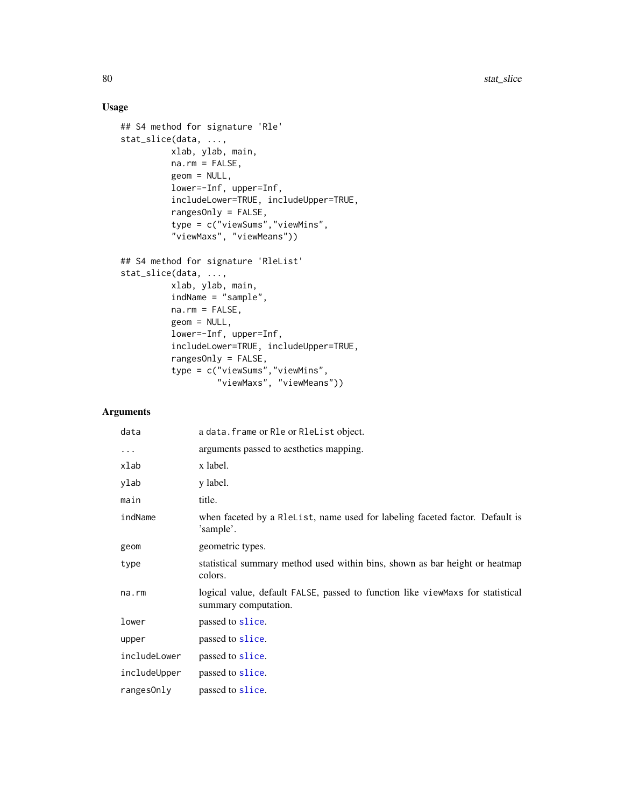## Usage

```
## S4 method for signature 'Rle'
stat_slice(data, ...,
          xlab, ylab, main,
          na.rm = FALSE,
          geom = NULL,
          lower=-Inf, upper=Inf,
          includeLower=TRUE, includeUpper=TRUE,
          rangesOnly = FALSE,
          type = c("viewSums","viewMins",
          "viewMaxs", "viewMeans"))
## S4 method for signature 'RleList'
stat_slice(data, ...,
          xlab, ylab, main,
          indName = "sample",
          na.rm = FALSE,
          geom = NULL,
          lower=-Inf, upper=Inf,
          includeLower=TRUE, includeUpper=TRUE,
          rangesOnly = FALSE,
          type = c("viewSums","viewMins",
                   "viewMaxs", "viewMeans"))
```
## Arguments

| data         | a data. frame or Rle or RleList object.                                                                |
|--------------|--------------------------------------------------------------------------------------------------------|
| $\cdots$     | arguments passed to aesthetics mapping.                                                                |
| xlab         | x label.                                                                                               |
| ylab         | y label.                                                                                               |
| main         | title.                                                                                                 |
| indName      | when faceted by a R1eList, name used for labeling faceted factor. Default is<br>'sample'.              |
| geom         | geometric types.                                                                                       |
| type         | statistical summary method used within bins, shown as bar height or heatmap<br>colors.                 |
| na.rm        | logical value, default FALSE, passed to function like viewMaxs for statistical<br>summary computation. |
| lower        | passed to slice.                                                                                       |
| upper        | passed to slice.                                                                                       |
| includeLower | passed to slice.                                                                                       |
| includeUpper | passed to slice.                                                                                       |
| ranges0nly   | passed to slice.                                                                                       |

<span id="page-79-0"></span>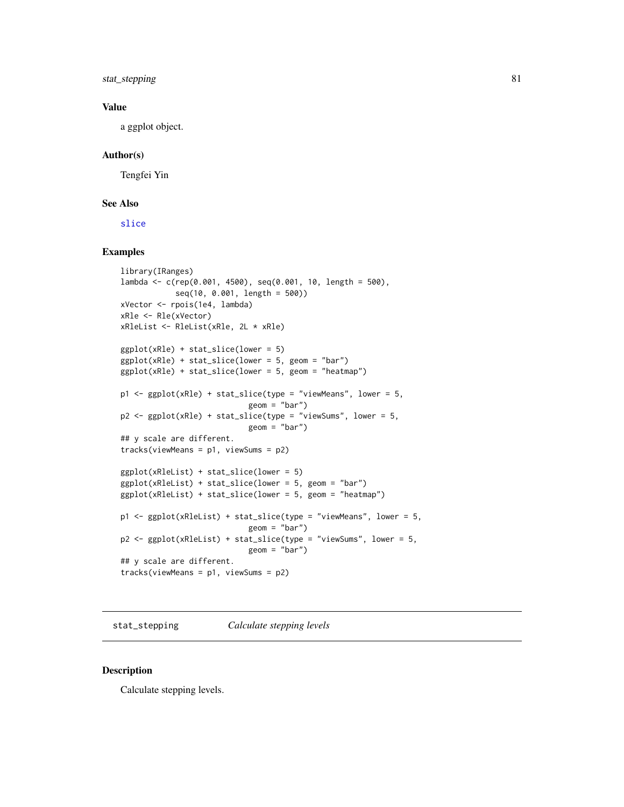<span id="page-80-0"></span>stat\_stepping 81

#### Value

a ggplot object.

## Author(s)

Tengfei Yin

## See Also

[slice](#page-0-0)

## Examples

```
library(IRanges)
lambda <- c(rep(0.001, 4500), seq(0.001, 10, length = 500),
            seq(10, 0.001, length = 500))
xVector <- rpois(1e4, lambda)
xRle <- Rle(xVector)
xRleList <- RleList(xRle, 2L * xRle)
ggplot(xRle) + stat_slice(lower = 5)
ggplot(xRle) + stat_slice(lower = 5, geom = "bar")
ggplot(xRle) + stat\_slice(lower = 5, geom = "heatmap")p1 <- ggplot(xRle) + stat_slice(type = "viewMeans", lower = 5,
                            geom = "bar")
p2 \leq - ggplot(xRle) + stat_slice(type = "viewSums", lower = 5,
                            geom = "bar")## y scale are different.
tracks(viewMeans = p1, viewSums = p2)
ggplot(xRleList) + stat_slice(lower = 5)
ggplot(xRleList) + stat_slice(lower = 5, geom = "bar")
ggplot(xRleList) + stat_slice(lower = 5, geom = "heatmap")
p1 \leq - ggplot(xRleList) + stat_slice(type = "viewMeans", lower = 5,
                            geom = "bar")p2 <- ggplot(xRleList) + stat_slice(type = "viewSums", lower = 5,
                            geom = "bar")
## y scale are different.
tracks(viewMeans = p1, viewSums = p2)
```
stat\_stepping *Calculate stepping levels*

## Description

Calculate stepping levels.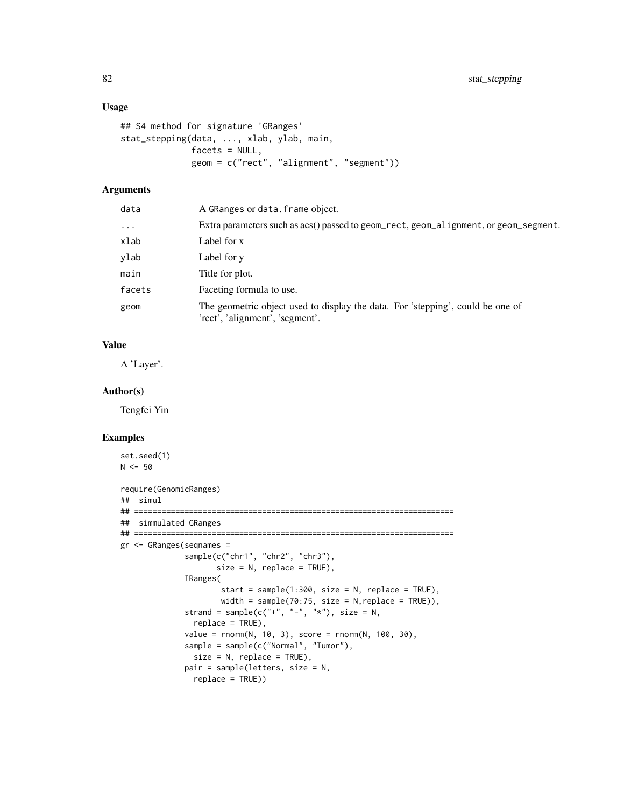## Usage

```
## S4 method for signature 'GRanges'
stat_stepping(data, ..., xlab, ylab, main,
              facets = NULL,
              geom = c("rect", "alignment", "segment"))
```
## Arguments

| data     | A GRanges or data. frame object.                                                                                  |
|----------|-------------------------------------------------------------------------------------------------------------------|
| $\cdots$ | Extra parameters such as aes() passed to geom_rect, geom_alignment, or geom_segment.                              |
| xlab     | Label for x                                                                                                       |
| vlab     | Label for y                                                                                                       |
| main     | Title for plot.                                                                                                   |
| facets   | Faceting formula to use.                                                                                          |
| geom     | The geometric object used to display the data. For 'stepping', could be one of<br>'rect', 'alignment', 'segment'. |

## Value

A 'Layer'.

#### Author(s)

Tengfei Yin

## Examples

```
set.seed(1)
N < -50require(GenomicRanges)
## simul
## ======================================================================
## simmulated GRanges
## ======================================================================
gr <- GRanges(seqnames =
             sample(c("chr1", "chr2", "chr3"),
                     size = N, replace = TRUE),
             IRanges(
                      start = sample(1:300, size = N, replace = TRUE),width = sample(70:75, size = N, replace = TRUE)),
              strand = sample(c("+", "-", "*"), size = N,
               replace = TRUE),
              value = rnorm(N, 10, 3), score = rnorm(N, 100, 30),
              sample = sample(c("Normal", "Tumor"),
               size = N, replace = TRUE),
             pair = sample(letters, size = N,
               replace = TRUE))
```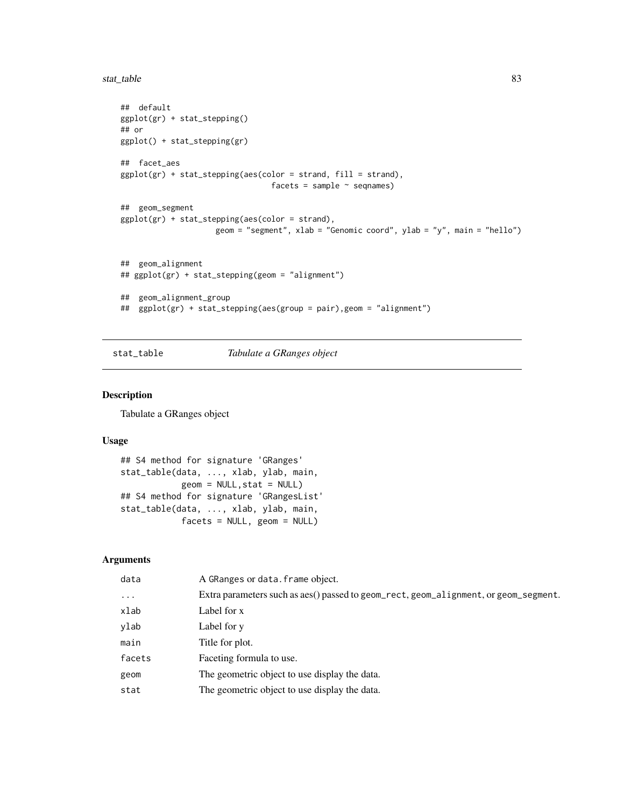<span id="page-82-0"></span>stat\_table 83

```
## default
ggplot(gr) + stat_stepping()
## or
ggplot() + stat_stepping(gr)
## facet_aes
ggplot(gr) + stat_stepping(aes(color = strand, fill = strand),
                                facets = sample ~ seqnames)
## geom_segment
ggplot(gr) + stat_stepping(aes(color = strand),
                    geom = "segment", xlab = "Genomic coord", ylab = "y", main = "hello")
## geom_alignment
## ggplot(gr) + stat_stepping(geom = "alignment")
## geom_alignment_group
## ggplot(gr) + stat_stepping(aes(group = pair),geom = "alignment")
```
stat\_table *Tabulate a GRanges object*

#### Description

Tabulate a GRanges object

#### Usage

```
## S4 method for signature 'GRanges'
stat_table(data, ..., xlab, ylab, main,
            geom = NULL,stat = NULL)
## S4 method for signature 'GRangesList'
stat_table(data, ..., xlab, ylab, main,
            facets = NULL, geom = NULL)
```
## Arguments

| data       | A GRanges or data. frame object.                                                     |
|------------|--------------------------------------------------------------------------------------|
| $\ddots$ . | Extra parameters such as aes() passed to geom_rect, geom_alignment, or geom_segment. |
| xlab       | Label for x                                                                          |
| ylab       | Label for y                                                                          |
| main       | Title for plot.                                                                      |
| facets     | Faceting formula to use.                                                             |
| geom       | The geometric object to use display the data.                                        |
| stat       | The geometric object to use display the data.                                        |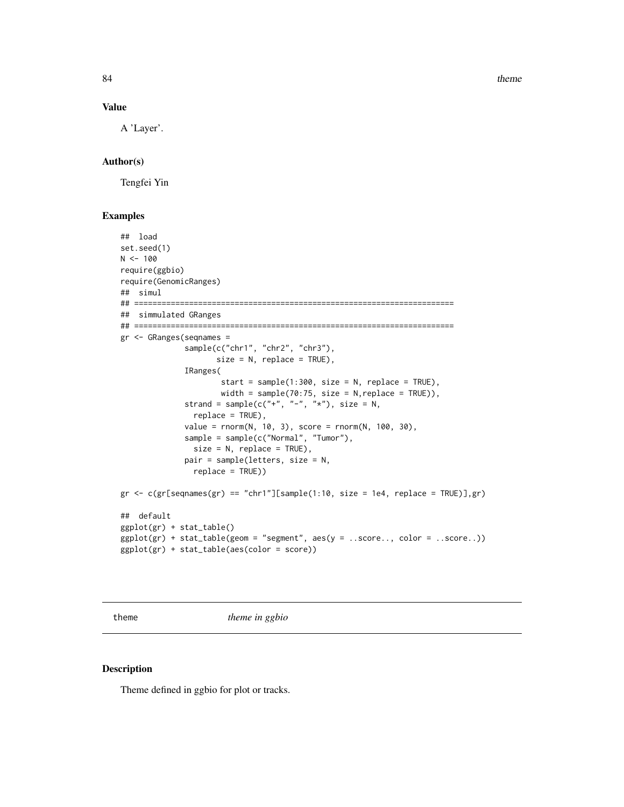84 theme and the state of the state of the state of the state of the state of the state of the state of the state of the state of the state of the state of the state of the state of the state of the state of the state of t

#### Value

A 'Layer'.

## Author(s)

Tengfei Yin

## Examples

```
## load
set.seed(1)
N < - 100require(ggbio)
require(GenomicRanges)
## simul
## ======================================================================
## simmulated GRanges
## ======================================================================
gr <- GRanges(seqnames =
              sample(c("chr1", "chr2", "chr3"),
                     size = N, replace = TRUE),
              IRanges(
                      start = sample(1:300, size = N, replace = TRUE),
                      width = sample(70:75, size = N, replace = TRUE)),
              strand = sample(c("''", "''", "''"), size = N,
                replace = TRUE),
              value = rnorm(N, 10, 3), score = rnorm(N, 100, 30),
              sample = sample(c("Normal", "Tumor"),
                size = N, replace = TRUE),
              pair = sample(letters, size = N,
                replace = TRUE))
gr < -c(gr[sequames(gr) == "chr1"][sample(1:10, size = 1e4, replace = TRUE)], gr)## default
ggplot(gr) + stat_table()
ggplot(gr) + stat_table(geom = "segment", aes(y = ..score.., color = ..score..))ggplot(gr) + stat_table(aes(color = score))
```
theme *theme in ggbio*

## Description

Theme defined in ggbio for plot or tracks.

<span id="page-83-0"></span>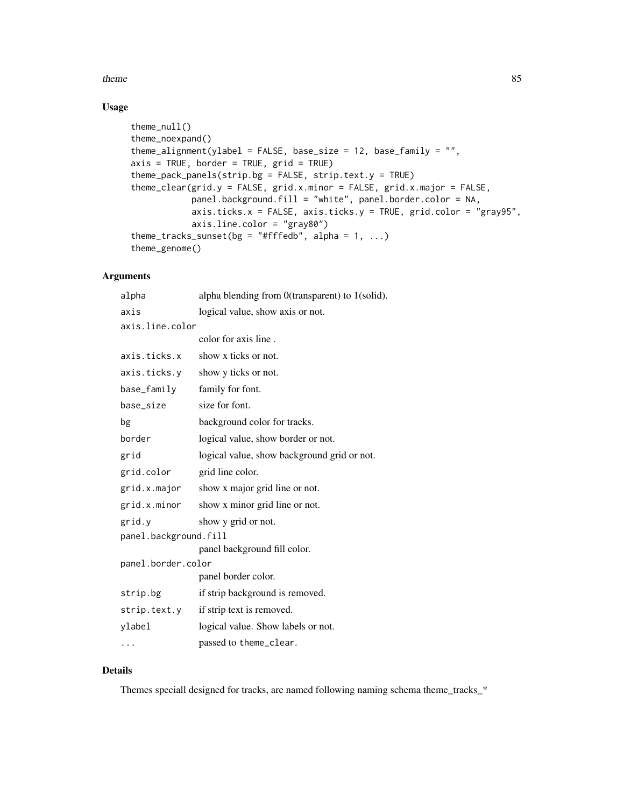#### theme 85

## Usage

```
theme_null()
theme_noexpand()
theme_alignment(ylabel = FALSE, base_size = 12, base_family = ",
axis = TRUE, border = TRUE, grid = TRUE)theme_pack_panels(strip.bg = FALSE, strip.text.y = TRUE)
theme_clear(grid.y = FALSE, grid.x.minor = FALSE, grid.x.major = FALSE,
            panel.background.fill = "white", panel.border.color = NA,
            axis.ticks.x = FALSE, axis.ticks.y = TRUE, grid.color = "gray95",
            axis.line.color = "gray80")
theme_tracks_sunset(bg = "#fffedb", alpha = 1, ...)
theme_genome()
```
#### Arguments

| alpha                 | alpha blending from 0(transparent) to 1(solid). |  |
|-----------------------|-------------------------------------------------|--|
| axis                  | logical value, show axis or not.                |  |
| axis.line.color       |                                                 |  |
|                       | color for axis line.                            |  |
| axis.ticks.x          | show x ticks or not.                            |  |
| axis.ticks.y          | show y ticks or not.                            |  |
| base_family           | family for font.                                |  |
| base_size             | size for font.                                  |  |
| bg                    | background color for tracks.                    |  |
| border                | logical value, show border or not.              |  |
| grid                  | logical value, show background grid or not.     |  |
| grid.color            | grid line color.                                |  |
| grid.x.major          | show x major grid line or not.                  |  |
| grid.x.minor          | show x minor grid line or not.                  |  |
| grid.y                | show y grid or not.                             |  |
| panel.background.fill |                                                 |  |
|                       | panel background fill color.                    |  |
| panel.border.color    |                                                 |  |
|                       | panel border color.                             |  |
| strip.bg              | if strip background is removed.                 |  |
| strip.text.y          | if strip text is removed.                       |  |
| ylabel                | logical value. Show labels or not.              |  |
|                       | passed to theme_clear.                          |  |

## Details

Themes speciall designed for tracks, are named following naming schema theme\_tracks\_\*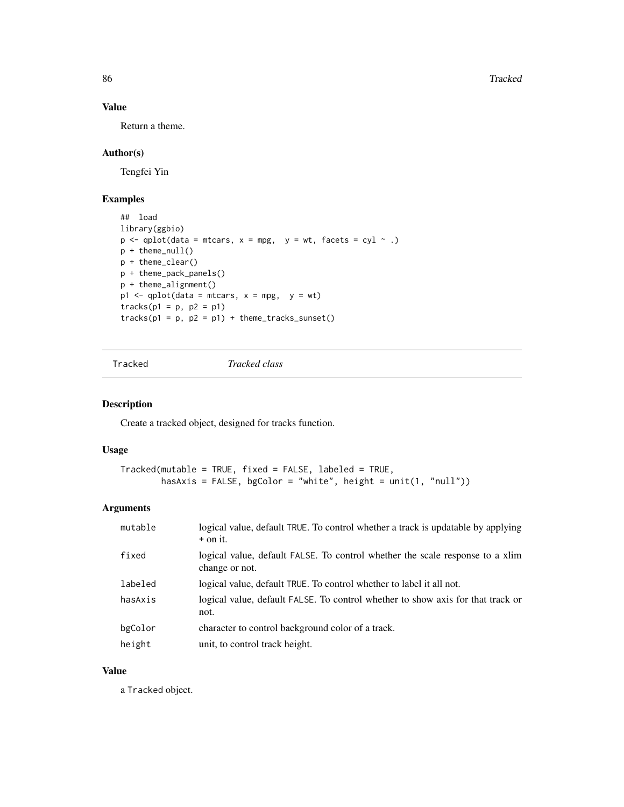86 Tracked

## Value

Return a theme.

## Author(s)

Tengfei Yin

## Examples

```
## load
library(ggbio)
p \leftarrow \text{qplot}(\text{data = mtrans}, x = \text{mpg}, y = \text{wt}, \text{facets} = \text{cyl} \sim .)p + theme_null()
p + theme_clear()
p + theme_pack_panels()
p + theme_alignment()
p1 \leftarrow qplot(data = mtrans, x = mpg, y = wt)tracks(p1 = p, p2 = p1)tracks(p1 = p, p2 = p1) + theme\_tracks\_sunset()
```
Tracked *Tracked class*

## Description

Create a tracked object, designed for tracks function.

## Usage

```
Tracked(mutable = TRUE, fixed = FALSE, labeled = TRUE,
        hasAxis = FALSE, bgColor = "white", height = unit(1, "null"))
```
#### Arguments

| mutable | logical value, default TRUE. To control whether a track is updatable by applying<br>$+$ on it.  |
|---------|-------------------------------------------------------------------------------------------------|
| fixed   | logical value, default FALSE. To control whether the scale response to a xlim<br>change or not. |
| labeled | logical value, default TRUE. To control whether to label it all not.                            |
| hasAxis | logical value, default FALSE. To control whether to show axis for that track or<br>not.         |
| bgColor | character to control background color of a track.                                               |
| height  | unit, to control track height.                                                                  |

## Value

a Tracked object.

<span id="page-85-0"></span>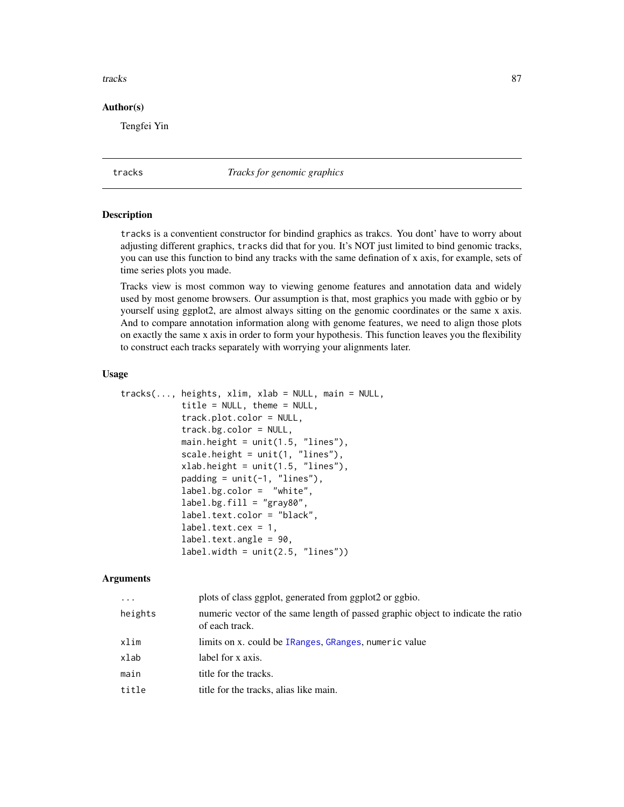#### <span id="page-86-1"></span>tracks 87

#### Author(s)

Tengfei Yin

tracks *Tracks for genomic graphics*

#### <span id="page-86-0"></span>**Description**

tracks is a conventient constructor for bindind graphics as trakcs. You dont' have to worry about adjusting different graphics, tracks did that for you. It's NOT just limited to bind genomic tracks, you can use this function to bind any tracks with the same defination of x axis, for example, sets of time series plots you made.

Tracks view is most common way to viewing genome features and annotation data and widely used by most genome browsers. Our assumption is that, most graphics you made with ggbio or by yourself using ggplot2, are almost always sitting on the genomic coordinates or the same x axis. And to compare annotation information along with genome features, we need to align those plots on exactly the same x axis in order to form your hypothesis. This function leaves you the flexibility to construct each tracks separately with worrying your alignments later.

#### Usage

```
tracks(..., heights, xlim, xlab = NULL, main = NULL,title = NULL, theme = NULL,
            track.plot.color = NULL,
            track.bg.color = NULL,
            main.height = unit(1.5, 'lines''),
            scale.height = unit(1, "lines"),
            xlab.height = unit(1.5, "lines"),
            padding = unit(-1, "lines"),label.bg.color = "white",
            label.bg.fill = "gray80",label.text.color = "black",
            label.text.cex = 1,
            label.text.angle = 90,
            label<u>width = unit(2.5</u>, "lines"))
```
#### Arguments

| $\ddots$ | plots of class ggplot, generated from ggplot2 or ggbio.                                            |
|----------|----------------------------------------------------------------------------------------------------|
| heights  | numeric vector of the same length of passed graphic object to indicate the ratio<br>of each track. |
| xlim     | limits on x. could be IRanges, GRanges, numeric value                                              |
| xlab     | label for x axis.                                                                                  |
| main     | title for the tracks.                                                                              |
| title    | title for the tracks, alias like main.                                                             |
|          |                                                                                                    |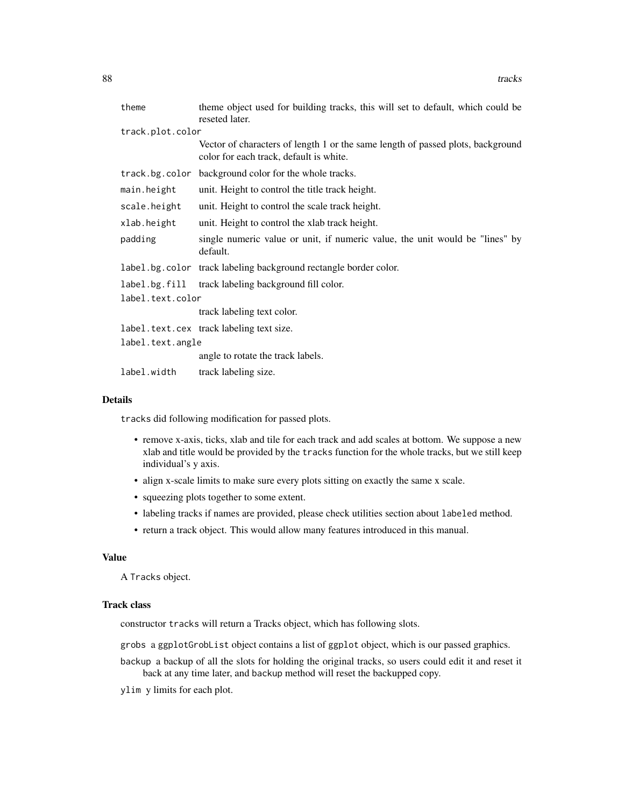| theme            | theme object used for building tracks, this will set to default, which could be<br>reseted later.                          |  |
|------------------|----------------------------------------------------------------------------------------------------------------------------|--|
| track.plot.color |                                                                                                                            |  |
|                  | Vector of characters of length 1 or the same length of passed plots, background<br>color for each track, default is white. |  |
|                  | track.bg.color background color for the whole tracks.                                                                      |  |
| main.height      | unit. Height to control the title track height.                                                                            |  |
| scale.height     | unit. Height to control the scale track height.                                                                            |  |
| xlab.height      | unit. Height to control the xlab track height.                                                                             |  |
| padding          | single numeric value or unit, if numeric value, the unit would be "lines" by<br>default.                                   |  |
|                  | label.bg.color track labeling background rectangle border color.                                                           |  |
|                  | label.bg.fill track labeling background fill color.                                                                        |  |
| label.text.color |                                                                                                                            |  |
|                  | track labeling text color.                                                                                                 |  |
|                  | label.text.cex track labeling text size.                                                                                   |  |
| label.text.angle |                                                                                                                            |  |
|                  | angle to rotate the track labels.                                                                                          |  |
| label.width      | track labeling size.                                                                                                       |  |

#### Details

tracks did following modification for passed plots.

- remove x-axis, ticks, xlab and tile for each track and add scales at bottom. We suppose a new xlab and title would be provided by the tracks function for the whole tracks, but we still keep individual's y axis.
- align x-scale limits to make sure every plots sitting on exactly the same x scale.
- squeezing plots together to some extent.
- labeling tracks if names are provided, please check utilities section about labeled method.
- return a track object. This would allow many features introduced in this manual.

## Value

A Tracks object.

#### Track class

constructor tracks will return a Tracks object, which has following slots.

grobs a ggplotGrobList object contains a list of ggplot object, which is our passed graphics.

- backup a backup of all the slots for holding the original tracks, so users could edit it and reset it back at any time later, and backup method will reset the backupped copy.
- ylim y limits for each plot.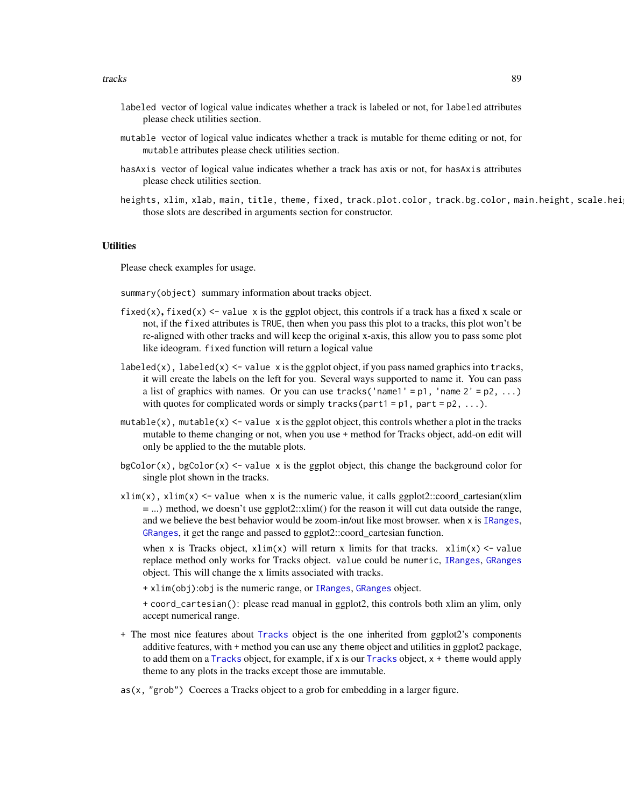- <span id="page-88-0"></span>labeled vector of logical value indicates whether a track is labeled or not, for labeled attributes please check utilities section.
- mutable vector of logical value indicates whether a track is mutable for theme editing or not, for mutable attributes please check utilities section.
- hasAxis vector of logical value indicates whether a track has axis or not, for hasAxis attributes please check utilities section.
- heights, xlim, xlab, main, title, theme, fixed, track.plot.color, track.bg.color, main.height, scale.hei those slots are described in arguments section for constructor.

## **Utilities**

Please check examples for usage.

- summary(object) summary information about tracks object.
- fixed(x), fixed(x)  $\le$  value x is the ggplot object, this controls if a track has a fixed x scale or not, if the fixed attributes is TRUE, then when you pass this plot to a tracks, this plot won't be re-aligned with other tracks and will keep the original x-axis, this allow you to pass some plot like ideogram. fixed function will return a logical value
- $labeled(x)$ ,  $labeled(x) \leq value \ x$  is the ggplot object, if you pass named graphics into tracks, it will create the labels on the left for you. Several ways supported to name it. You can pass a list of graphics with names. Or you can use tracks ('name1' =  $p1$ , 'name 2' =  $p2$ , ...) with quotes for complicated words or simply tracks(part1 =  $p1$ , part =  $p2$ , ...).
- mutable(x), mutable(x)  $\le$  value x is the ggplot object, this controls whether a plot in the tracks mutable to theme changing or not, when you use + method for Tracks object, add-on edit will only be applied to the the mutable plots.
- $bgColor(x)$ , bgColor(x) <- value x is the ggplot object, this change the background color for single plot shown in the tracks.
- $x\lim(x)$ ,  $x\lim(x)$  <- value when x is the numeric value, it calls ggplot2::coord\_cartesian(xlim = ...) method, we doesn't use ggplot2::xlim() for the reason it will cut data outside the range, and we believe the best behavior would be zoom-in/out like most browser. when x is [IRanges](#page-0-0), [GRanges](#page-0-0), it get the range and passed to ggplot2::coord\_cartesian function.

when x is Tracks object,  $xlim(x)$  will return x limits for that tracks.  $xlim(x) < -v$  value replace method only works for Tracks object. value could be numeric, [IRanges](#page-0-0), [GRanges](#page-0-0) object. This will change the x limits associated with tracks.

+ xlim(obj):obj is the numeric range, or [IRanges](#page-0-0), [GRanges](#page-0-0) object.

+ coord\_cartesian(): please read manual in ggplot2, this controls both xlim an ylim, only accept numerical range.

- + The most nice features about [Tracks](#page-86-0) object is the one inherited from ggplot2's components additive features, with + method you can use any theme object and utilities in ggplot2 package, to add them on a [Tracks](#page-86-0) object, for example, if x is our [Tracks](#page-86-0) object, x + theme would apply theme to any plots in the tracks except those are immutable.
- $as(x, "grob")$  Coerces a Tracks object to a grob for embedding in a larger figure.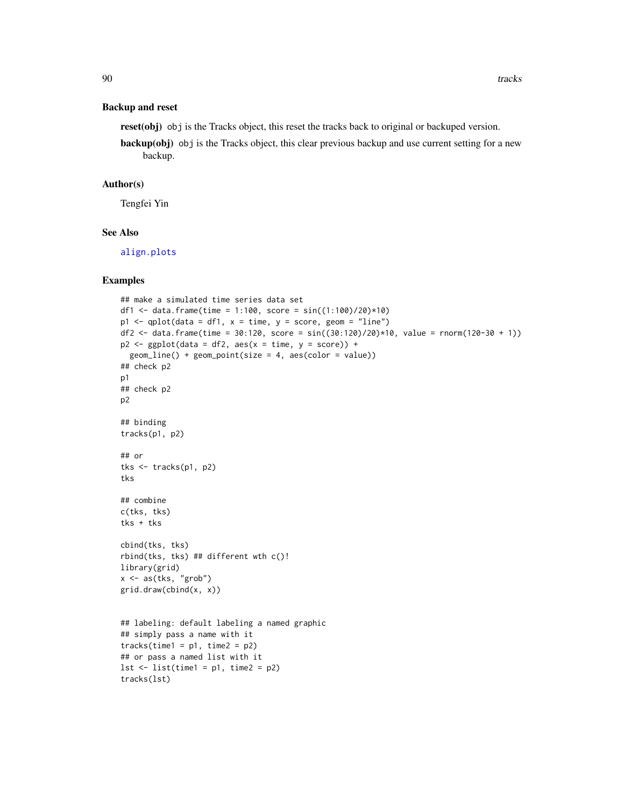#### <span id="page-89-0"></span>Backup and reset

reset(obj) obj is the Tracks object, this reset the tracks back to original or backuped version.

backup(obj) obj is the Tracks object, this clear previous backup and use current setting for a new backup.

#### Author(s)

Tengfei Yin

## See Also

[align.plots](#page-86-0)

## Examples

```
## make a simulated time series data set
df1 <- data.frame(time = 1:100, score = sin((1:100)/20)*10)p1 \leq - qplot(data = df1, x = time, y = score, geom = "line")
df2 <- data.frame(time = 30:120, score = sin((30:120)/20)*10, value = rnorm(120-30 + 1))
p2 \leq - ggplot(data = df2, aes(x = time, y = score)) +
 geom_line() + geom_point(size = 4, aes(color = value))
## check p2
p1
## check p2
p2
## binding
tracks(p1, p2)
## or
tks <- tracks(p1, p2)
tks
## combine
c(tks, tks)
tks + tks
cbind(tks, tks)
rbind(tks, tks) ## different wth c()!
library(grid)
x \leq -as(tks, "grob")grid.draw(cbind(x, x))
## labeling: default labeling a named graphic
## simply pass a name with it
tracks(time1 = p1, time2 = p2)## or pass a named list with it
lst \leftarrow list(time1 = p1, time2 = p2)tracks(lst)
```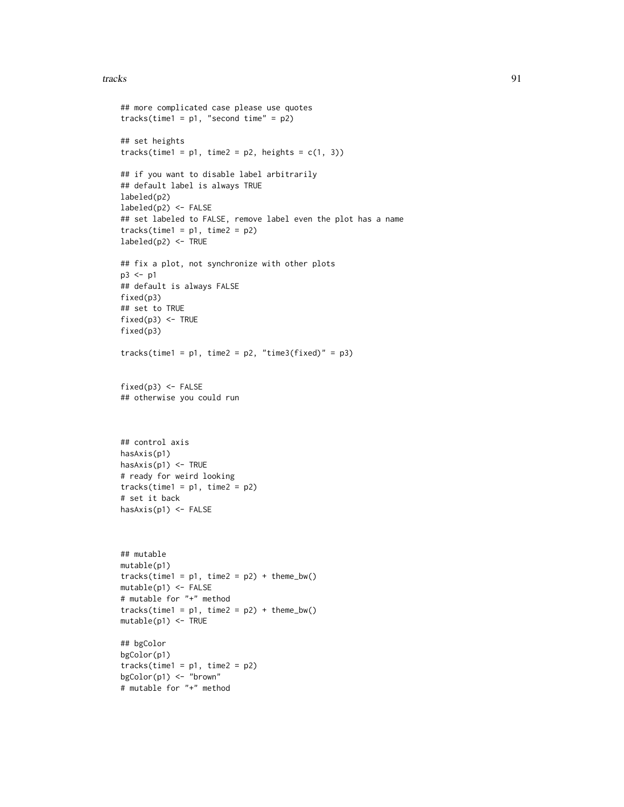#### tracks 91

```
## more complicated case please use quotes
tracks(time1 = p1, "second time" = p2)
## set heights
tracks(time1 = p1, time2 = p2, heights = c(1, 3))
## if you want to disable label arbitrarily
## default label is always TRUE
labeled(p2)
labeled(p2) <- FALSE
## set labeled to FALSE, remove label even the plot has a name
tracks(time1 = p1, time2 = p2)labeled(p2) <- TRUE
## fix a plot, not synchronize with other plots
p3 <- p1
## default is always FALSE
fixed(p3)
## set to TRUE
fixed(p3) <- TRUE
fixed(p3)
tracks(time1 = p1, time2 = p2, "time3(fixed)" = p3)fixed(p3) <- FALSE
## otherwise you could run
## control axis
hasAxis(p1)
hasAxis(p1) <- TRUE
# ready for weird looking
tracks(time1 = p1, time2 = p2)# set it back
hasAxis(p1) <- FALSE
## mutable
mutable(p1)
tracks(time1 = p1, time2 = p2) + theme_bw()mutable(p1) <- FALSE
# mutable for "+" method
tracks(time1 = p1, time2 = p2) + theme_bw()mutable(p1) <- TRUE
## bgColor
bgColor(p1)
tracks(time1 = p1, time2 = p2)bgColor(p1) <- "brown"
# mutable for "+" method
```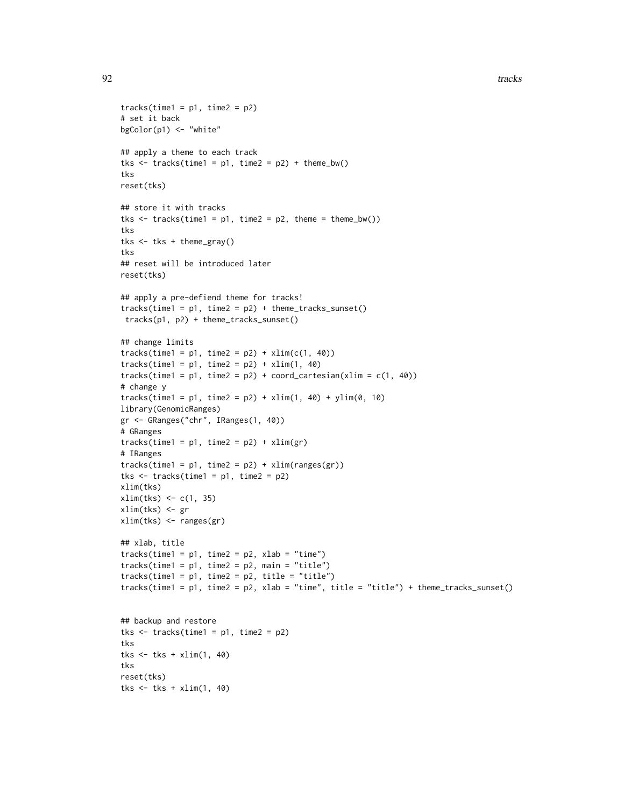```
tracks(time1 = p1, time2 = p2)# set it back
bgColor(p1) <- "white"
## apply a theme to each track
tks \leftarrow tracks(time1 = p1, time2 = p2) + theme_bw()
tks
reset(tks)
## store it with tracks
tks \le tracks(time1 = p1, time2 = p2, theme = theme_bw())
tks
tks <- tks + theme_gray()
tks
## reset will be introduced later
reset(tks)
## apply a pre-defiend theme for tracks!
tracks(time1 = p1, time2 = p2) + theme_{tracks\_sunset()tracks(p1, p2) + theme_tracks_sunset()
## change limits
tracks(time1 = p1, time2 = p2) + xlim(c(1, 40))tracks(time1 = p1, time2 = p2) + xlim(1, 40)tracks(time1 = p1, time2 = p2) + coord\_cartesian(xlim = c(1, 40))# change y
tracks(time1 = p1, time2 = p2) + xlim(1, 40) + ylim(0, 10)library(GenomicRanges)
gr <- GRanges("chr", IRanges(1, 40))
# GRanges
tracks(time1 = p1, time2 = p2) + xlim(gr)# IRanges
tracks(time1 = p1, time2 = p2) + xlim(range(gr))tks \le tracks(time1 = p1, time2 = p2)
xlim(tks)
xlim(tks) <- c(1, 35)
xlim(tks) <- gr
xlim(tks) <- ranges(gr)
## xlab, title
tracks(time1 = p1, time2 = p2, xlab = "time")tracks(time1 = p1, time2 = p2, main = "title")
tracks(time1 = p1, time2 = p2, title = "title")tracks(time1 = p1, time2 = p2, xlab = "time", title = "title") + theme_tracks_sunset()## backup and restore
tks \le tracks(time1 = p1, time2 = p2)
tks
tks \le tks + xlim(1, 40)
tks
reset(tks)
tks \le tks + xlim(1, 40)
```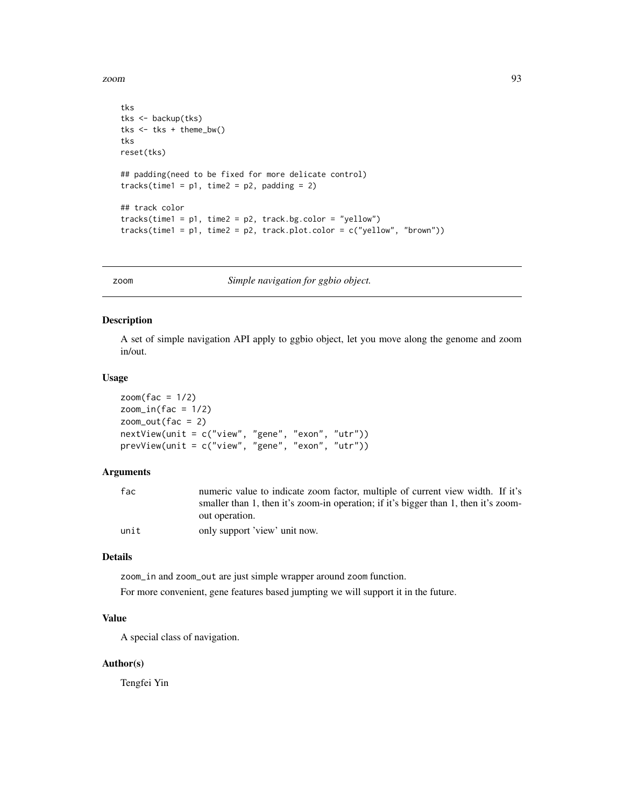<span id="page-92-0"></span>zoom 93

```
tks
tks <- backup(tks)
tks <- tks + theme_bw()
tks
reset(tks)
## padding(need to be fixed for more delicate control)
tracks(time1 = p1, time2 = p2, padding = 2)
## track color
tracks(time1 = p1, time2 = p2, track.bg.color = "yellow")tracks(time1 = p1, time2 = p2, track.plotcolor = c("yellow", "brown"))
```
zoom *Simple navigation for ggbio object.*

#### Description

A set of simple navigation API apply to ggbio object, let you move along the genome and zoom in/out.

#### Usage

 $zoom(fac = 1/2)$  $zoom_in(fac = 1/2)$  $zoom\_out(fac = 2)$ nextView(unit = c("view", "gene", "exon", "utr")) prevView(unit = c("view", "gene", "exon", "utr"))

#### Arguments

| fac  | numeric value to indicate zoom factor, multiple of current view width. If it's      |
|------|-------------------------------------------------------------------------------------|
|      | smaller than 1, then it's zoom-in operation; if it's bigger than 1, then it's zoom- |
|      | out operation.                                                                      |
| unit | only support 'view' unit now.                                                       |

#### Details

zoom\_in and zoom\_out are just simple wrapper around zoom function.

For more convenient, gene features based jumpting we will support it in the future.

## Value

A special class of navigation.

#### Author(s)

Tengfei Yin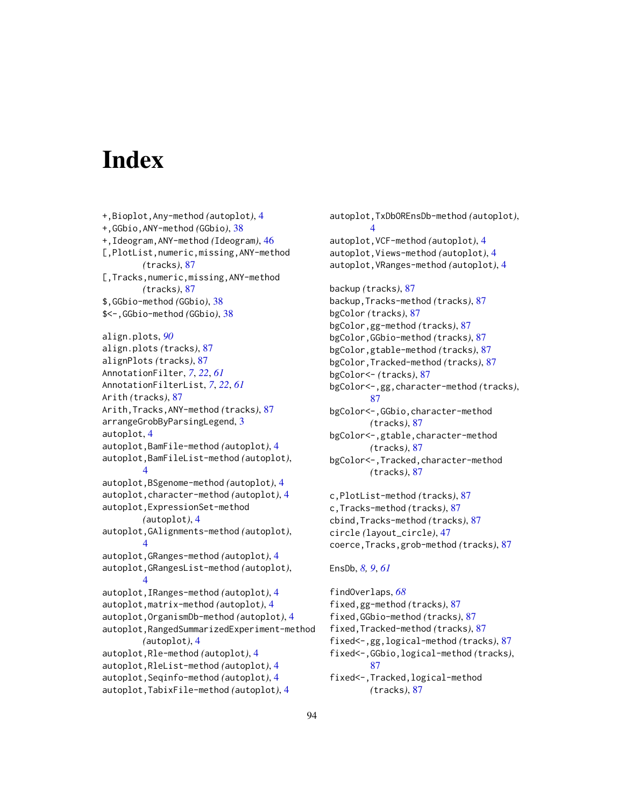# Index

+,Bioplot,Any-method *(*autoplot*)*, [4](#page-3-0) +,GGbio,ANY-method *(*GGbio*)*, [38](#page-37-0) +,Ideogram,ANY-method *(*Ideogram*)*, [46](#page-45-0) [,PlotList,numeric,missing,ANY-method *(*tracks*)*, [87](#page-86-1) [,Tracks,numeric,missing,ANY-method *(*tracks*)*, [87](#page-86-1) \$,GGbio-method *(*GGbio*)*, [38](#page-37-0) \$<-,GGbio-method *(*GGbio*)*, [38](#page-37-0) align.plots, *[90](#page-89-0)* align.plots *(*tracks*)*, [87](#page-86-1) alignPlots *(*tracks*)*, [87](#page-86-1) AnnotationFilter, *[7](#page-6-0)*, *[22](#page-21-0)*, *[61](#page-60-0)* AnnotationFilterList, *[7](#page-6-0)*, *[22](#page-21-0)*, *[61](#page-60-0)* Arith *(*tracks*)*, [87](#page-86-1) Arith,Tracks,ANY-method *(*tracks*)*, [87](#page-86-1) arrangeGrobByParsingLegend, [3](#page-2-0) autoplot, [4](#page-3-0) autoplot,BamFile-method *(*autoplot*)*, [4](#page-3-0) autoplot,BamFileList-method *(*autoplot*)*, [4](#page-3-0) autoplot,BSgenome-method *(*autoplot*)*, [4](#page-3-0) autoplot,character-method *(*autoplot*)*, [4](#page-3-0) autoplot,ExpressionSet-method *(*autoplot*)*, [4](#page-3-0) autoplot,GAlignments-method *(*autoplot*)*, [4](#page-3-0) autoplot,GRanges-method *(*autoplot*)*, [4](#page-3-0) autoplot,GRangesList-method *(*autoplot*)*, [4](#page-3-0) autoplot,IRanges-method *(*autoplot*)*, [4](#page-3-0) autoplot,matrix-method *(*autoplot*)*, [4](#page-3-0) autoplot,OrganismDb-method *(*autoplot*)*, [4](#page-3-0) autoplot,RangedSummarizedExperiment-method *(*autoplot*)*, [4](#page-3-0) autoplot,Rle-method *(*autoplot*)*, [4](#page-3-0) autoplot,RleList-method *(*autoplot*)*, [4](#page-3-0) autoplot,Seqinfo-method *(*autoplot*)*, [4](#page-3-0) autoplot,TabixFile-method *(*autoplot*)*, [4](#page-3-0)

autoplot,TxDbOREnsDb-method *(*autoplot*)*, [4](#page-3-0) autoplot,VCF-method *(*autoplot*)*, [4](#page-3-0) autoplot,Views-method *(*autoplot*)*, [4](#page-3-0) autoplot,VRanges-method *(*autoplot*)*, [4](#page-3-0) backup *(*tracks*)*, [87](#page-86-1) backup,Tracks-method *(*tracks*)*, [87](#page-86-1) bgColor *(*tracks*)*, [87](#page-86-1) bgColor,gg-method *(*tracks*)*, [87](#page-86-1) bgColor,GGbio-method *(*tracks*)*, [87](#page-86-1) bgColor,gtable-method *(*tracks*)*, [87](#page-86-1) bgColor,Tracked-method *(*tracks*)*, [87](#page-86-1) bgColor<- *(*tracks*)*, [87](#page-86-1) bgColor<-,gg,character-method *(*tracks*)*, [87](#page-86-1) bgColor<-,GGbio,character-method *(*tracks*)*, [87](#page-86-1) bgColor<-,gtable,character-method *(*tracks*)*, [87](#page-86-1) bgColor<-,Tracked,character-method *(*tracks*)*, [87](#page-86-1) c,PlotList-method *(*tracks*)*, [87](#page-86-1) c,Tracks-method *(*tracks*)*, [87](#page-86-1) cbind,Tracks-method *(*tracks*)*, [87](#page-86-1) circle *(*layout\_circle*)*, [47](#page-46-0)

EnsDb, *[8,](#page-7-0) [9](#page-8-0)*, *[61](#page-60-0)*

findOverlaps, *[68](#page-67-0)* fixed,gg-method *(*tracks*)*, [87](#page-86-1) fixed,GGbio-method *(*tracks*)*, [87](#page-86-1) fixed,Tracked-method *(*tracks*)*, [87](#page-86-1) fixed<-,gg,logical-method *(*tracks*)*, [87](#page-86-1) fixed<-,GGbio,logical-method *(*tracks*)*, [87](#page-86-1) fixed<-,Tracked,logical-method *(*tracks*)*, [87](#page-86-1)

coerce,Tracks,grob-method *(*tracks*)*, [87](#page-86-1)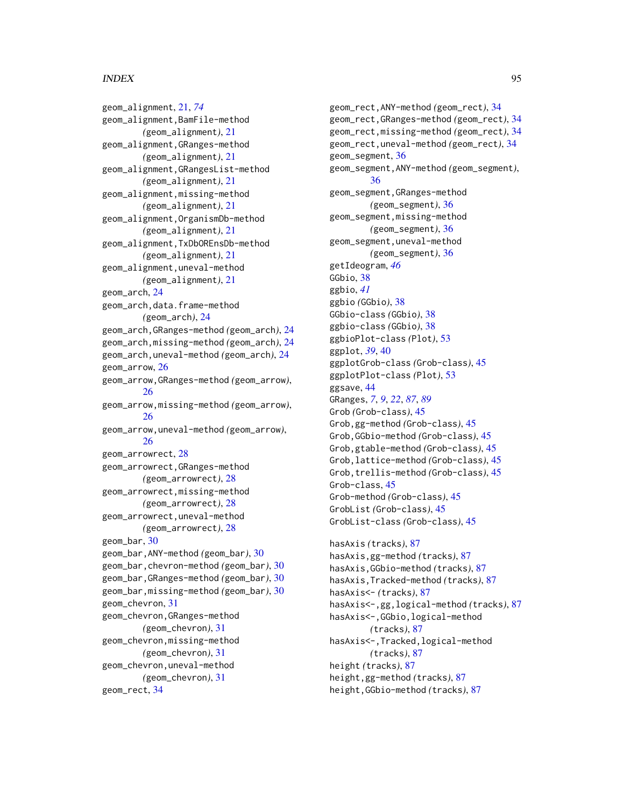geom\_alignment, [21,](#page-20-1) *[74](#page-73-0)* geom\_alignment,BamFile-method *(*geom\_alignment*)*, [21](#page-20-1) geom\_alignment,GRanges-method *(*geom\_alignment*)*, [21](#page-20-1) geom\_alignment,GRangesList-method *(*geom\_alignment*)*, [21](#page-20-1) geom\_alignment,missing-method *(*geom\_alignment*)*, [21](#page-20-1) geom\_alignment,OrganismDb-method *(*geom\_alignment*)*, [21](#page-20-1) geom\_alignment,TxDbOREnsDb-method *(*geom\_alignment*)*, [21](#page-20-1) geom\_alignment,uneval-method *(*geom\_alignment*)*, [21](#page-20-1) geom\_arch, [24](#page-23-0) geom\_arch,data.frame-method *(*geom\_arch*)*, [24](#page-23-0) geom\_arch,GRanges-method *(*geom\_arch*)*, [24](#page-23-0) geom\_arch,missing-method *(*geom\_arch*)*, [24](#page-23-0) geom\_arch,uneval-method *(*geom\_arch*)*, [24](#page-23-0) geom\_arrow, [26](#page-25-0) geom\_arrow,GRanges-method *(*geom\_arrow*)*, [26](#page-25-0) geom\_arrow,missing-method *(*geom\_arrow*)*, [26](#page-25-0) geom\_arrow,uneval-method *(*geom\_arrow*)*, [26](#page-25-0) geom\_arrowrect, [28](#page-27-0) geom\_arrowrect,GRanges-method *(*geom\_arrowrect*)*, [28](#page-27-0) geom\_arrowrect,missing-method *(*geom\_arrowrect*)*, [28](#page-27-0) geom\_arrowrect,uneval-method *(*geom\_arrowrect*)*, [28](#page-27-0) geom\_bar, [30](#page-29-0) geom\_bar,ANY-method *(*geom\_bar*)*, [30](#page-29-0) geom\_bar,chevron-method *(*geom\_bar*)*, [30](#page-29-0) geom\_bar,GRanges-method *(*geom\_bar*)*, [30](#page-29-0) geom\_bar,missing-method *(*geom\_bar*)*, [30](#page-29-0) geom\_chevron, [31](#page-30-0) geom\_chevron,GRanges-method *(*geom\_chevron*)*, [31](#page-30-0) geom\_chevron,missing-method *(*geom\_chevron*)*, [31](#page-30-0) geom\_chevron,uneval-method *(*geom\_chevron*)*, [31](#page-30-0) geom\_rect, [34](#page-33-0)

geom\_rect,ANY-method *(*geom\_rect*)*, [34](#page-33-0) geom\_rect,GRanges-method *(*geom\_rect*)*, [34](#page-33-0) geom\_rect,missing-method *(*geom\_rect*)*, [34](#page-33-0) geom\_rect,uneval-method *(*geom\_rect*)*, [34](#page-33-0) geom\_segment, [36](#page-35-0) geom\_segment,ANY-method *(*geom\_segment*)*, [36](#page-35-0) geom\_segment,GRanges-method *(*geom\_segment*)*, [36](#page-35-0) geom\_segment,missing-method *(*geom\_segment*)*, [36](#page-35-0) geom\_segment,uneval-method *(*geom\_segment*)*, [36](#page-35-0) getIdeogram, *[46](#page-45-0)* GGbio, [38](#page-37-0) ggbio, *[41](#page-40-0)* ggbio *(*GGbio*)*, [38](#page-37-0) GGbio-class *(*GGbio*)*, [38](#page-37-0) ggbio-class *(*GGbio*)*, [38](#page-37-0) ggbioPlot-class *(*Plot*)*, [53](#page-52-0) ggplot, *[39](#page-38-0)*, [40](#page-39-0) ggplotGrob-class *(*Grob-class*)*, [45](#page-44-0) ggplotPlot-class *(*Plot*)*, [53](#page-52-0) ggsave, [44](#page-43-0) GRanges, *[7](#page-6-0)*, *[9](#page-8-0)*, *[22](#page-21-0)*, *[87](#page-86-1)*, *[89](#page-88-0)* Grob *(*Grob-class*)*, [45](#page-44-0) Grob,gg-method *(*Grob-class*)*, [45](#page-44-0) Grob,GGbio-method *(*Grob-class*)*, [45](#page-44-0) Grob,gtable-method *(*Grob-class*)*, [45](#page-44-0) Grob,lattice-method *(*Grob-class*)*, [45](#page-44-0) Grob,trellis-method *(*Grob-class*)*, [45](#page-44-0) Grob-class, [45](#page-44-0) Grob-method *(*Grob-class*)*, [45](#page-44-0) GrobList *(*Grob-class*)*, [45](#page-44-0) GrobList-class *(*Grob-class*)*, [45](#page-44-0) hasAxis *(*tracks*)*, [87](#page-86-1) hasAxis,gg-method *(*tracks*)*, [87](#page-86-1)

hasAxis,GGbio-method *(*tracks*)*, [87](#page-86-1) hasAxis,Tracked-method *(*tracks*)*, [87](#page-86-1) hasAxis<- *(*tracks*)*, [87](#page-86-1) hasAxis<-,gg,logical-method *(*tracks*)*, [87](#page-86-1) hasAxis<-,GGbio,logical-method *(*tracks*)*, [87](#page-86-1) hasAxis<-,Tracked,logical-method *(*tracks*)*, [87](#page-86-1) height *(*tracks*)*, [87](#page-86-1) height,gg-method *(*tracks*)*, [87](#page-86-1) height,GGbio-method *(*tracks*)*, [87](#page-86-1)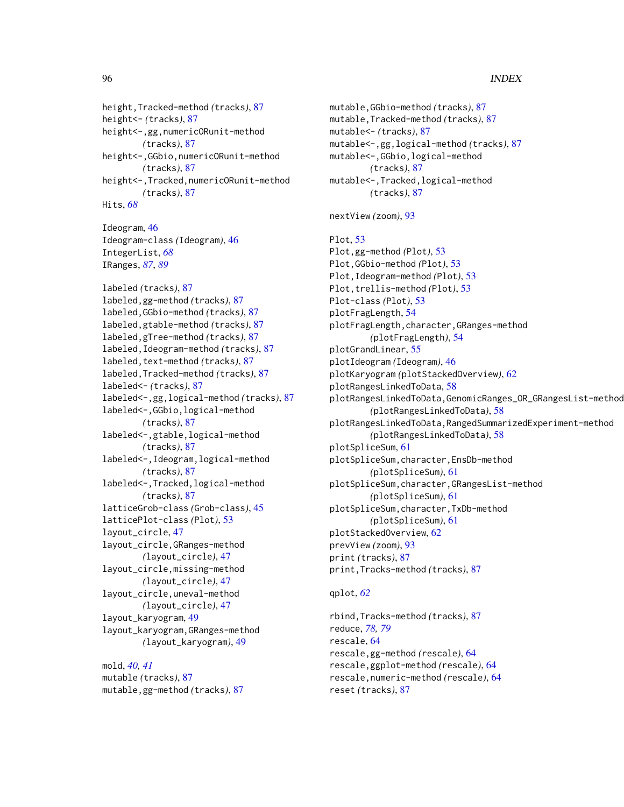height,Tracked-method *(*tracks*)*, [87](#page-86-1) height<- *(*tracks*)*, [87](#page-86-1) height<-,gg,numericORunit-method *(*tracks*)*, [87](#page-86-1) height<-,GGbio,numericORunit-method *(*tracks*)*, [87](#page-86-1) height<-,Tracked,numericORunit-method *(*tracks*)*, [87](#page-86-1) Hits, *[68](#page-67-0)* Ideogram, [46](#page-45-0) Ideogram-class *(*Ideogram*)*, [46](#page-45-0) IntegerList, *[68](#page-67-0)* IRanges, *[87](#page-86-1)*, *[89](#page-88-0)* labeled *(*tracks*)*, [87](#page-86-1) labeled,gg-method *(*tracks*)*, [87](#page-86-1) labeled,GGbio-method *(*tracks*)*, [87](#page-86-1) labeled,gtable-method *(*tracks*)*, [87](#page-86-1) labeled,gTree-method *(*tracks*)*, [87](#page-86-1) labeled,Ideogram-method *(*tracks*)*, [87](#page-86-1) labeled,text-method *(*tracks*)*, [87](#page-86-1) labeled,Tracked-method *(*tracks*)*, [87](#page-86-1) labeled<- *(*tracks*)*, [87](#page-86-1) labeled<-,gg,logical-method *(*tracks*)*, [87](#page-86-1) labeled<-,GGbio,logical-method *(*tracks*)*, [87](#page-86-1) labeled<-,gtable,logical-method *(*tracks*)*, [87](#page-86-1) labeled<-,Ideogram,logical-method *(*tracks*)*, [87](#page-86-1) labeled<-,Tracked,logical-method *(*tracks*)*, [87](#page-86-1) latticeGrob-class *(*Grob-class*)*, [45](#page-44-0) latticePlot-class *(*Plot*)*, [53](#page-52-0) layout\_circle, [47](#page-46-0) layout\_circle,GRanges-method *(*layout\_circle*)*, [47](#page-46-0) layout\_circle,missing-method *(*layout\_circle*)*, [47](#page-46-0) layout\_circle,uneval-method *(*layout\_circle*)*, [47](#page-46-0) layout\_karyogram, [49](#page-48-0) layout\_karyogram,GRanges-method *(*layout\_karyogram*)*, [49](#page-48-0) mold, *[40,](#page-39-0) [41](#page-40-0)*

mutable *(*tracks*)*, [87](#page-86-1) mutable,gg-method *(*tracks*)*, [87](#page-86-1) mutable,GGbio-method *(*tracks*)*, [87](#page-86-1) mutable,Tracked-method *(*tracks*)*, [87](#page-86-1) mutable<- *(*tracks*)*, [87](#page-86-1) mutable<-,gg,logical-method *(*tracks*)*, [87](#page-86-1) mutable<-,GGbio,logical-method *(*tracks*)*, [87](#page-86-1) mutable<-,Tracked,logical-method *(*tracks*)*, [87](#page-86-1) nextView *(*zoom*)*, [93](#page-92-0) Plot, [53](#page-52-0) Plot,gg-method *(*Plot*)*, [53](#page-52-0) Plot,GGbio-method *(*Plot*)*, [53](#page-52-0) Plot,Ideogram-method *(*Plot*)*, [53](#page-52-0) Plot,trellis-method *(*Plot*)*, [53](#page-52-0) Plot-class *(*Plot*)*, [53](#page-52-0) plotFragLength, [54](#page-53-0) plotFragLength,character,GRanges-method *(*plotFragLength*)*, [54](#page-53-0) plotGrandLinear, [55](#page-54-0) plotIdeogram *(*Ideogram*)*, [46](#page-45-0) plotKaryogram *(*plotStackedOverview*)*, [62](#page-61-0) plotRangesLinkedToData, [58](#page-57-0) plotRangesLinkedToData,GenomicRanges\_OR\_GRangesList-method *(*plotRangesLinkedToData*)*, [58](#page-57-0) plotRangesLinkedToData,RangedSummarizedExperiment-method *(*plotRangesLinkedToData*)*, [58](#page-57-0) plotSpliceSum, [61](#page-60-0) plotSpliceSum,character,EnsDb-method *(*plotSpliceSum*)*, [61](#page-60-0) plotSpliceSum,character,GRangesList-method *(*plotSpliceSum*)*, [61](#page-60-0) plotSpliceSum,character,TxDb-method *(*plotSpliceSum*)*, [61](#page-60-0) plotStackedOverview, [62](#page-61-0) prevView *(*zoom*)*, [93](#page-92-0) print *(*tracks*)*, [87](#page-86-1) print,Tracks-method *(*tracks*)*, [87](#page-86-1)

#### qplot, *[62](#page-61-0)*

rbind,Tracks-method *(*tracks*)*, [87](#page-86-1) reduce, *[78,](#page-77-0) [79](#page-78-0)* rescale, [64](#page-63-0) rescale,gg-method *(*rescale*)*, [64](#page-63-0) rescale,ggplot-method *(*rescale*)*, [64](#page-63-0) rescale,numeric-method *(*rescale*)*, [64](#page-63-0) reset *(*tracks*)*, [87](#page-86-1)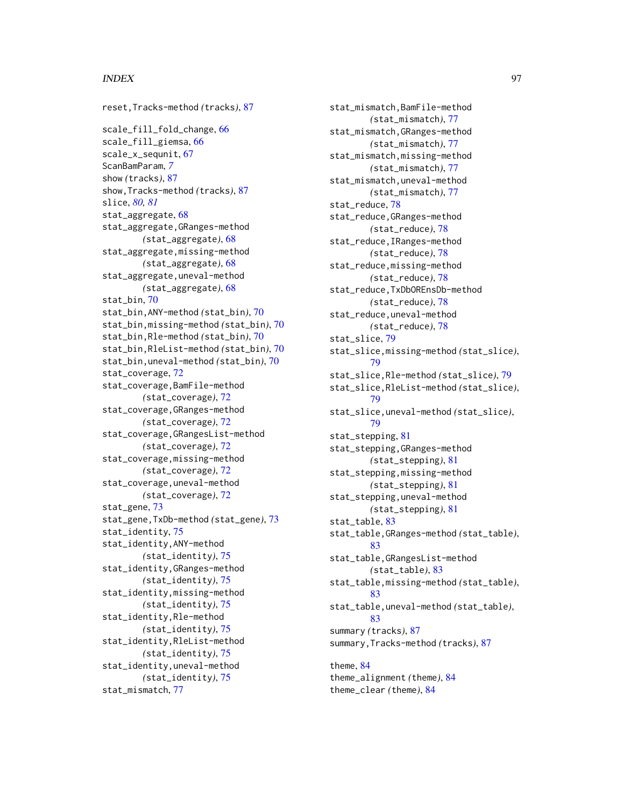reset,Tracks-method *(*tracks*)*, [87](#page-86-1) scale\_fill\_fold\_change, [66](#page-65-0) scale\_fill\_giemsa, [66](#page-65-0) scale\_x\_sequnit, [67](#page-66-0) ScanBamParam, *[7](#page-6-0)* show *(*tracks*)*, [87](#page-86-1) show,Tracks-method *(*tracks*)*, [87](#page-86-1) slice, *[80,](#page-79-0) [81](#page-80-0)* stat\_aggregate, [68](#page-67-0) stat\_aggregate,GRanges-method *(*stat\_aggregate*)*, [68](#page-67-0) stat\_aggregate,missing-method *(*stat\_aggregate*)*, [68](#page-67-0) stat\_aggregate,uneval-method *(*stat\_aggregate*)*, [68](#page-67-0) stat\_bin, [70](#page-69-0) stat\_bin,ANY-method *(*stat\_bin*)*, [70](#page-69-0) stat\_bin,missing-method *(*stat\_bin*)*, [70](#page-69-0) stat\_bin,Rle-method *(*stat\_bin*)*, [70](#page-69-0) stat\_bin,RleList-method *(*stat\_bin*)*, [70](#page-69-0) stat\_bin,uneval-method *(*stat\_bin*)*, [70](#page-69-0) stat\_coverage, [72](#page-71-0) stat\_coverage,BamFile-method *(*stat\_coverage*)*, [72](#page-71-0) stat\_coverage,GRanges-method *(*stat\_coverage*)*, [72](#page-71-0) stat\_coverage,GRangesList-method *(*stat\_coverage*)*, [72](#page-71-0) stat\_coverage,missing-method *(*stat\_coverage*)*, [72](#page-71-0) stat\_coverage,uneval-method *(*stat\_coverage*)*, [72](#page-71-0) stat\_gene, [73](#page-72-0) stat\_gene,TxDb-method *(*stat\_gene*)*, [73](#page-72-0) stat\_identity, [75](#page-74-0) stat\_identity,ANY-method *(*stat\_identity*)*, [75](#page-74-0) stat\_identity,GRanges-method *(*stat\_identity*)*, [75](#page-74-0) stat\_identity,missing-method *(*stat\_identity*)*, [75](#page-74-0) stat\_identity,Rle-method *(*stat\_identity*)*, [75](#page-74-0) stat\_identity,RleList-method *(*stat\_identity*)*, [75](#page-74-0) stat\_identity,uneval-method *(*stat\_identity*)*, [75](#page-74-0) stat\_mismatch, [77](#page-76-0)

stat\_mismatch,BamFile-method *(*stat\_mismatch*)*, [77](#page-76-0) stat\_mismatch,GRanges-method *(*stat\_mismatch*)*, [77](#page-76-0) stat\_mismatch,missing-method *(*stat\_mismatch*)*, [77](#page-76-0) stat\_mismatch,uneval-method *(*stat\_mismatch*)*, [77](#page-76-0) stat\_reduce, [78](#page-77-0) stat\_reduce,GRanges-method *(*stat\_reduce*)*, [78](#page-77-0) stat\_reduce,IRanges-method *(*stat\_reduce*)*, [78](#page-77-0) stat\_reduce,missing-method *(*stat\_reduce*)*, [78](#page-77-0) stat\_reduce,TxDbOREnsDb-method *(*stat\_reduce*)*, [78](#page-77-0) stat\_reduce,uneval-method *(*stat\_reduce*)*, [78](#page-77-0) stat\_slice, [79](#page-78-0) stat\_slice,missing-method *(*stat\_slice*)*, [79](#page-78-0) stat\_slice,Rle-method *(*stat\_slice*)*, [79](#page-78-0) stat\_slice,RleList-method *(*stat\_slice*)*, [79](#page-78-0) stat\_slice,uneval-method *(*stat\_slice*)*, [79](#page-78-0) stat\_stepping, [81](#page-80-0) stat\_stepping,GRanges-method *(*stat\_stepping*)*, [81](#page-80-0) stat\_stepping,missing-method *(*stat\_stepping*)*, [81](#page-80-0) stat\_stepping,uneval-method *(*stat\_stepping*)*, [81](#page-80-0) stat\_table, [83](#page-82-0) stat\_table,GRanges-method *(*stat\_table*)*, [83](#page-82-0) stat\_table,GRangesList-method *(*stat\_table*)*, [83](#page-82-0) stat\_table,missing-method *(*stat\_table*)*, [83](#page-82-0) stat\_table,uneval-method *(*stat\_table*)*, [83](#page-82-0) summary *(*tracks*)*, [87](#page-86-1) summary,Tracks-method *(*tracks*)*, [87](#page-86-1) theme, [84](#page-83-0) theme\_alignment *(*theme*)*, [84](#page-83-0)

theme\_clear *(*theme*)*, [84](#page-83-0)